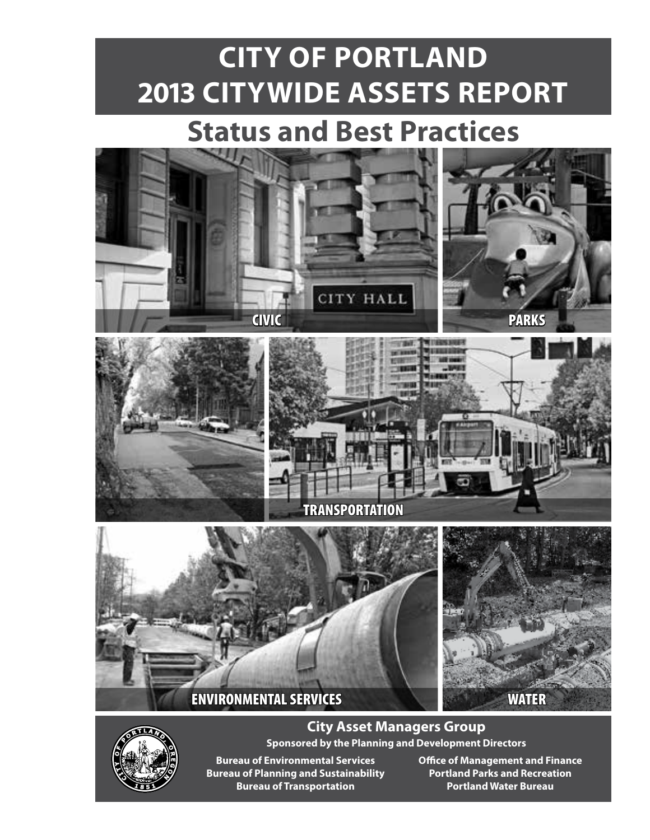# **CITY OF PORTLAND 2013 CITYWIDE ASSETS REPORT**

# **Status and Best Practices**





**City Asset Managers Group Sponsored by the Planning and Development Directors**

**Bureau of Planning and Sustainability Portland Parks and Recreation Bureau of Transportation COVID 100 TO Portland Water Bureau** 

**Bureau of Environmental Services Office of Management and Finance**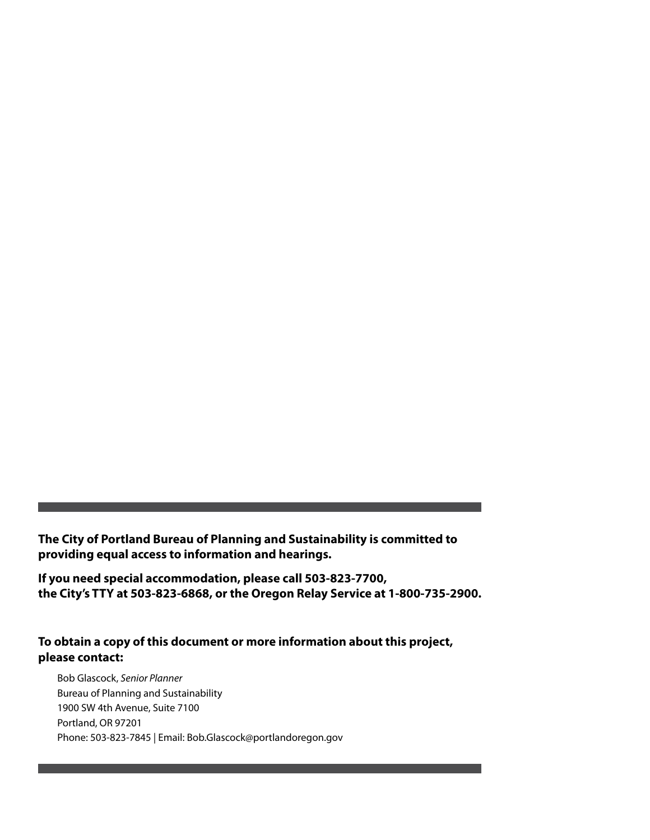**The City of Portland Bureau of Planning and Sustainability is committed to providing equal access to information and hearings.** 

**If you need special accommodation, please call 503-823-7700, the City's TTY at 503-823-6868, or the Oregon Relay Service at 1-800-735-2900.**

#### **To obtain a copy of this document or more information about this project, please contact:**

Bob Glascock, *Senior Planner* Bureau of Planning and Sustainability 1900 SW 4th Avenue, Suite 7100 Portland, OR 97201 Phone: 503-823-7845 | Email: Bob.Glascock@portlandoregon.gov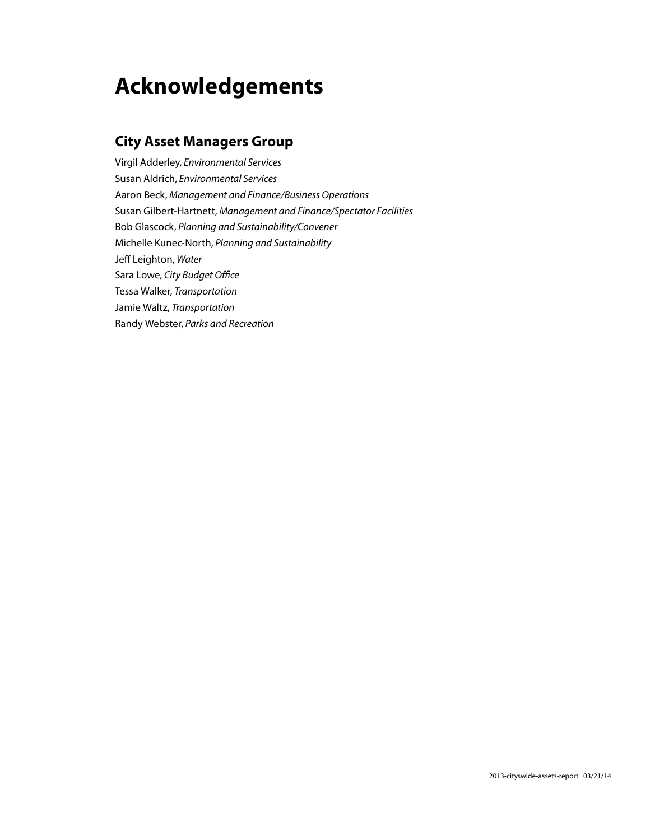# **Acknowledgements**

#### **City Asset Managers Group**

Virgil Adderley, *Environmental Services* Susan Aldrich, *Environmental Services* Aaron Beck, *Management and Finance/Business Operations* Susan Gilbert-Hartnett, *Management and Finance/Spectator Facilities* Bob Glascock, *Planning and Sustainability/Convener*  Michelle Kunec-North, *Planning and Sustainability* Jeff Leighton, *Water* Sara Lowe, *City Budget Office* Tessa Walker, *Transportation* Jamie Waltz, *Transportation* Randy Webster, *Parks and Recreation*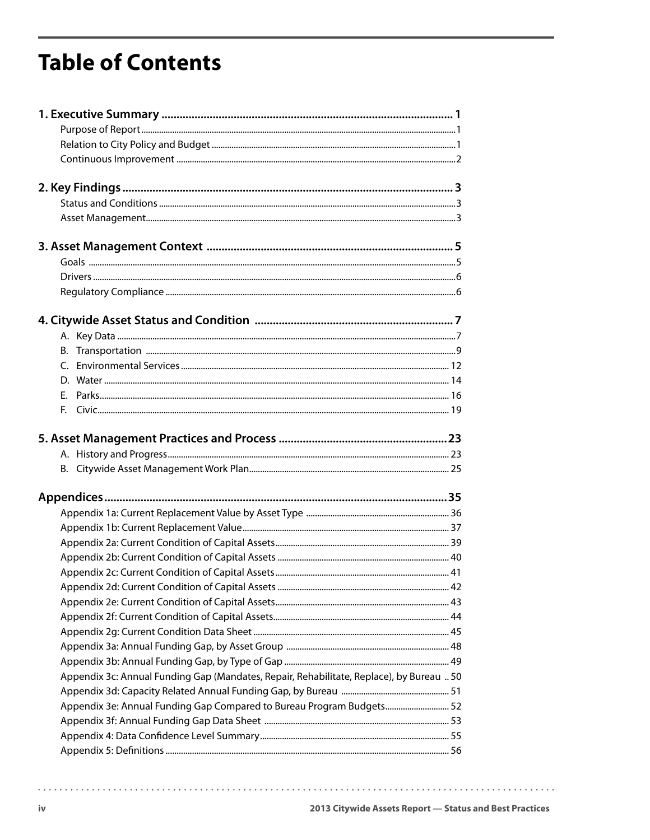# **Table of Contents**

| Appendix 3c: Annual Funding Gap (Mandates, Repair, Rehabilitate, Replace), by Bureau  50 |  |
|------------------------------------------------------------------------------------------|--|
|                                                                                          |  |
| Appendix 3e: Annual Funding Gap Compared to Bureau Program Budgets 52                    |  |
|                                                                                          |  |
|                                                                                          |  |
|                                                                                          |  |

. . . . . . . . . . .

 $\sim$   $\sim$   $\sim$   $\sim$ 

 $\frac{1}{2} \left( \frac{1}{2} \right) \left( \frac{1}{2} \right) \left( \frac{1}{2} \right) \left( \frac{1}{2} \right) \left( \frac{1}{2} \right) \left( \frac{1}{2} \right)$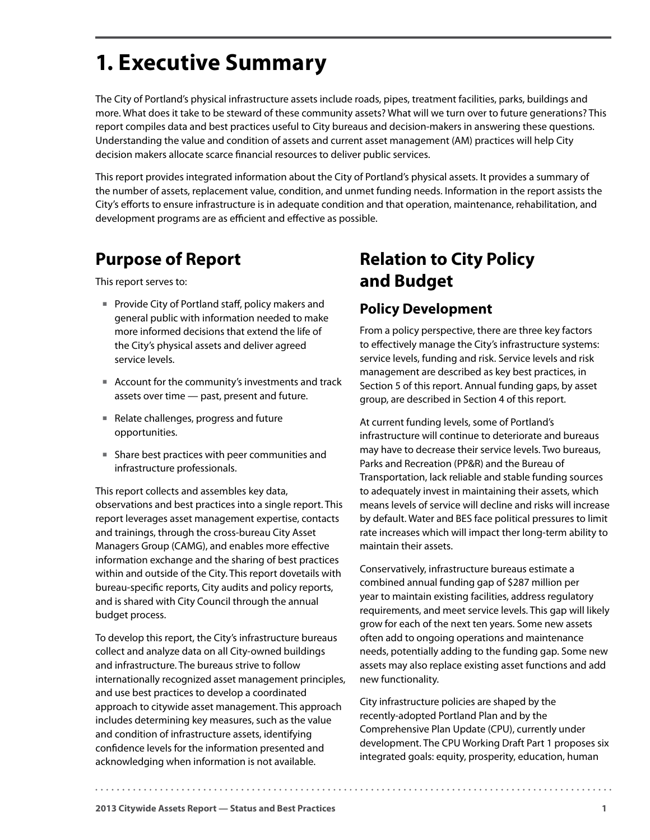# <span id="page-4-0"></span>**1. Executive Summary**

The City of Portland's physical infrastructure assets include roads, pipes, treatment facilities, parks, buildings and more. What does it take to be steward of these community assets? What will we turn over to future generations? This report compiles data and best practices useful to City bureaus and decision-makers in answering these questions. Understanding the value and condition of assets and current asset management (AM) practices will help City decision makers allocate scarce financial resources to deliver public services.

This report provides integrated information about the City of Portland's physical assets. It provides a summary of the number of assets, replacement value, condition, and unmet funding needs. Information in the report assists the City's efforts to ensure infrastructure is in adequate condition and that operation, maintenance, rehabilitation, and development programs are as efficient and effective as possible.

# **Purpose of Report**

This report serves to:

- Provide City of Portland staff, policy makers and general public with information needed to make more informed decisions that extend the life of the City's physical assets and deliver agreed service levels.
- Account for the community's investments and track assets over time — past, present and future.
- Relate challenges, progress and future opportunities.
- Share best practices with peer communities and infrastructure professionals.

This report collects and assembles key data, observations and best practices into a single report. This report leverages asset management expertise, contacts and trainings, through the cross-bureau City Asset Managers Group (CAMG), and enables more effective information exchange and the sharing of best practices within and outside of the City. This report dovetails with bureau-specific reports, City audits and policy reports, and is shared with City Council through the annual budget process.

To develop this report, the City's infrastructure bureaus collect and analyze data on all City-owned buildings and infrastructure. The bureaus strive to follow internationally recognized asset management principles, and use best practices to develop a coordinated approach to citywide asset management. This approach includes determining key measures, such as the value and condition of infrastructure assets, identifying confidence levels for the information presented and acknowledging when information is not available.

# **Relation to City Policy and Budget**

## **Policy Development**

From a policy perspective, there are three key factors to effectively manage the City's infrastructure systems: service levels, funding and risk. Service levels and risk management are described as key best practices, in Section 5 of this report. Annual funding gaps, by asset group, are described in Section 4 of this report.

At current funding levels, some of Portland's infrastructure will continue to deteriorate and bureaus may have to decrease their service levels. Two bureaus, Parks and Recreation (PP&R) and the Bureau of Transportation, lack reliable and stable funding sources to adequately invest in maintaining their assets, which means levels of service will decline and risks will increase by default. Water and BES face political pressures to limit rate increases which will impact ther long-term ability to maintain their assets.

Conservatively, infrastructure bureaus estimate a combined annual funding gap of \$287 million per year to maintain existing facilities, address regulatory requirements, and meet service levels. This gap will likely grow for each of the next ten years. Some new assets often add to ongoing operations and maintenance needs, potentially adding to the funding gap. Some new assets may also replace existing asset functions and add new functionality.

City infrastructure policies are shaped by the recently-adopted Portland Plan and by the Comprehensive Plan Update (CPU), currently under development. The CPU Working Draft Part 1 proposes six integrated goals: equity, prosperity, education, human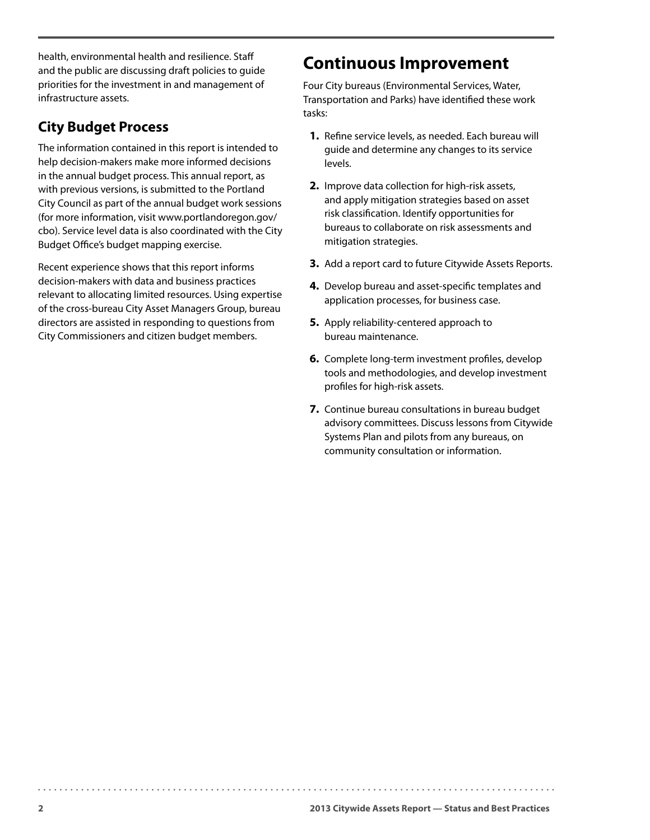<span id="page-5-0"></span>health, environmental health and resilience. Staff and the public are discussing draft policies to guide priorities for the investment in and management of infrastructure assets.

### **City Budget Process**

The information contained in this report is intended to help decision-makers make more informed decisions in the annual budget process. This annual report, as with previous versions, is submitted to the Portland City Council as part of the annual budget work sessions (for more information, visit www.portlandoregon.gov/ cbo). Service level data is also coordinated with the City Budget Office's budget mapping exercise.

Recent experience shows that this report informs decision-makers with data and business practices relevant to allocating limited resources. Using expertise of the cross-bureau City Asset Managers Group, bureau directors are assisted in responding to questions from City Commissioners and citizen budget members.

## **Continuous Improvement**

Four City bureaus (Environmental Services, Water, Transportation and Parks) have identified these work tasks:

- **1.** Refine service levels, as needed. Each bureau will guide and determine any changes to its service levels.
- **2.** Improve data collection for high-risk assets, and apply mitigation strategies based on asset risk classification. Identify opportunities for bureaus to collaborate on risk assessments and mitigation strategies.
- **3.** Add a report card to future Citywide Assets Reports.
- **4.** Develop bureau and asset-specific templates and application processes, for business case.
- **5.** Apply reliability-centered approach to bureau maintenance.
- **6.** Complete long-term investment profiles, develop tools and methodologies, and develop investment profiles for high-risk assets.
- **7.** Continue bureau consultations in bureau budget advisory committees. Discuss lessons from Citywide Systems Plan and pilots from any bureaus, on community consultation or information.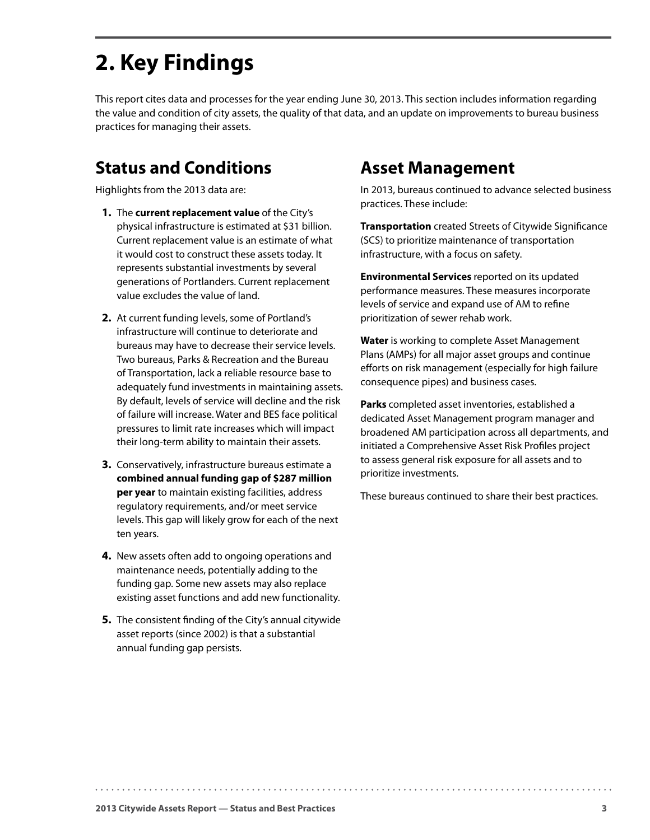# <span id="page-6-0"></span>**2. Key Findings**

This report cites data and processes for the year ending June 30, 2013. This section includes information regarding the value and condition of city assets, the quality of that data, and an update on improvements to bureau business practices for managing their assets.

## **Status and Conditions**

Highlights from the 2013 data are:

- **1.** The **current replacement value** of the City's physical infrastructure is estimated at \$31 billion. Current replacement value is an estimate of what it would cost to construct these assets today. It represents substantial investments by several generations of Portlanders. Current replacement value excludes the value of land.
- **2.** At current funding levels, some of Portland's infrastructure will continue to deteriorate and bureaus may have to decrease their service levels. Two bureaus, Parks & Recreation and the Bureau of Transportation, lack a reliable resource base to adequately fund investments in maintaining assets. By default, levels of service will decline and the risk of failure will increase. Water and BES face political pressures to limit rate increases which will impact their long-term ability to maintain their assets.
- **3.** Conservatively, infrastructure bureaus estimate a **combined annual funding gap of \$287 million per year** to maintain existing facilities, address regulatory requirements, and/or meet service levels. This gap will likely grow for each of the next ten years.
- **4.** New assets often add to ongoing operations and maintenance needs, potentially adding to the funding gap. Some new assets may also replace existing asset functions and add new functionality.
- **5.** The consistent finding of the City's annual citywide asset reports (since 2002) is that a substantial annual funding gap persists.

## **Asset Management**

In 2013, bureaus continued to advance selected business practices. These include:

**Transportation** created Streets of Citywide Significance (SCS) to prioritize maintenance of transportation infrastructure, with a focus on safety.

**Environmental Services** reported on its updated performance measures. These measures incorporate levels of service and expand use of AM to refine prioritization of sewer rehab work.

**Water** is working to complete Asset Management Plans (AMPs) for all major asset groups and continue efforts on risk management (especially for high failure consequence pipes) and business cases.

**Parks** completed asset inventories, established a dedicated Asset Management program manager and broadened AM participation across all departments, and initiated a Comprehensive Asset Risk Profiles project to assess general risk exposure for all assets and to prioritize investments.

These bureaus continued to share their best practices.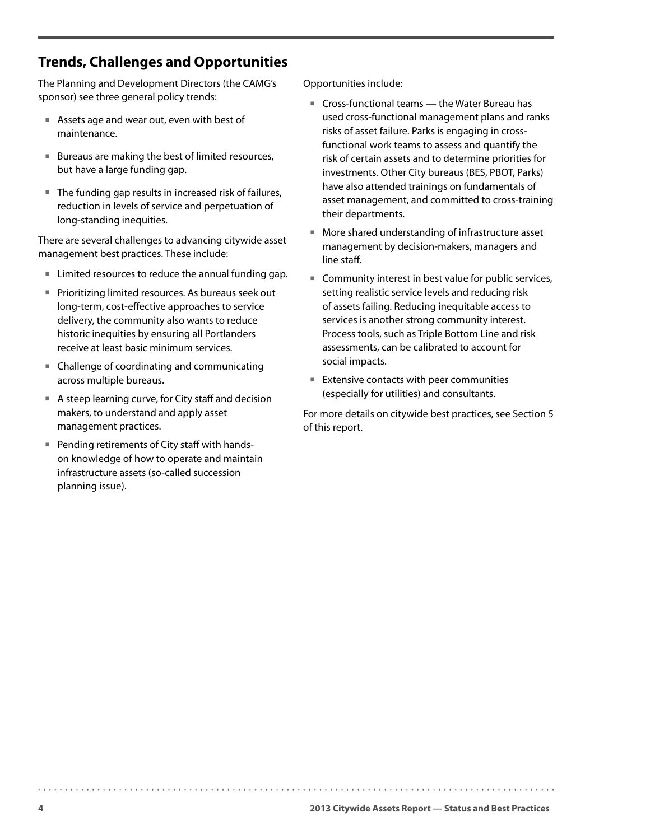### **Trends, Challenges and Opportunities**

The Planning and Development Directors (the CAMG's sponsor) see three general policy trends:

- Assets age and wear out, even with best of maintenance.
- Bureaus are making the best of limited resources, but have a large funding gap.
- The funding gap results in increased risk of failures, reduction in levels of service and perpetuation of long-standing inequities.

There are several challenges to advancing citywide asset management best practices. These include:

- Limited resources to reduce the annual funding gap.
- **Prioritizing limited resources. As bureaus seek out** long-term, cost-effective approaches to service delivery, the community also wants to reduce historic inequities by ensuring all Portlanders receive at least basic minimum services.
- Challenge of coordinating and communicating across multiple bureaus.
- A steep learning curve, for City staff and decision makers, to understand and apply asset management practices.
- Pending retirements of City staff with handson knowledge of how to operate and maintain infrastructure assets (so-called succession planning issue).

Opportunities include:

- Cross-functional teams the Water Bureau has used cross-functional management plans and ranks risks of asset failure. Parks is engaging in crossfunctional work teams to assess and quantify the risk of certain assets and to determine priorities for investments. Other City bureaus (BES, PBOT, Parks) have also attended trainings on fundamentals of asset management, and committed to cross-training their departments.
- More shared understanding of infrastructure asset management by decision-makers, managers and line staff.
- Community interest in best value for public services, setting realistic service levels and reducing risk of assets failing. Reducing inequitable access to services is another strong community interest. Process tools, such as Triple Bottom Line and risk assessments, can be calibrated to account for social impacts.
- $I$  Extensive contacts with peer communities (especially for utilities) and consultants.

For more details on citywide best practices, see Section 5 of this report.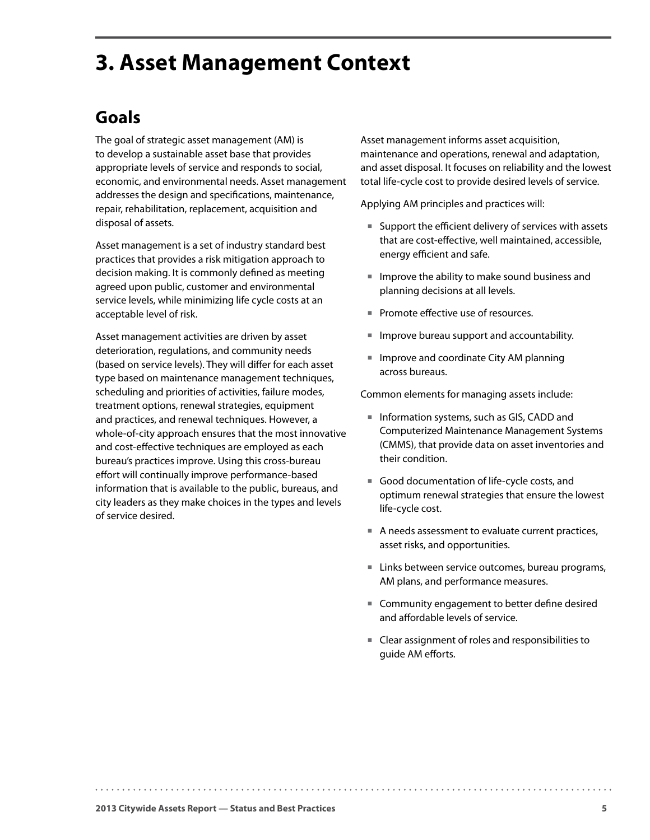# <span id="page-8-0"></span>**3. Asset Management Context**

# **Goals**

The goal of strategic asset management (AM) is to develop a sustainable asset base that provides appropriate levels of service and responds to social, economic, and environmental needs. Asset management addresses the design and specifications, maintenance, repair, rehabilitation, replacement, acquisition and disposal of assets.

Asset management is a set of industry standard best practices that provides a risk mitigation approach to decision making. It is commonly defined as meeting agreed upon public, customer and environmental service levels, while minimizing life cycle costs at an acceptable level of risk.

Asset management activities are driven by asset deterioration, regulations, and community needs (based on service levels). They will differ for each asset type based on maintenance management techniques, scheduling and priorities of activities, failure modes, treatment options, renewal strategies, equipment and practices, and renewal techniques. However, a whole-of-city approach ensures that the most innovative and cost-effective techniques are employed as each bureau's practices improve. Using this cross-bureau effort will continually improve performance-based information that is available to the public, bureaus, and city leaders as they make choices in the types and levels of service desired.

Asset management informs asset acquisition, maintenance and operations, renewal and adaptation, and asset disposal. It focuses on reliability and the lowest total life-cycle cost to provide desired levels of service.

Applying AM principles and practices will:

- Support the efficient delivery of services with assets that are cost-effective, well maintained, accessible, energy efficient and safe.
- $\blacksquare$  Improve the ability to make sound business and planning decisions at all levels.
- Promote effective use of resources.
- Improve bureau support and accountability.
- Improve and coordinate City AM planning across bureaus.

Common elements for managing assets include:

- Information systems, such as GIS, CADD and Computerized Maintenance Management Systems (CMMS), that provide data on asset inventories and their condition.
- Good documentation of life-cycle costs, and optimum renewal strategies that ensure the lowest life-cycle cost.
- A needs assessment to evaluate current practices, asset risks, and opportunities.
- Links between service outcomes, bureau programs, AM plans, and performance measures.
- Community engagement to better define desired and affordable levels of service.
- Clear assignment of roles and responsibilities to guide AM efforts.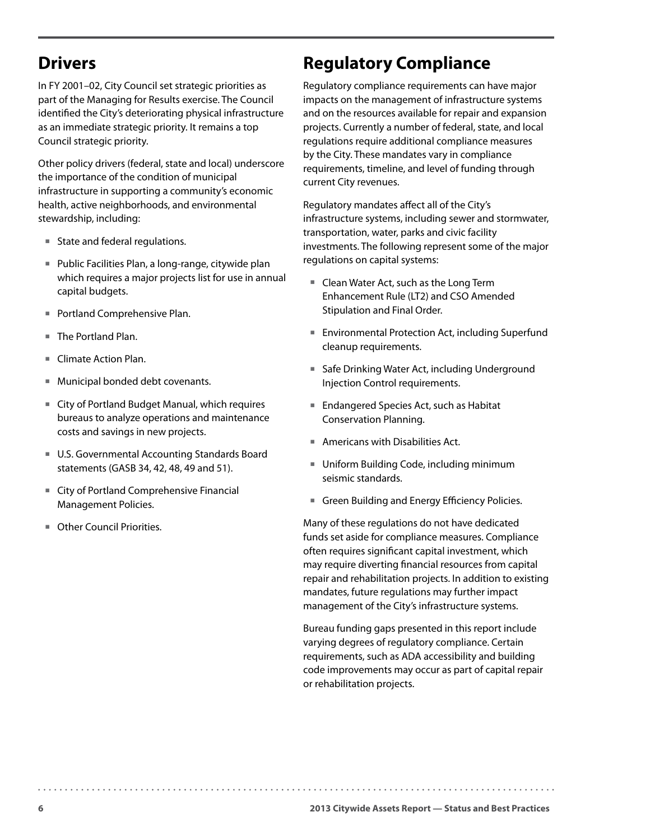## <span id="page-9-0"></span>**Drivers**

In FY 2001–02, City Council set strategic priorities as part of the Managing for Results exercise. The Council identified the City's deteriorating physical infrastructure as an immediate strategic priority. It remains a top Council strategic priority.

Other policy drivers (federal, state and local) underscore the importance of the condition of municipal infrastructure in supporting a community's economic health, active neighborhoods, and environmental stewardship, including:

- State and federal regulations.
- Public Facilities Plan, a long-range, citywide plan which requires a major projects list for use in annual capital budgets.
- **Portland Comprehensive Plan.**
- The Portland Plan.
- Climate Action Plan.
- Municipal bonded debt covenants.
- City of Portland Budget Manual, which requires bureaus to analyze operations and maintenance costs and savings in new projects.
- U.S. Governmental Accounting Standards Board statements (GASB 34, 42, 48, 49 and 51).
- City of Portland Comprehensive Financial Management Policies.
- Other Council Priorities.

# **Regulatory Compliance**

Regulatory compliance requirements can have major impacts on the management of infrastructure systems and on the resources available for repair and expansion projects. Currently a number of federal, state, and local regulations require additional compliance measures by the City. These mandates vary in compliance requirements, timeline, and level of funding through current City revenues.

Regulatory mandates affect all of the City's infrastructure systems, including sewer and stormwater, transportation, water, parks and civic facility investments. The following represent some of the major regulations on capital systems:

- Clean Water Act, such as the Long Term Enhancement Rule (LT2) and CSO Amended Stipulation and Final Order.
- Environmental Protection Act, including Superfund cleanup requirements.
- Safe Drinking Water Act, including Underground Injection Control requirements.
- Endangered Species Act, such as Habitat Conservation Planning.
- Americans with Disabilities Act.
- Uniform Building Code, including minimum seismic standards.
- Green Building and Energy Efficiency Policies.

Many of these regulations do not have dedicated funds set aside for compliance measures. Compliance often requires significant capital investment, which may require diverting financial resources from capital repair and rehabilitation projects. In addition to existing mandates, future regulations may further impact management of the City's infrastructure systems.

Bureau funding gaps presented in this report include varying degrees of regulatory compliance. Certain requirements, such as ADA accessibility and building code improvements may occur as part of capital repair or rehabilitation projects.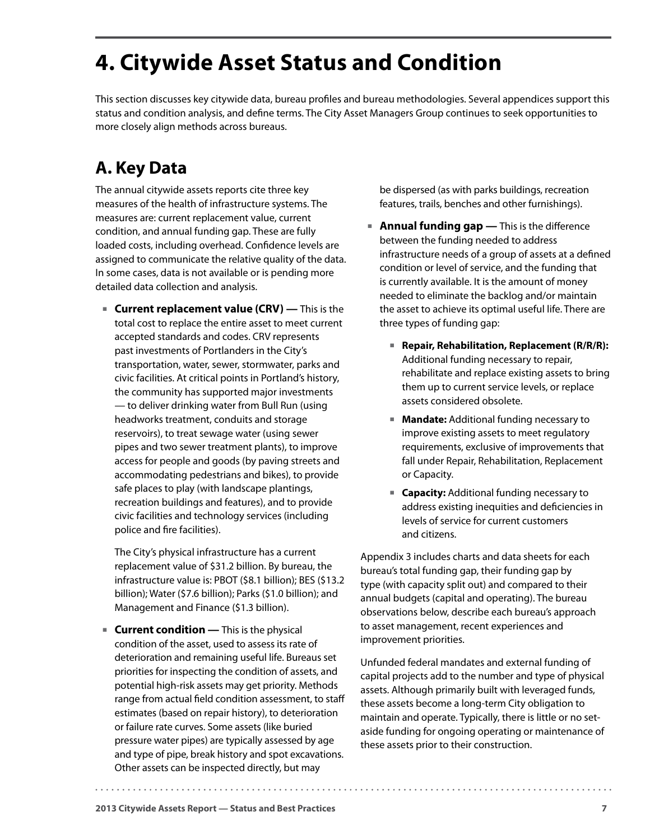# <span id="page-10-0"></span>**4. Citywide Asset Status and Condition**

This section discusses key citywide data, bureau profiles and bureau methodologies. Several appendices support this status and condition analysis, and define terms. The City Asset Managers Group continues to seek opportunities to more closely align methods across bureaus.

# **A. Key Data**

The annual citywide assets reports cite three key measures of the health of infrastructure systems. The measures are: current replacement value, current condition, and annual funding gap. These are fully loaded costs, including overhead. Confidence levels are assigned to communicate the relative quality of the data. In some cases, data is not available or is pending more detailed data collection and analysis.

 **Current replacement value (CRV) —** This is the total cost to replace the entire asset to meet current accepted standards and codes. CRV represents past investments of Portlanders in the City's transportation, water, sewer, stormwater, parks and civic facilities. At critical points in Portland's history, the community has supported major investments — to deliver drinking water from Bull Run (using headworks treatment, conduits and storage reservoirs), to treat sewage water (using sewer pipes and two sewer treatment plants), to improve access for people and goods (by paving streets and accommodating pedestrians and bikes), to provide safe places to play (with landscape plantings, recreation buildings and features), and to provide civic facilities and technology services (including police and fire facilities).

The City's physical infrastructure has a current replacement value of \$31.2 billion. By bureau, the infrastructure value is: PBOT (\$8.1 billion); BES (\$13.2 billion); Water (\$7.6 billion); Parks (\$1.0 billion); and Management and Finance (\$1.3 billion).

**Current condition** — This is the physical condition of the asset, used to assess its rate of deterioration and remaining useful life. Bureaus set priorities for inspecting the condition of assets, and potential high-risk assets may get priority. Methods range from actual field condition assessment, to staff estimates (based on repair history), to deterioration or failure rate curves. Some assets (like buried pressure water pipes) are typically assessed by age and type of pipe, break history and spot excavations. Other assets can be inspected directly, but may

be dispersed (as with parks buildings, recreation features, trails, benches and other furnishings).

- **Annual funding gap** This is the difference between the funding needed to address infrastructure needs of a group of assets at a defined condition or level of service, and the funding that is currently available. It is the amount of money needed to eliminate the backlog and/or maintain the asset to achieve its optimal useful life. There are three types of funding gap:
	- Repair, Rehabilitation, Replacement (R/R/R): Additional funding necessary to repair, rehabilitate and replace existing assets to bring them up to current service levels, or replace assets considered obsolete.
	- **Mandate:** Additional funding necessary to improve existing assets to meet regulatory requirements, exclusive of improvements that fall under Repair, Rehabilitation, Replacement or Capacity.
	- **Capacity:** Additional funding necessary to address existing inequities and deficiencies in levels of service for current customers and citizens.

Appendix 3 includes charts and data sheets for each bureau's total funding gap, their funding gap by type (with capacity split out) and compared to their annual budgets (capital and operating). The bureau observations below, describe each bureau's approach to asset management, recent experiences and improvement priorities.

Unfunded federal mandates and external funding of capital projects add to the number and type of physical assets. Although primarily built with leveraged funds, these assets become a long-term City obligation to maintain and operate. Typically, there is little or no setaside funding for ongoing operating or maintenance of these assets prior to their construction.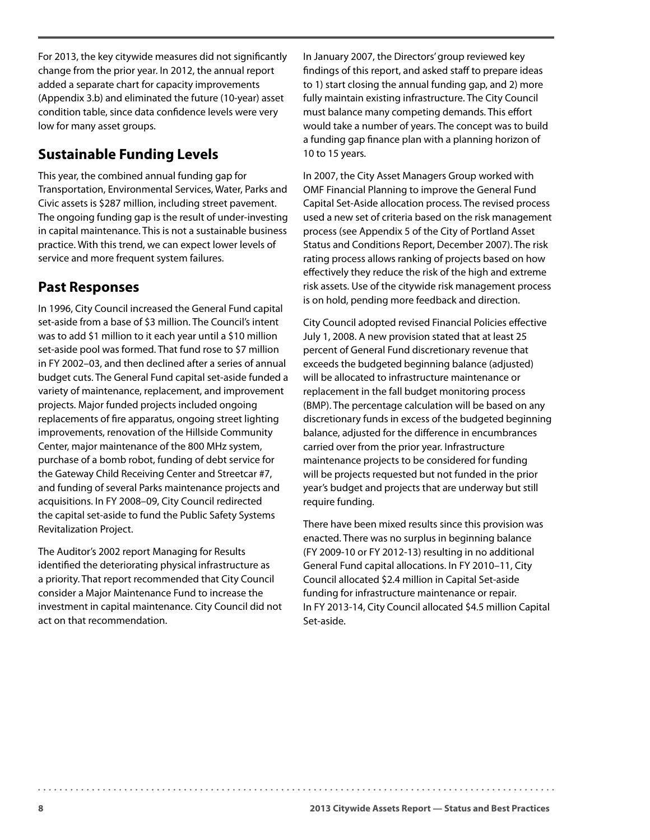For 2013, the key citywide measures did not significantly change from the prior year. In 2012, the annual report added a separate chart for capacity improvements (Appendix 3.b) and eliminated the future (10-year) asset condition table, since data confidence levels were very low for many asset groups.

#### **Sustainable Funding Levels**

This year, the combined annual funding gap for Transportation, Environmental Services, Water, Parks and Civic assets is \$287 million, including street pavement. The ongoing funding gap is the result of under-investing in capital maintenance. This is not a sustainable business practice. With this trend, we can expect lower levels of service and more frequent system failures.

#### **Past Responses**

In 1996, City Council increased the General Fund capital set-aside from a base of \$3 million. The Council's intent was to add \$1 million to it each year until a \$10 million set-aside pool was formed. That fund rose to \$7 million in FY 2002–03, and then declined after a series of annual budget cuts. The General Fund capital set-aside funded a variety of maintenance, replacement, and improvement projects. Major funded projects included ongoing replacements of fire apparatus, ongoing street lighting improvements, renovation of the Hillside Community Center, major maintenance of the 800 MHz system, purchase of a bomb robot, funding of debt service for the Gateway Child Receiving Center and Streetcar #7, and funding of several Parks maintenance projects and acquisitions. In FY 2008–09, City Council redirected the capital set-aside to fund the Public Safety Systems Revitalization Project.

The Auditor's 2002 report Managing for Results identified the deteriorating physical infrastructure as a priority. That report recommended that City Council consider a Major Maintenance Fund to increase the investment in capital maintenance. City Council did not act on that recommendation.

In January 2007, the Directors' group reviewed key findings of this report, and asked staff to prepare ideas to 1) start closing the annual funding gap, and 2) more fully maintain existing infrastructure. The City Council must balance many competing demands. This effort would take a number of years. The concept was to build a funding gap finance plan with a planning horizon of 10 to 15 years.

In 2007, the City Asset Managers Group worked with OMF Financial Planning to improve the General Fund Capital Set-Aside allocation process. The revised process used a new set of criteria based on the risk management process (see Appendix 5 of the City of Portland Asset Status and Conditions Report, December 2007). The risk rating process allows ranking of projects based on how effectively they reduce the risk of the high and extreme risk assets. Use of the citywide risk management process is on hold, pending more feedback and direction.

City Council adopted revised Financial Policies effective July 1, 2008. A new provision stated that at least 25 percent of General Fund discretionary revenue that exceeds the budgeted beginning balance (adjusted) will be allocated to infrastructure maintenance or replacement in the fall budget monitoring process (BMP). The percentage calculation will be based on any discretionary funds in excess of the budgeted beginning balance, adjusted for the difference in encumbrances carried over from the prior year. Infrastructure maintenance projects to be considered for funding will be projects requested but not funded in the prior year's budget and projects that are underway but still require funding.

There have been mixed results since this provision was enacted. There was no surplus in beginning balance (FY 2009-10 or FY 2012-13) resulting in no additional General Fund capital allocations. In FY 2010–11, City Council allocated \$2.4 million in Capital Set-aside funding for infrastructure maintenance or repair. In FY 2013-14, City Council allocated \$4.5 million Capital Set-aside.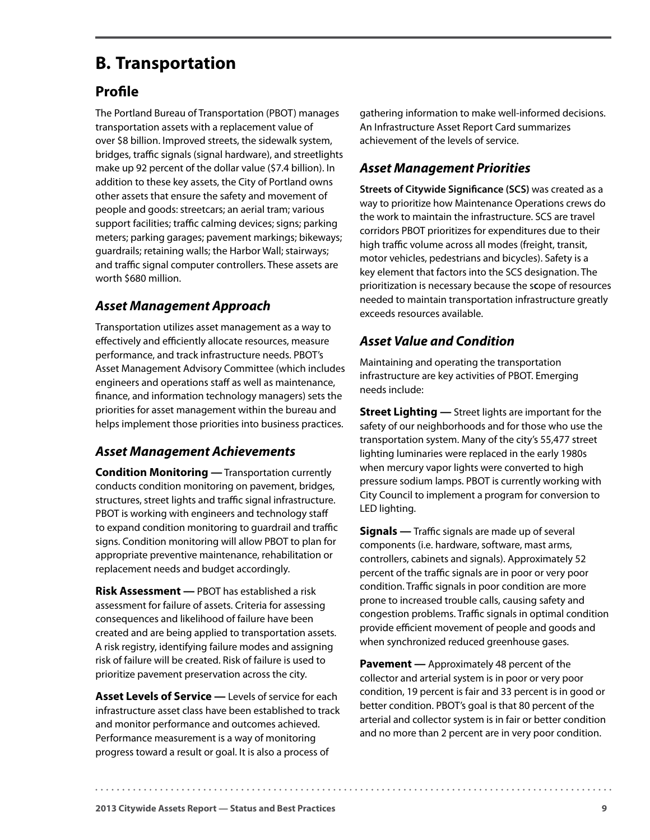## <span id="page-12-0"></span>**B. Transportation**

#### **Profile**

The Portland Bureau of Transportation (PBOT) manages transportation assets with a replacement value of over \$8 billion. Improved streets, the sidewalk system, bridges, traffic signals (signal hardware), and streetlights make up 92 percent of the dollar value (\$7.4 billion). In addition to these key assets, the City of Portland owns other assets that ensure the safety and movement of people and goods: streetcars; an aerial tram; various support facilities; traffic calming devices; signs; parking meters; parking garages; pavement markings; bikeways; guardrails; retaining walls; the Harbor Wall; stairways; and traffic signal computer controllers. These assets are worth \$680 million.

#### *Asset Management Approach*

Transportation utilizes asset management as a way to effectively and efficiently allocate resources, measure performance, and track infrastructure needs. PBOT's Asset Management Advisory Committee (which includes engineers and operations staff as well as maintenance, finance, and information technology managers) sets the priorities for asset management within the bureau and helps implement those priorities into business practices.

#### *Asset Management Achievements*

**Condition Monitoring —** Transportation currently conducts condition monitoring on pavement, bridges, structures, street lights and traffic signal infrastructure. PBOT is working with engineers and technology staff to expand condition monitoring to guardrail and traffic signs. Condition monitoring will allow PBOT to plan for appropriate preventive maintenance, rehabilitation or replacement needs and budget accordingly.

**Risk Assessment —** PBOT has established a risk assessment for failure of assets. Criteria for assessing consequences and likelihood of failure have been created and are being applied to transportation assets. A risk registry, identifying failure modes and assigning risk of failure will be created. Risk of failure is used to prioritize pavement preservation across the city.

**Asset Levels of Service —** Levels of service for each infrastructure asset class have been established to track and monitor performance and outcomes achieved. Performance measurement is a way of monitoring progress toward a result or goal. It is also a process of

gathering information to make well-informed decisions. An Infrastructure Asset Report Card summarizes achievement of the levels of service.

#### *Asset Management Priorities*

**Streets of Citywide Significance (SCS)** was created as a way to prioritize how Maintenance Operations crews do the work to maintain the infrastructure. SCS are travel corridors PBOT prioritizes for expenditures due to their high traffic volume across all modes (freight, transit, motor vehicles, pedestrians and bicycles). Safety is a key element that factors into the SCS designation. The prioritization is necessary because the s**c**ope of resources needed to maintain transportation infrastructure greatly exceeds resources available.

#### *Asset Value and Condition*

Maintaining and operating the transportation infrastructure are key activities of PBOT. Emerging needs include:

**Street Lighting —** Street lights are important for the safety of our neighborhoods and for those who use the transportation system. Many of the city's 55,477 street lighting luminaries were replaced in the early 1980s when mercury vapor lights were converted to high pressure sodium lamps. PBOT is currently working with City Council to implement a program for conversion to LED lighting.

**Signals —** Traffic signals are made up of several components (i.e. hardware, software, mast arms, controllers, cabinets and signals). Approximately 52 percent of the traffic signals are in poor or very poor condition. Traffic signals in poor condition are more prone to increased trouble calls, causing safety and congestion problems. Traffic signals in optimal condition provide efficient movement of people and goods and when synchronized reduced greenhouse gases.

**Pavement —** Approximately 48 percent of the collector and arterial system is in poor or very poor condition, 19 percent is fair and 33 percent is in good or better condition. PBOT's goal is that 80 percent of the arterial and collector system is in fair or better condition and no more than 2 percent are in very poor condition.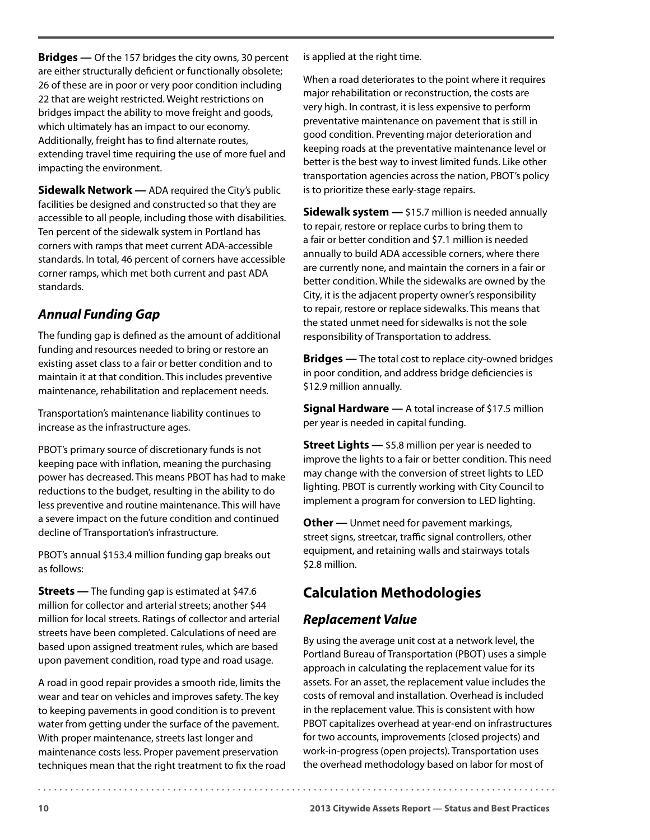**Bridges —** Of the 157 bridges the city owns, 30 percent are either structurally deficient or functionally obsolete; 26 of these are in poor or very poor condition including 22 that are weight restricted. Weight restrictions on bridges impact the ability to move freight and goods, which ultimately has an impact to our economy. Additionally, freight has to find alternate routes, extending travel time requiring the use of more fuel and impacting the environment.

**Sidewalk Network —** ADA required the City's public facilities be designed and constructed so that they are accessible to all people, including those with disabilities. Ten percent of the sidewalk system in Portland has corners with ramps that meet current ADA-accessible standards. In total, 46 percent of corners have accessible corner ramps, which met both current and past ADA standards.

#### *Annual Funding Gap*

The funding gap is defined as the amount of additional funding and resources needed to bring or restore an existing asset class to a fair or better condition and to maintain it at that condition. This includes preventive maintenance, rehabilitation and replacement needs.

Transportation's maintenance liability continues to increase as the infrastructure ages.

PBOT's primary source of discretionary funds is not keeping pace with inflation, meaning the purchasing power has decreased. This means PBOT has had to make reductions to the budget, resulting in the ability to do less preventive and routine maintenance. This will have a severe impact on the future condition and continued decline of Transportation's infrastructure.

PBOT's annual \$153.4 million funding gap breaks out as follows:

**Streets** — The funding gap is estimated at \$47.6 million for collector and arterial streets; another \$44 million for local streets. Ratings of collector and arterial streets have been completed. Calculations of need are based upon assigned treatment rules, which are based upon pavement condition, road type and road usage.

A road in good repair provides a smooth ride, limits the wear and tear on vehicles and improves safety. The key to keeping pavements in good condition is to prevent water from getting under the surface of the pavement. With proper maintenance, streets last longer and maintenance costs less. Proper pavement preservation techniques mean that the right treatment to fix the road is applied at the right time.

When a road deteriorates to the point where it requires major rehabilitation or reconstruction, the costs are very high. In contrast, it is less expensive to perform preventative maintenance on pavement that is still in good condition. Preventing major deterioration and keeping roads at the preventative maintenance level or better is the best way to invest limited funds. Like other transportation agencies across the nation, PBOT's policy is to prioritize these early-stage repairs.

**Sidewalk system —** \$15.7 million is needed annually to repair, restore or replace curbs to bring them to a fair or better condition and \$7.1 million is needed annually to build ADA accessible corners, where there are currently none, and maintain the corners in a fair or better condition. While the sidewalks are owned by the City, it is the adjacent property owner's responsibility to repair, restore or replace sidewalks. This means that the stated unmet need for sidewalks is not the sole responsibility of Transportation to address.

**Bridges —** The total cost to replace city-owned bridges in poor condition, and address bridge deficiencies is \$12.9 million annually.

**Signal Hardware —** A total increase of \$17.5 million per year is needed in capital funding.

**Street Lights —** \$5.8 million per year is needed to improve the lights to a fair or better condition. This need may change with the conversion of street lights to LED lighting. PBOT is currently working with City Council to implement a program for conversion to LED lighting.

**Other —** Unmet need for pavement markings, street signs, streetcar, traffic signal controllers, other equipment, and retaining walls and stairways totals \$2.8 million.

## **Calculation Methodologies**

#### *Replacement Value*

By using the average unit cost at a network level, the Portland Bureau of Transportation (PBOT) uses a simple approach in calculating the replacement value for its assets. For an asset, the replacement value includes the costs of removal and installation. Overhead is included in the replacement value. This is consistent with how PBOT capitalizes overhead at year-end on infrastructures for two accounts, improvements (closed projects) and work-in-progress (open projects). Transportation uses the overhead methodology based on labor for most of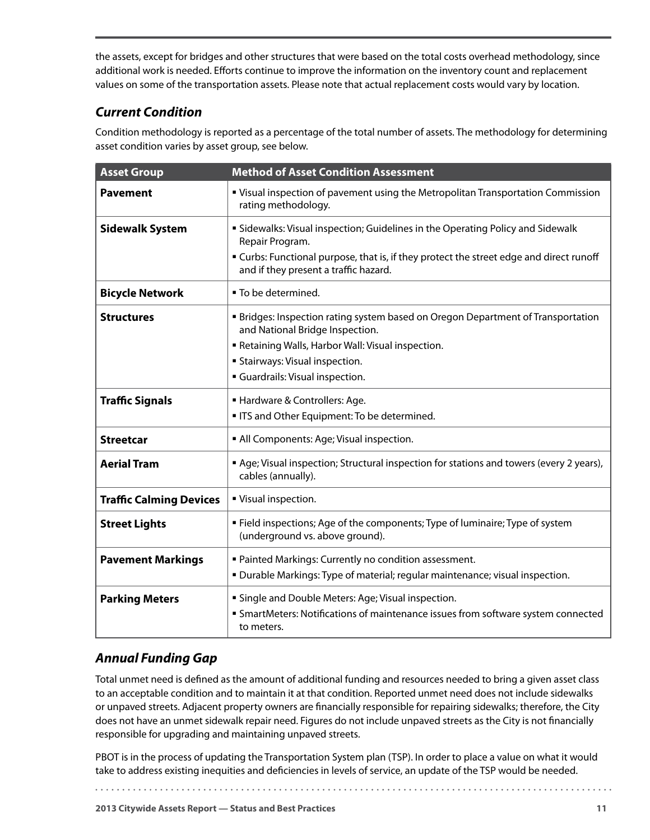the assets, except for bridges and other structures that were based on the total costs overhead methodology, since additional work is needed. Efforts continue to improve the information on the inventory count and replacement values on some of the transportation assets. Please note that actual replacement costs would vary by location.

#### *Current Condition*

Condition methodology is reported as a percentage of the total number of assets. The methodology for determining asset condition varies by asset group, see below.

| <b>Asset Group</b>             | <b>Method of Asset Condition Assessment</b>                                                                                      |
|--------------------------------|----------------------------------------------------------------------------------------------------------------------------------|
| <b>Pavement</b>                | " Visual inspection of pavement using the Metropolitan Transportation Commission<br>rating methodology.                          |
| <b>Sidewalk System</b>         | " Sidewalks: Visual inspection; Guidelines in the Operating Policy and Sidewalk<br>Repair Program.                               |
|                                | " Curbs: Functional purpose, that is, if they protect the street edge and direct runoff<br>and if they present a traffic hazard. |
| <b>Bicycle Network</b>         | ■ To be determined.                                                                                                              |
| <b>Structures</b>              | <b>■ Bridges: Inspection rating system based on Oregon Department of Transportation</b><br>and National Bridge Inspection.       |
|                                | Retaining Walls, Harbor Wall: Visual inspection.                                                                                 |
|                                | <b>Stairways: Visual inspection.</b>                                                                                             |
|                                | <b>Guardrails: Visual inspection.</b>                                                                                            |
| <b>Traffic Signals</b>         | Hardware & Controllers: Age.                                                                                                     |
|                                | ITS and Other Equipment: To be determined.                                                                                       |
| <b>Streetcar</b>               | All Components: Age; Visual inspection.                                                                                          |
| <b>Aerial Tram</b>             | Age; Visual inspection; Structural inspection for stations and towers (every 2 years),<br>cables (annually).                     |
| <b>Traffic Calming Devices</b> | " Visual inspection.                                                                                                             |
| <b>Street Lights</b>           | ■ Field inspections; Age of the components; Type of luminaire; Type of system<br>(underground vs. above ground).                 |
| <b>Pavement Markings</b>       | " Painted Markings: Currently no condition assessment.                                                                           |
|                                | . Durable Markings: Type of material; regular maintenance; visual inspection.                                                    |
| <b>Parking Meters</b>          | " Single and Double Meters: Age; Visual inspection.                                                                              |
|                                | <b>SmartMeters: Notifications of maintenance issues from software system connected</b><br>to meters.                             |

#### *Annual Funding Gap*

Total unmet need is defined as the amount of additional funding and resources needed to bring a given asset class to an acceptable condition and to maintain it at that condition. Reported unmet need does not include sidewalks or unpaved streets. Adjacent property owners are financially responsible for repairing sidewalks; therefore, the City does not have an unmet sidewalk repair need. Figures do not include unpaved streets as the City is not financially responsible for upgrading and maintaining unpaved streets.

PBOT is in the process of updating the Transportation System plan (TSP). In order to place a value on what it would take to address existing inequities and deficiencies in levels of service, an update of the TSP would be needed.

. . . . . . . . . . .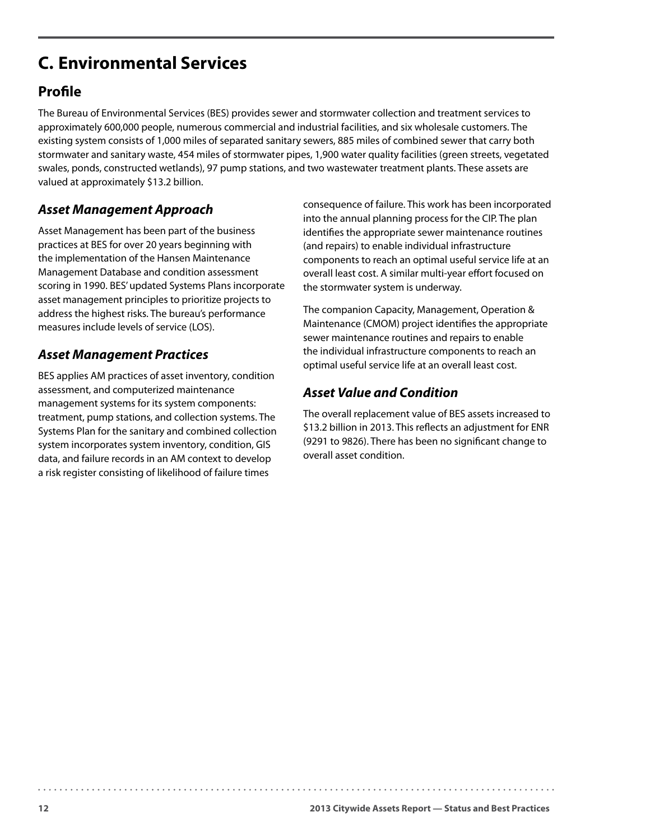# <span id="page-15-0"></span>**C. Environmental Services**

### **Profile**

The Bureau of Environmental Services (BES) provides sewer and stormwater collection and treatment services to approximately 600,000 people, numerous commercial and industrial facilities, and six wholesale customers. The existing system consists of 1,000 miles of separated sanitary sewers, 885 miles of combined sewer that carry both stormwater and sanitary waste, 454 miles of stormwater pipes, 1,900 water quality facilities (green streets, vegetated swales, ponds, constructed wetlands), 97 pump stations, and two wastewater treatment plants. These assets are valued at approximately \$13.2 billion.

#### *Asset Management Approach*

Asset Management has been part of the business practices at BES for over 20 years beginning with the implementation of the Hansen Maintenance Management Database and condition assessment scoring in 1990. BES' updated Systems Plans incorporate asset management principles to prioritize projects to address the highest risks. The bureau's performance measures include levels of service (LOS).

#### *Asset Management Practices*

BES applies AM practices of asset inventory, condition assessment, and computerized maintenance management systems for its system components: treatment, pump stations, and collection systems. The Systems Plan for the sanitary and combined collection system incorporates system inventory, condition, GIS data, and failure records in an AM context to develop a risk register consisting of likelihood of failure times

consequence of failure. This work has been incorporated into the annual planning process for the CIP. The plan identifies the appropriate sewer maintenance routines (and repairs) to enable individual infrastructure components to reach an optimal useful service life at an overall least cost. A similar multi-year effort focused on the stormwater system is underway.

The companion Capacity, Management, Operation & Maintenance (CMOM) project identifies the appropriate sewer maintenance routines and repairs to enable the individual infrastructure components to reach an optimal useful service life at an overall least cost.

#### *Asset Value and Condition*

The overall replacement value of BES assets increased to \$13.2 billion in 2013. This reflects an adjustment for ENR (9291 to 9826). There has been no significant change to overall asset condition.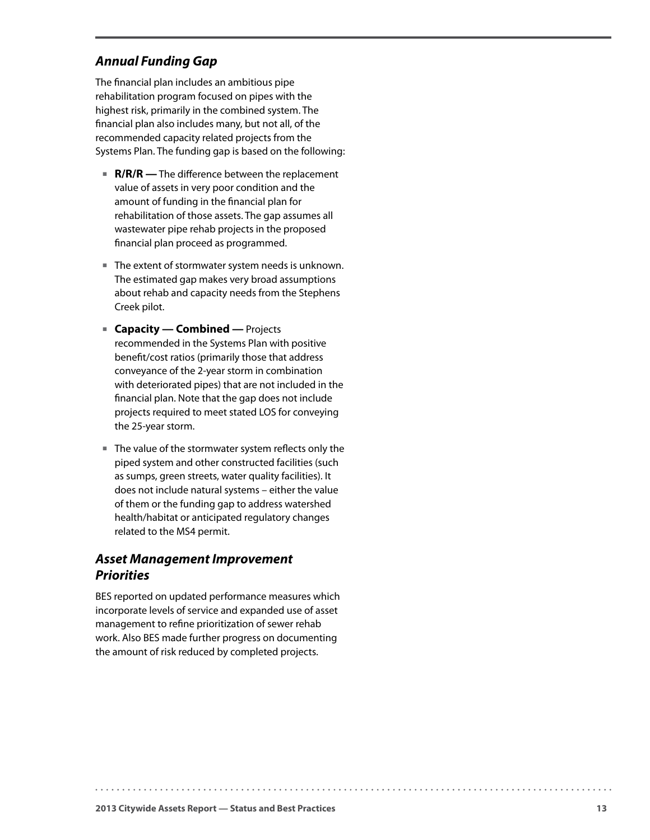#### *Annual Funding Gap*

The financial plan includes an ambitious pipe rehabilitation program focused on pipes with the highest risk, primarily in the combined system. The financial plan also includes many, but not all, of the recommended capacity related projects from the Systems Plan. The funding gap is based on the following:

- **R/R/R** The difference between the replacement value of assets in very poor condition and the amount of funding in the financial plan for rehabilitation of those assets. The gap assumes all wastewater pipe rehab projects in the proposed financial plan proceed as programmed.
- The extent of stormwater system needs is unknown. The estimated gap makes very broad assumptions about rehab and capacity needs from the Stephens Creek pilot.
- **Capacity Combined Projects** recommended in the Systems Plan with positive benefit/cost ratios (primarily those that address conveyance of the 2-year storm in combination with deteriorated pipes) that are not included in the financial plan. Note that the gap does not include projects required to meet stated LOS for conveying the 25-year storm.
- The value of the stormwater system reflects only the piped system and other constructed facilities (such as sumps, green streets, water quality facilities). It does not include natural systems – either the value of them or the funding gap to address watershed health/habitat or anticipated regulatory changes related to the MS4 permit.

#### *Asset Management Improvement Priorities*

BES reported on updated performance measures which incorporate levels of service and expanded use of asset management to refine prioritization of sewer rehab work. Also BES made further progress on documenting the amount of risk reduced by completed projects.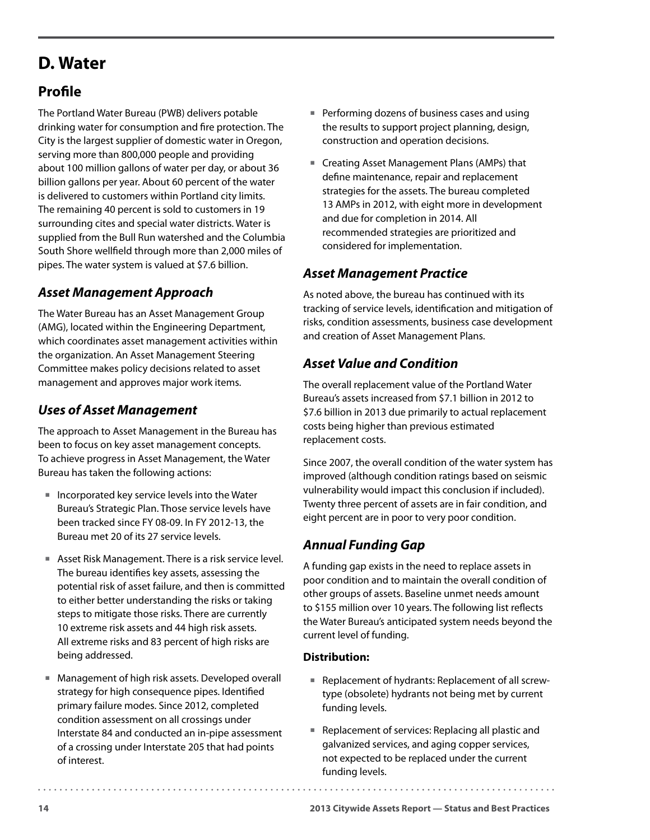# <span id="page-17-0"></span>**D. Water**

## **Profile**

The Portland Water Bureau (PWB) delivers potable drinking water for consumption and fire protection. The City is the largest supplier of domestic water in Oregon, serving more than 800,000 people and providing about 100 million gallons of water per day, or about 36 billion gallons per year. About 60 percent of the water is delivered to customers within Portland city limits. The remaining 40 percent is sold to customers in 19 surrounding cites and special water districts. Water is supplied from the Bull Run watershed and the Columbia South Shore wellfield through more than 2,000 miles of pipes. The water system is valued at \$7.6 billion.

#### *Asset Management Approach*

The Water Bureau has an Asset Management Group (AMG), located within the Engineering Department, which coordinates asset management activities within the organization. An Asset Management Steering Committee makes policy decisions related to asset management and approves major work items.

### *Uses of Asset Management*

The approach to Asset Management in the Bureau has been to focus on key asset management concepts. To achieve progress in Asset Management, the Water Bureau has taken the following actions:

- $\blacksquare$  Incorporated key service levels into the Water Bureau's Strategic Plan. Those service levels have been tracked since FY 08-09. In FY 2012-13, the Bureau met 20 of its 27 service levels.
- Asset Risk Management. There is a risk service level. The bureau identifies key assets, assessing the potential risk of asset failure, and then is committed to either better understanding the risks or taking steps to mitigate those risks. There are currently 10 extreme risk assets and 44 high risk assets. All extreme risks and 83 percent of high risks are being addressed.
- Management of high risk assets. Developed overall strategy for high consequence pipes. Identified primary failure modes. Since 2012, completed condition assessment on all crossings under Interstate 84 and conducted an in-pipe assessment of a crossing under Interstate 205 that had points of interest.
- **Performing dozens of business cases and using** the results to support project planning, design, construction and operation decisions.
- Creating Asset Management Plans (AMPs) that define maintenance, repair and replacement strategies for the assets. The bureau completed 13 AMPs in 2012, with eight more in development and due for completion in 2014. All recommended strategies are prioritized and considered for implementation.

#### *Asset Management Practice*

As noted above, the bureau has continued with its tracking of service levels, identification and mitigation of risks, condition assessments, business case development and creation of Asset Management Plans.

#### *Asset Value and Condition*

The overall replacement value of the Portland Water Bureau's assets increased from \$7.1 billion in 2012 to \$7.6 billion in 2013 due primarily to actual replacement costs being higher than previous estimated replacement costs.

Since 2007, the overall condition of the water system has improved (although condition ratings based on seismic vulnerability would impact this conclusion if included). Twenty three percent of assets are in fair condition, and eight percent are in poor to very poor condition.

### *Annual Funding Gap*

A funding gap exists in the need to replace assets in poor condition and to maintain the overall condition of other groups of assets. Baseline unmet needs amount to \$155 million over 10 years. The following list reflects the Water Bureau's anticipated system needs beyond the current level of funding.

#### **Distribution:**

- Replacement of hydrants: Replacement of all screwtype (obsolete) hydrants not being met by current funding levels.
- Replacement of services: Replacing all plastic and galvanized services, and aging copper services, not expected to be replaced under the current funding levels.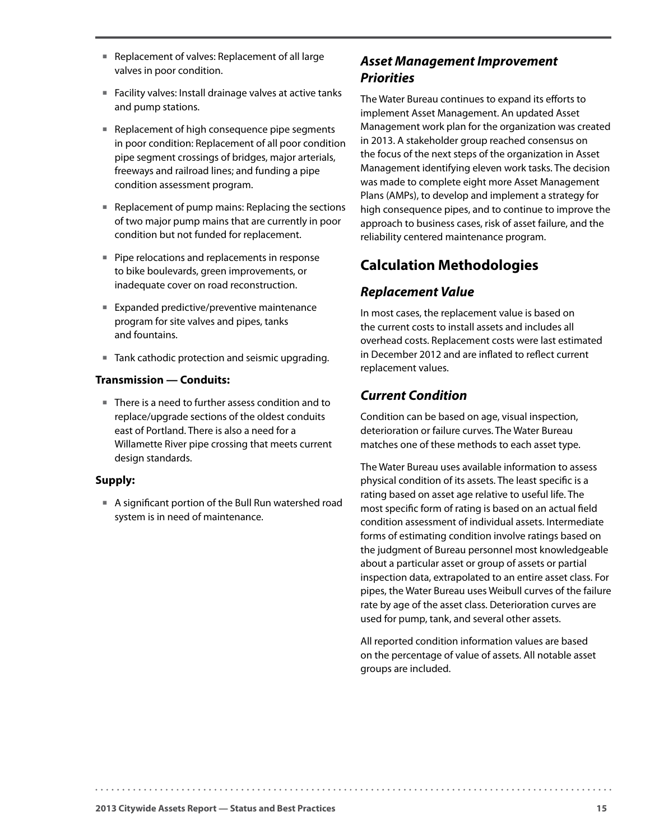- Replacement of valves: Replacement of all large valves in poor condition.
- Facility valves: Install drainage valves at active tanks and pump stations.
- Replacement of high consequence pipe segments in poor condition: Replacement of all poor condition pipe segment crossings of bridges, major arterials, freeways and railroad lines; and funding a pipe condition assessment program.
- Replacement of pump mains: Replacing the sections of two major pump mains that are currently in poor condition but not funded for replacement.
- **Pipe relocations and replacements in response** to bike boulevards, green improvements, or inadequate cover on road reconstruction.
- Expanded predictive/preventive maintenance program for site valves and pipes, tanks and fountains.
- Tank cathodic protection and seismic upgrading.

#### **Transmission — Conduits:**

■ There is a need to further assess condition and to replace/upgrade sections of the oldest conduits east of Portland. There is also a need for a Willamette River pipe crossing that meets current design standards.

#### **Supply:**

 A significant portion of the Bull Run watershed road system is in need of maintenance.

#### *Asset Management Improvement Priorities*

The Water Bureau continues to expand its efforts to implement Asset Management. An updated Asset Management work plan for the organization was created in 2013. A stakeholder group reached consensus on the focus of the next steps of the organization in Asset Management identifying eleven work tasks. The decision was made to complete eight more Asset Management Plans (AMPs), to develop and implement a strategy for high consequence pipes, and to continue to improve the approach to business cases, risk of asset failure, and the reliability centered maintenance program.

### **Calculation Methodologies**

#### *Replacement Value*

In most cases, the replacement value is based on the current costs to install assets and includes all overhead costs. Replacement costs were last estimated in December 2012 and are inflated to reflect current replacement values.

#### *Current Condition*

Condition can be based on age, visual inspection, deterioration or failure curves. The Water Bureau matches one of these methods to each asset type.

The Water Bureau uses available information to assess physical condition of its assets. The least specific is a rating based on asset age relative to useful life. The most specific form of rating is based on an actual field condition assessment of individual assets. Intermediate forms of estimating condition involve ratings based on the judgment of Bureau personnel most knowledgeable about a particular asset or group of assets or partial inspection data, extrapolated to an entire asset class. For pipes, the Water Bureau uses Weibull curves of the failure rate by age of the asset class. Deterioration curves are used for pump, tank, and several other assets.

All reported condition information values are based on the percentage of value of assets. All notable asset groups are included.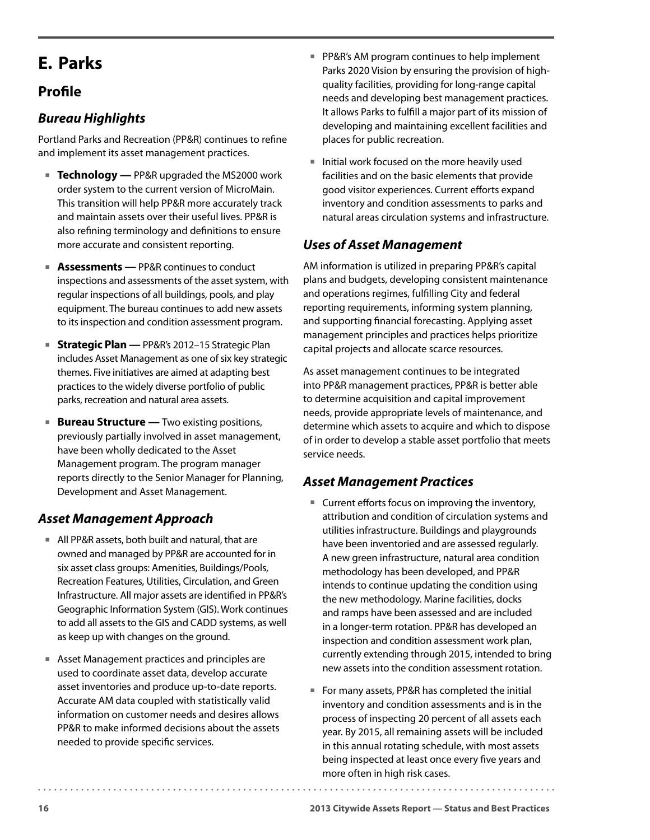# <span id="page-19-0"></span>**E. Parks**

### **Profile**

#### *Bureau Highlights*

Portland Parks and Recreation (PP&R) continues to refine and implement its asset management practices.

- **Technology** PP&R upgraded the MS2000 work order system to the current version of MicroMain. This transition will help PP&R more accurately track and maintain assets over their useful lives. PP&R is also refining terminology and definitions to ensure more accurate and consistent reporting.
- **Assessments** PP&R continues to conduct inspections and assessments of the asset system, with regular inspections of all buildings, pools, and play equipment. The bureau continues to add new assets to its inspection and condition assessment program.
- **Strategic Plan PP&R's 2012-15 Strategic Plan** includes Asset Management as one of six key strategic themes. Five initiatives are aimed at adapting best practices to the widely diverse portfolio of public parks, recreation and natural area assets.
- **Bureau Structure** Two existing positions, previously partially involved in asset management, have been wholly dedicated to the Asset Management program. The program manager reports directly to the Senior Manager for Planning, Development and Asset Management.

#### *Asset Management Approach*

- All PP&R assets, both built and natural, that are owned and managed by PP&R are accounted for in six asset class groups: Amenities, Buildings/Pools, Recreation Features, Utilities, Circulation, and Green Infrastructure. All major assets are identified in PP&R's Geographic Information System (GIS). Work continues to add all assets to the GIS and CADD systems, as well as keep up with changes on the ground.
- Asset Management practices and principles are used to coordinate asset data, develop accurate asset inventories and produce up-to-date reports. Accurate AM data coupled with statistically valid information on customer needs and desires allows PP&R to make informed decisions about the assets needed to provide specific services.
- **PP&R's AM program continues to help implement** Parks 2020 Vision by ensuring the provision of highquality facilities, providing for long-range capital needs and developing best management practices. It allows Parks to fulfill a major part of its mission of developing and maintaining excellent facilities and places for public recreation.
- $\blacksquare$  Initial work focused on the more heavily used facilities and on the basic elements that provide good visitor experiences. Current efforts expand inventory and condition assessments to parks and natural areas circulation systems and infrastructure.

#### *Uses of Asset Management*

AM information is utilized in preparing PP&R's capital plans and budgets, developing consistent maintenance and operations regimes, fulfilling City and federal reporting requirements, informing system planning, and supporting financial forecasting. Applying asset management principles and practices helps prioritize capital projects and allocate scarce resources.

As asset management continues to be integrated into PP&R management practices, PP&R is better able to determine acquisition and capital improvement needs, provide appropriate levels of maintenance, and determine which assets to acquire and which to dispose of in order to develop a stable asset portfolio that meets service needs.

#### *Asset Management Practices*

- Current efforts focus on improving the inventory, attribution and condition of circulation systems and utilities infrastructure. Buildings and playgrounds have been inventoried and are assessed regularly. A new green infrastructure, natural area condition methodology has been developed, and PP&R intends to continue updating the condition using the new methodology. Marine facilities, docks and ramps have been assessed and are included in a longer-term rotation. PP&R has developed an inspection and condition assessment work plan, currently extending through 2015, intended to bring new assets into the condition assessment rotation.
- For many assets, PP&R has completed the initial inventory and condition assessments and is in the process of inspecting 20 percent of all assets each year. By 2015, all remaining assets will be included in this annual rotating schedule, with most assets being inspected at least once every five years and more often in high risk cases.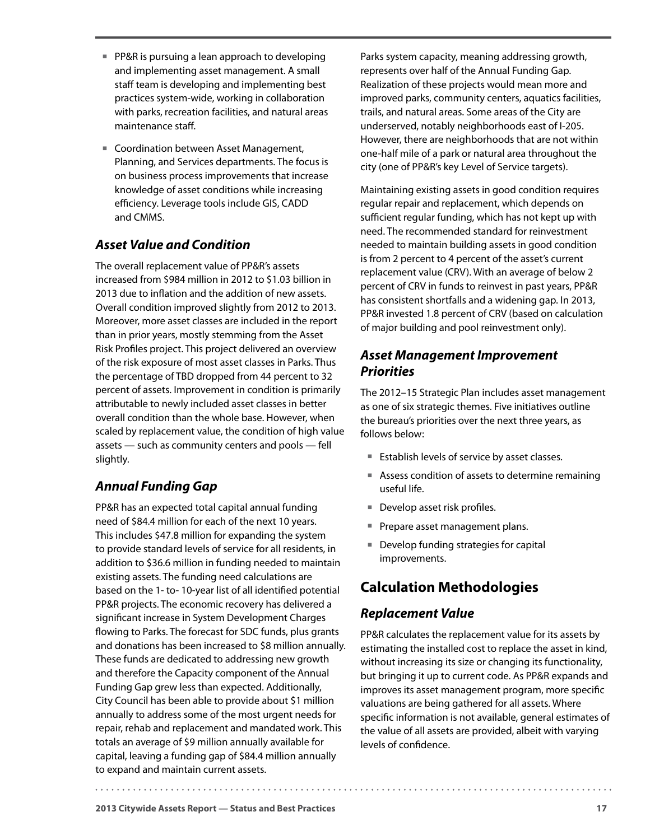- **PP&R** is pursuing a lean approach to developing and implementing asset management. A small staff team is developing and implementing best practices system-wide, working in collaboration with parks, recreation facilities, and natural areas maintenance staff.
- Coordination between Asset Management, Planning, and Services departments. The focus is on business process improvements that increase knowledge of asset conditions while increasing efficiency. Leverage tools include GIS, CADD and CMMS.

#### *Asset Value and Condition*

The overall replacement value of PP&R's assets increased from \$984 million in 2012 to \$1.03 billion in 2013 due to inflation and the addition of new assets. Overall condition improved slightly from 2012 to 2013. Moreover, more asset classes are included in the report than in prior years, mostly stemming from the Asset Risk Profiles project. This project delivered an overview of the risk exposure of most asset classes in Parks. Thus the percentage of TBD dropped from 44 percent to 32 percent of assets. Improvement in condition is primarily attributable to newly included asset classes in better overall condition than the whole base. However, when scaled by replacement value, the condition of high value assets — such as community centers and pools — fell slightly.

#### *Annual Funding Gap*

PP&R has an expected total capital annual funding need of \$84.4 million for each of the next 10 years. This includes \$47.8 million for expanding the system to provide standard levels of service for all residents, in addition to \$36.6 million in funding needed to maintain existing assets. The funding need calculations are based on the 1- to- 10-year list of all identified potential PP&R projects. The economic recovery has delivered a significant increase in System Development Charges flowing to Parks. The forecast for SDC funds, plus grants and donations has been increased to \$8 million annually. These funds are dedicated to addressing new growth and therefore the Capacity component of the Annual Funding Gap grew less than expected. Additionally, City Council has been able to provide about \$1 million annually to address some of the most urgent needs for repair, rehab and replacement and mandated work. This totals an average of \$9 million annually available for capital, leaving a funding gap of \$84.4 million annually to expand and maintain current assets.

Parks system capacity, meaning addressing growth, represents over half of the Annual Funding Gap. Realization of these projects would mean more and improved parks, community centers, aquatics facilities, trails, and natural areas. Some areas of the City are underserved, notably neighborhoods east of I-205. However, there are neighborhoods that are not within one-half mile of a park or natural area throughout the city (one of PP&R's key Level of Service targets).

Maintaining existing assets in good condition requires regular repair and replacement, which depends on sufficient regular funding, which has not kept up with need. The recommended standard for reinvestment needed to maintain building assets in good condition is from 2 percent to 4 percent of the asset's current replacement value (CRV). With an average of below 2 percent of CRV in funds to reinvest in past years, PP&R has consistent shortfalls and a widening gap. In 2013, PP&R invested 1.8 percent of CRV (based on calculation of major building and pool reinvestment only).

#### *Asset Management Improvement Priorities*

The 2012–15 Strategic Plan includes asset management as one of six strategic themes. Five initiatives outline the bureau's priorities over the next three years, as follows below:

- Establish levels of service by asset classes.
- Assess condition of assets to determine remaining useful life.
- **Develop asset risk profiles.**
- Prepare asset management plans.
- Develop funding strategies for capital improvements.

### **Calculation Methodologies**

#### *Replacement Value*

PP&R calculates the replacement value for its assets by estimating the installed cost to replace the asset in kind, without increasing its size or changing its functionality, but bringing it up to current code. As PP&R expands and improves its asset management program, more specific valuations are being gathered for all assets. Where specific information is not available, general estimates of the value of all assets are provided, albeit with varying levels of confidence.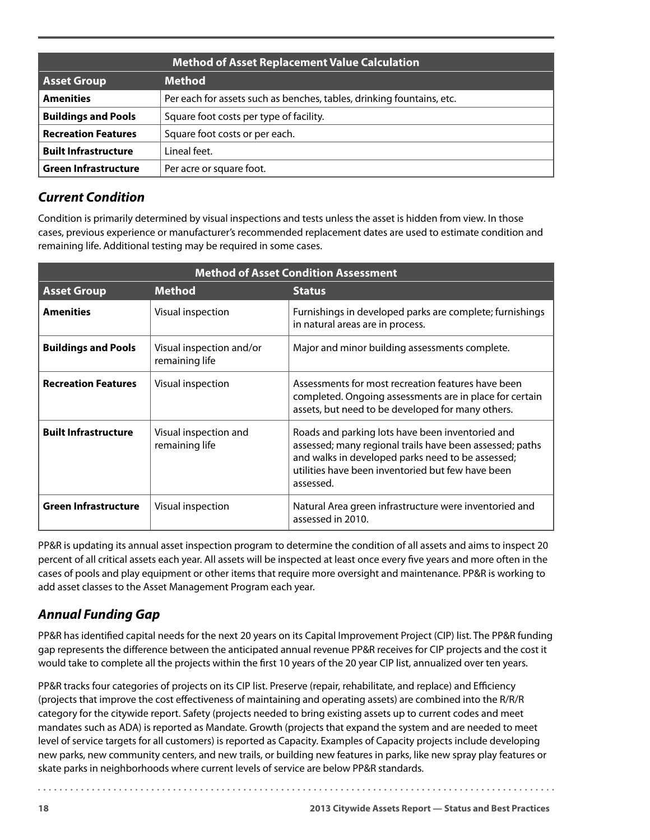|                             | <b>Method of Asset Replacement Value Calculation</b>                  |
|-----------------------------|-----------------------------------------------------------------------|
| <b>Asset Group</b>          | <b>Method</b>                                                         |
| <b>Amenities</b>            | Per each for assets such as benches, tables, drinking fountains, etc. |
| <b>Buildings and Pools</b>  | Square foot costs per type of facility.                               |
| <b>Recreation Features</b>  | Square foot costs or per each.                                        |
| <b>Built Infrastructure</b> | l ineal feet.                                                         |
| <b>Green Infrastructure</b> | Per acre or square foot.                                              |

#### *Current Condition*

Condition is primarily determined by visual inspections and tests unless the asset is hidden from view. In those cases, previous experience or manufacturer's recommended replacement dates are used to estimate condition and remaining life. Additional testing may be required in some cases.

| <b>Method of Asset Condition Assessment</b> |                                            |                                                                                                                                                                                                                                     |
|---------------------------------------------|--------------------------------------------|-------------------------------------------------------------------------------------------------------------------------------------------------------------------------------------------------------------------------------------|
| <b>Asset Group</b>                          | <b>Method</b>                              | <b>Status</b>                                                                                                                                                                                                                       |
| <b>Amenities</b>                            | Visual inspection                          | Furnishings in developed parks are complete; furnishings<br>in natural areas are in process.                                                                                                                                        |
| <b>Buildings and Pools</b>                  | Visual inspection and/or<br>remaining life | Major and minor building assessments complete.                                                                                                                                                                                      |
| <b>Recreation Features</b>                  | Visual inspection                          | Assessments for most recreation features have been<br>completed. Ongoing assessments are in place for certain<br>assets, but need to be developed for many others.                                                                  |
| <b>Built Infrastructure</b>                 | Visual inspection and<br>remaining life    | Roads and parking lots have been inventoried and<br>assessed; many regional trails have been assessed; paths<br>and walks in developed parks need to be assessed;<br>utilities have been inventoried but few have been<br>assessed. |
| <b>Green Infrastructure</b>                 | Visual inspection                          | Natural Area green infrastructure were inventoried and<br>assessed in 2010.                                                                                                                                                         |

PP&R is updating its annual asset inspection program to determine the condition of all assets and aims to inspect 20 percent of all critical assets each year. All assets will be inspected at least once every five years and more often in the cases of pools and play equipment or other items that require more oversight and maintenance. PP&R is working to add asset classes to the Asset Management Program each year.

### *Annual Funding Gap*

PP&R has identified capital needs for the next 20 years on its Capital Improvement Project (CIP) list. The PP&R funding gap represents the difference between the anticipated annual revenue PP&R receives for CIP projects and the cost it would take to complete all the projects within the first 10 years of the 20 year CIP list, annualized over ten years.

PP&R tracks four categories of projects on its CIP list. Preserve (repair, rehabilitate, and replace) and Efficiency (projects that improve the cost effectiveness of maintaining and operating assets) are combined into the R/R/R category for the citywide report. Safety (projects needed to bring existing assets up to current codes and meet mandates such as ADA) is reported as Mandate. Growth (projects that expand the system and are needed to meet level of service targets for all customers) is reported as Capacity. Examples of Capacity projects include developing new parks, new community centers, and new trails, or building new features in parks, like new spray play features or skate parks in neighborhoods where current levels of service are below PP&R standards.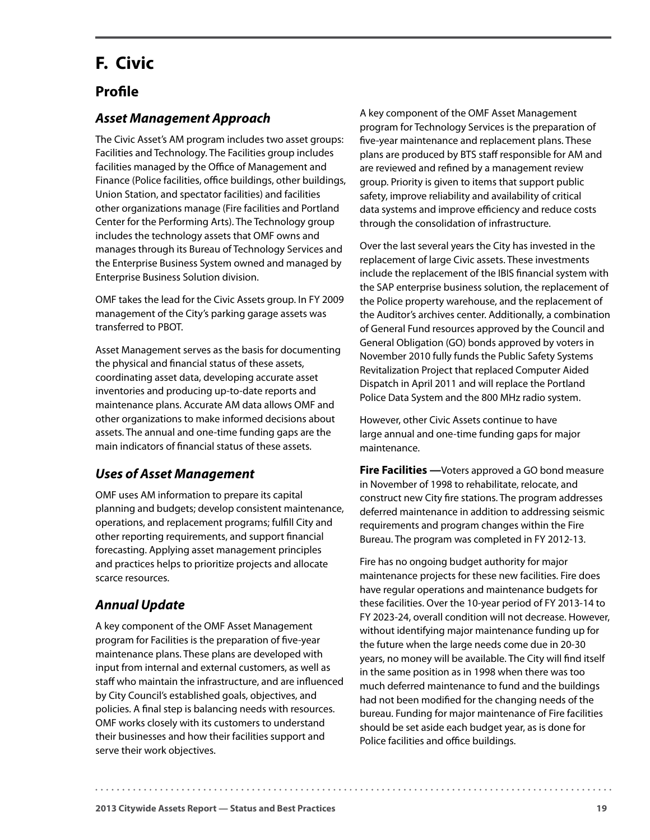# <span id="page-22-0"></span>**F. Civic**

#### **Profile**

#### *Asset Management Approach*

The Civic Asset's AM program includes two asset groups: Facilities and Technology. The Facilities group includes facilities managed by the Office of Management and Finance (Police facilities, office buildings, other buildings, Union Station, and spectator facilities) and facilities other organizations manage (Fire facilities and Portland Center for the Performing Arts). The Technology group includes the technology assets that OMF owns and manages through its Bureau of Technology Services and the Enterprise Business System owned and managed by Enterprise Business Solution division.

OMF takes the lead for the Civic Assets group. In FY 2009 management of the City's parking garage assets was transferred to PBOT.

Asset Management serves as the basis for documenting the physical and financial status of these assets, coordinating asset data, developing accurate asset inventories and producing up-to-date reports and maintenance plans. Accurate AM data allows OMF and other organizations to make informed decisions about assets. The annual and one-time funding gaps are the main indicators of financial status of these assets.

#### *Uses of Asset Management*

OMF uses AM information to prepare its capital planning and budgets; develop consistent maintenance, operations, and replacement programs; fulfill City and other reporting requirements, and support financial forecasting. Applying asset management principles and practices helps to prioritize projects and allocate scarce resources.

#### *Annual Update*

A key component of the OMF Asset Management program for Facilities is the preparation of five-year maintenance plans. These plans are developed with input from internal and external customers, as well as staff who maintain the infrastructure, and are influenced by City Council's established goals, objectives, and policies. A final step is balancing needs with resources. OMF works closely with its customers to understand their businesses and how their facilities support and serve their work objectives.

A key component of the OMF Asset Management program for Technology Services is the preparation of five-year maintenance and replacement plans. These plans are produced by BTS staff responsible for AM and are reviewed and refined by a management review group. Priority is given to items that support public safety, improve reliability and availability of critical data systems and improve efficiency and reduce costs through the consolidation of infrastructure.

Over the last several years the City has invested in the replacement of large Civic assets. These investments include the replacement of the IBIS financial system with the SAP enterprise business solution, the replacement of the Police property warehouse, and the replacement of the Auditor's archives center. Additionally, a combination of General Fund resources approved by the Council and General Obligation (GO) bonds approved by voters in November 2010 fully funds the Public Safety Systems Revitalization Project that replaced Computer Aided Dispatch in April 2011 and will replace the Portland Police Data System and the 800 MHz radio system.

However, other Civic Assets continue to have large annual and one-time funding gaps for major maintenance.

**Fire Facilities** — Voters approved a GO bond measure in November of 1998 to rehabilitate, relocate, and construct new City fire stations. The program addresses deferred maintenance in addition to addressing seismic requirements and program changes within the Fire Bureau. The program was completed in FY 2012-13.

Fire has no ongoing budget authority for major maintenance projects for these new facilities. Fire does have regular operations and maintenance budgets for these facilities. Over the 10-year period of FY 2013-14 to FY 2023-24, overall condition will not decrease. However, without identifying major maintenance funding up for the future when the large needs come due in 20-30 years, no money will be available. The City will find itself in the same position as in 1998 when there was too much deferred maintenance to fund and the buildings had not been modified for the changing needs of the bureau. Funding for major maintenance of Fire facilities should be set aside each budget year, as is done for Police facilities and office buildings.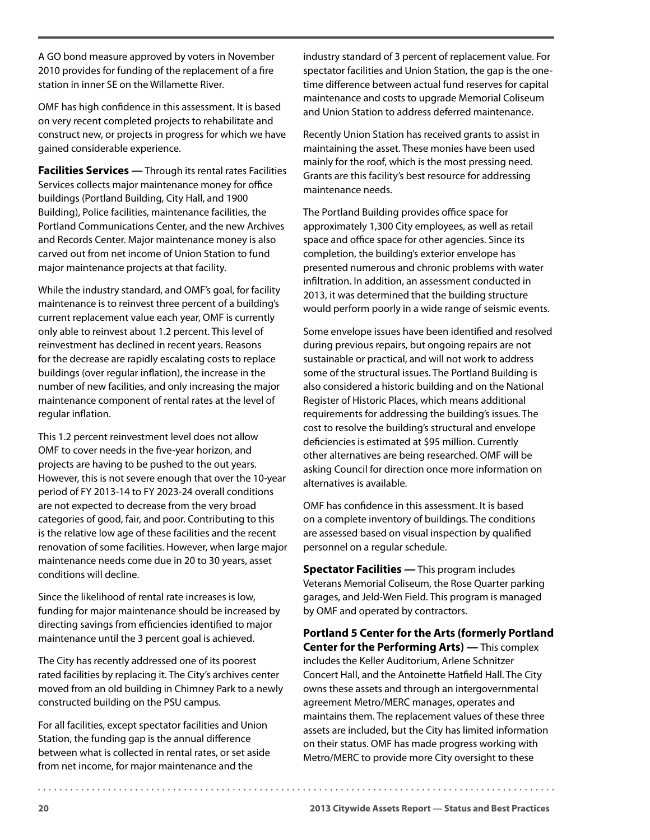A GO bond measure approved by voters in November 2010 provides for funding of the replacement of a fire station in inner SE on the Willamette River.

OMF has high confidence in this assessment. It is based on very recent completed projects to rehabilitate and construct new, or projects in progress for which we have gained considerable experience.

**Facilities Services —** Through its rental rates Facilities Services collects major maintenance money for office buildings (Portland Building, City Hall, and 1900 Building), Police facilities, maintenance facilities, the Portland Communications Center, and the new Archives and Records Center. Major maintenance money is also carved out from net income of Union Station to fund major maintenance projects at that facility.

While the industry standard, and OMF's goal, for facility maintenance is to reinvest three percent of a building's current replacement value each year, OMF is currently only able to reinvest about 1.2 percent. This level of reinvestment has declined in recent years. Reasons for the decrease are rapidly escalating costs to replace buildings (over regular inflation), the increase in the number of new facilities, and only increasing the major maintenance component of rental rates at the level of regular inflation.

This 1.2 percent reinvestment level does not allow OMF to cover needs in the five-year horizon, and projects are having to be pushed to the out years. However, this is not severe enough that over the 10-year period of FY 2013-14 to FY 2023-24 overall conditions are not expected to decrease from the very broad categories of good, fair, and poor. Contributing to this is the relative low age of these facilities and the recent renovation of some facilities. However, when large major maintenance needs come due in 20 to 30 years, asset conditions will decline.

Since the likelihood of rental rate increases is low, funding for major maintenance should be increased by directing savings from efficiencies identified to major maintenance until the 3 percent goal is achieved.

The City has recently addressed one of its poorest rated facilities by replacing it. The City's archives center moved from an old building in Chimney Park to a newly constructed building on the PSU campus.

For all facilities, except spectator facilities and Union Station, the funding gap is the annual difference between what is collected in rental rates, or set aside from net income, for major maintenance and the

industry standard of 3 percent of replacement value. For spectator facilities and Union Station, the gap is the onetime difference between actual fund reserves for capital maintenance and costs to upgrade Memorial Coliseum and Union Station to address deferred maintenance.

Recently Union Station has received grants to assist in maintaining the asset. These monies have been used mainly for the roof, which is the most pressing need. Grants are this facility's best resource for addressing maintenance needs.

The Portland Building provides office space for approximately 1,300 City employees, as well as retail space and office space for other agencies. Since its completion, the building's exterior envelope has presented numerous and chronic problems with water infiltration. In addition, an assessment conducted in 2013, it was determined that the building structure would perform poorly in a wide range of seismic events.

Some envelope issues have been identified and resolved during previous repairs, but ongoing repairs are not sustainable or practical, and will not work to address some of the structural issues. The Portland Building is also considered a historic building and on the National Register of Historic Places, which means additional requirements for addressing the building's issues. The cost to resolve the building's structural and envelope deficiencies is estimated at \$95 million. Currently other alternatives are being researched. OMF will be asking Council for direction once more information on alternatives is available.

OMF has confidence in this assessment. It is based on a complete inventory of buildings. The conditions are assessed based on visual inspection by qualified personnel on a regular schedule.

**Spectator Facilities —** This program includes Veterans Memorial Coliseum, the Rose Quarter parking garages, and Jeld-Wen Field. This program is managed by OMF and operated by contractors.

**Portland 5 Center for the Arts (formerly Portland Center for the Performing Arts) —** This complex includes the Keller Auditorium, Arlene Schnitzer Concert Hall, and the Antoinette Hatfield Hall. The City owns these assets and through an intergovernmental agreement Metro/MERC manages, operates and maintains them. The replacement values of these three assets are included, but the City has limited information on their status. OMF has made progress working with Metro/MERC to provide more City oversight to these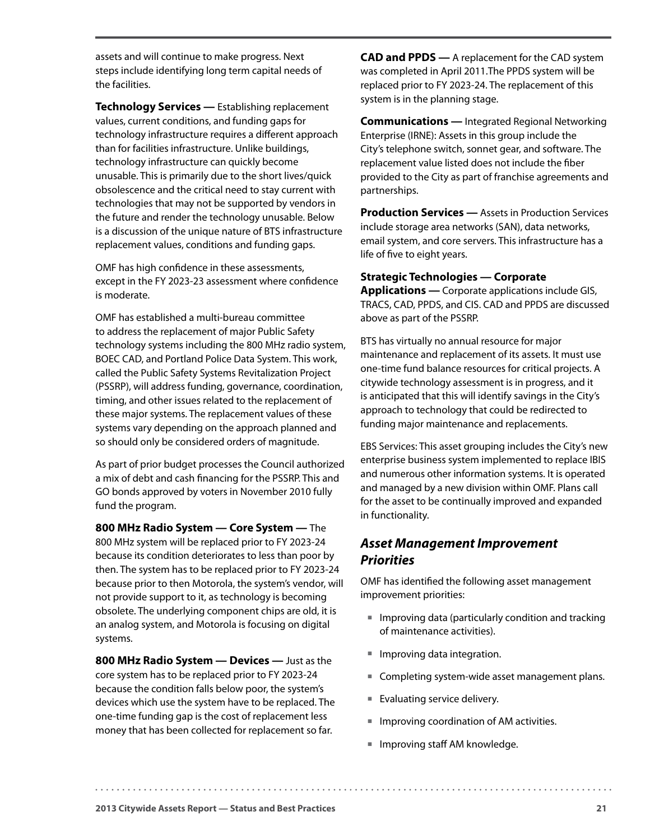assets and will continue to make progress. Next steps include identifying long term capital needs of the facilities.

**Technology Services —** Establishing replacement values, current conditions, and funding gaps for technology infrastructure requires a different approach than for facilities infrastructure. Unlike buildings, technology infrastructure can quickly become unusable. This is primarily due to the short lives/quick obsolescence and the critical need to stay current with technologies that may not be supported by vendors in the future and render the technology unusable. Below is a discussion of the unique nature of BTS infrastructure replacement values, conditions and funding gaps.

OMF has high confidence in these assessments, except in the FY 2023-23 assessment where confidence is moderate.

OMF has established a multi-bureau committee to address the replacement of major Public Safety technology systems including the 800 MHz radio system, BOEC CAD, and Portland Police Data System. This work, called the Public Safety Systems Revitalization Project (PSSRP), will address funding, governance, coordination, timing, and other issues related to the replacement of these major systems. The replacement values of these systems vary depending on the approach planned and so should only be considered orders of magnitude.

As part of prior budget processes the Council authorized a mix of debt and cash financing for the PSSRP. This and GO bonds approved by voters in November 2010 fully fund the program.

**800 MHz Radio System — Core System —** The 800 MHz system will be replaced prior to FY 2023-24 because its condition deteriorates to less than poor by then. The system has to be replaced prior to FY 2023-24 because prior to then Motorola, the system's vendor, will not provide support to it, as technology is becoming obsolete. The underlying component chips are old, it is an analog system, and Motorola is focusing on digital systems.

**800 MHz Radio System — Devices —** Just as the core system has to be replaced prior to FY 2023-24 because the condition falls below poor, the system's devices which use the system have to be replaced. The one-time funding gap is the cost of replacement less money that has been collected for replacement so far.

**CAD and PPDS —** A replacement for the CAD system was completed in April 2011.The PPDS system will be replaced prior to FY 2023-24. The replacement of this system is in the planning stage.

**Communications —** Integrated Regional Networking Enterprise (IRNE): Assets in this group include the City's telephone switch, sonnet gear, and software. The replacement value listed does not include the fiber provided to the City as part of franchise agreements and partnerships.

**Production Services —** Assets in Production Services include storage area networks (SAN), data networks, email system, and core servers. This infrastructure has a life of five to eight years.

#### **Strategic Technologies — Corporate**

**Applications —** Corporate applications include GIS, TRACS, CAD, PPDS, and CIS. CAD and PPDS are discussed above as part of the PSSRP.

BTS has virtually no annual resource for major maintenance and replacement of its assets. It must use one-time fund balance resources for critical projects. A citywide technology assessment is in progress, and it is anticipated that this will identify savings in the City's approach to technology that could be redirected to funding major maintenance and replacements.

EBS Services: This asset grouping includes the City's new enterprise business system implemented to replace IBIS and numerous other information systems. It is operated and managed by a new division within OMF. Plans call for the asset to be continually improved and expanded in functionality.

#### *Asset Management Improvement Priorities*

OMF has identified the following asset management improvement priorities:

- **Improving data (particularly condition and tracking** of maintenance activities).
- **Improving data integration.**
- **Completing system-wide asset management plans.**
- **Evaluating service delivery.**
- **IMPROVING COORDINATION OF AM activities.**
- Improving staff AM knowledge.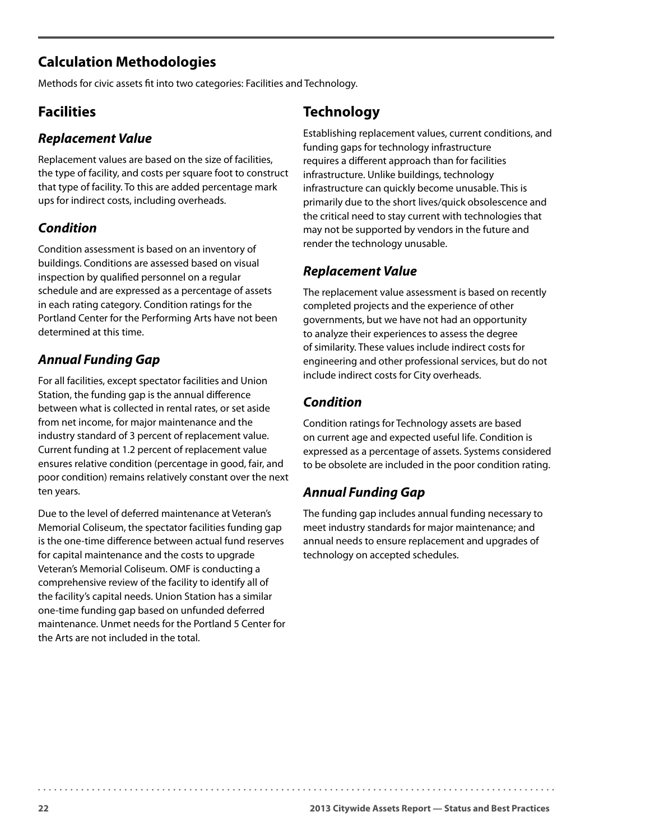## **Calculation Methodologies**

Methods for civic assets fit into two categories: Facilities and Technology.

### **Facilities**

#### *Replacement Value*

Replacement values are based on the size of facilities, the type of facility, and costs per square foot to construct that type of facility. To this are added percentage mark ups for indirect costs, including overheads.

#### *Condition*

Condition assessment is based on an inventory of buildings. Conditions are assessed based on visual inspection by qualified personnel on a regular schedule and are expressed as a percentage of assets in each rating category. Condition ratings for the Portland Center for the Performing Arts have not been determined at this time.

#### *Annual Funding Gap*

For all facilities, except spectator facilities and Union Station, the funding gap is the annual difference between what is collected in rental rates, or set aside from net income, for major maintenance and the industry standard of 3 percent of replacement value. Current funding at 1.2 percent of replacement value ensures relative condition (percentage in good, fair, and poor condition) remains relatively constant over the next ten years.

Due to the level of deferred maintenance at Veteran's Memorial Coliseum, the spectator facilities funding gap is the one-time difference between actual fund reserves for capital maintenance and the costs to upgrade Veteran's Memorial Coliseum. OMF is conducting a comprehensive review of the facility to identify all of the facility's capital needs. Union Station has a similar one-time funding gap based on unfunded deferred maintenance. Unmet needs for the Portland 5 Center for the Arts are not included in the total.

## **Technology**

Establishing replacement values, current conditions, and funding gaps for technology infrastructure requires a different approach than for facilities infrastructure. Unlike buildings, technology infrastructure can quickly become unusable. This is primarily due to the short lives/quick obsolescence and the critical need to stay current with technologies that may not be supported by vendors in the future and render the technology unusable.

#### *Replacement Value*

The replacement value assessment is based on recently completed projects and the experience of other governments, but we have not had an opportunity to analyze their experiences to assess the degree of similarity. These values include indirect costs for engineering and other professional services, but do not include indirect costs for City overheads.

#### *Condition*

Condition ratings for Technology assets are based on current age and expected useful life. Condition is expressed as a percentage of assets. Systems considered to be obsolete are included in the poor condition rating.

#### *Annual Funding Gap*

The funding gap includes annual funding necessary to meet industry standards for major maintenance; and annual needs to ensure replacement and upgrades of technology on accepted schedules.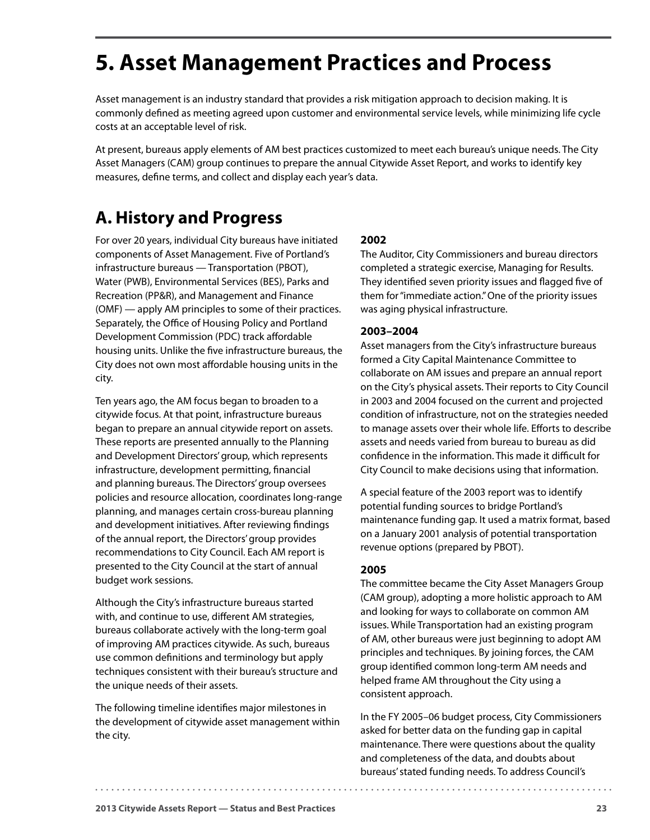# <span id="page-26-0"></span>**5. Asset Management Practices and Process**

Asset management is an industry standard that provides a risk mitigation approach to decision making. It is commonly defined as meeting agreed upon customer and environmental service levels, while minimizing life cycle costs at an acceptable level of risk.

At present, bureaus apply elements of AM best practices customized to meet each bureau's unique needs. The City Asset Managers (CAM) group continues to prepare the annual Citywide Asset Report, and works to identify key measures, define terms, and collect and display each year's data.

# **A. History and Progress**

For over 20 years, individual City bureaus have initiated components of Asset Management. Five of Portland's infrastructure bureaus — Transportation (PBOT), Water (PWB), Environmental Services (BES), Parks and Recreation (PP&R), and Management and Finance (OMF) — apply AM principles to some of their practices. Separately, the Office of Housing Policy and Portland Development Commission (PDC) track affordable housing units. Unlike the five infrastructure bureaus, the City does not own most affordable housing units in the city.

Ten years ago, the AM focus began to broaden to a citywide focus. At that point, infrastructure bureaus began to prepare an annual citywide report on assets. These reports are presented annually to the Planning and Development Directors' group, which represents infrastructure, development permitting, financial and planning bureaus. The Directors' group oversees policies and resource allocation, coordinates long-range planning, and manages certain cross-bureau planning and development initiatives. After reviewing findings of the annual report, the Directors' group provides recommendations to City Council. Each AM report is presented to the City Council at the start of annual budget work sessions.

Although the City's infrastructure bureaus started with, and continue to use, different AM strategies, bureaus collaborate actively with the long-term goal of improving AM practices citywide. As such, bureaus use common definitions and terminology but apply techniques consistent with their bureau's structure and the unique needs of their assets.

The following timeline identifies major milestones in the development of citywide asset management within the city.

#### **2002**

The Auditor, City Commissioners and bureau directors completed a strategic exercise, Managing for Results. They identified seven priority issues and flagged five of them for "immediate action." One of the priority issues was aging physical infrastructure.

#### **2003–2004**

Asset managers from the City's infrastructure bureaus formed a City Capital Maintenance Committee to collaborate on AM issues and prepare an annual report on the City's physical assets. Their reports to City Council in 2003 and 2004 focused on the current and projected condition of infrastructure, not on the strategies needed to manage assets over their whole life. Efforts to describe assets and needs varied from bureau to bureau as did confidence in the information. This made it difficult for City Council to make decisions using that information.

A special feature of the 2003 report was to identify potential funding sources to bridge Portland's maintenance funding gap. It used a matrix format, based on a January 2001 analysis of potential transportation revenue options (prepared by PBOT).

#### **2005**

The committee became the City Asset Managers Group (CAM group), adopting a more holistic approach to AM and looking for ways to collaborate on common AM issues. While Transportation had an existing program of AM, other bureaus were just beginning to adopt AM principles and techniques. By joining forces, the CAM group identified common long-term AM needs and helped frame AM throughout the City using a consistent approach.

In the FY 2005–06 budget process, City Commissioners asked for better data on the funding gap in capital maintenance. There were questions about the quality and completeness of the data, and doubts about bureaus' stated funding needs. To address Council's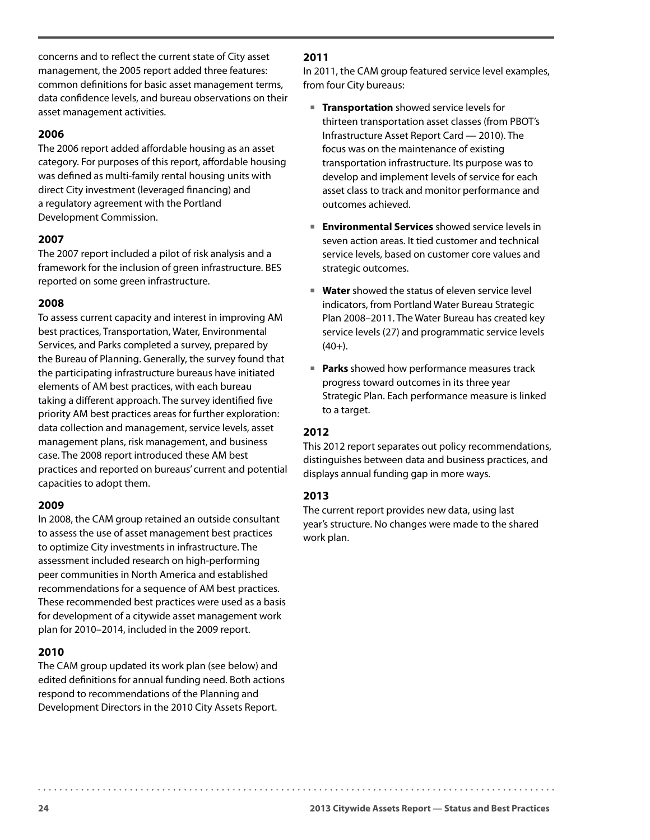concerns and to reflect the current state of City asset management, the 2005 report added three features: common definitions for basic asset management terms, data confidence levels, and bureau observations on their asset management activities.

#### **2006**

The 2006 report added affordable housing as an asset category. For purposes of this report, affordable housing was defined as multi-family rental housing units with direct City investment (leveraged financing) and a regulatory agreement with the Portland Development Commission.

#### **2007**

The 2007 report included a pilot of risk analysis and a framework for the inclusion of green infrastructure. BES reported on some green infrastructure.

#### **2008**

To assess current capacity and interest in improving AM best practices, Transportation, Water, Environmental Services, and Parks completed a survey, prepared by the Bureau of Planning. Generally, the survey found that the participating infrastructure bureaus have initiated elements of AM best practices, with each bureau taking a different approach. The survey identified five priority AM best practices areas for further exploration: data collection and management, service levels, asset management plans, risk management, and business case. The 2008 report introduced these AM best practices and reported on bureaus' current and potential capacities to adopt them.

#### **2009**

In 2008, the CAM group retained an outside consultant to assess the use of asset management best practices to optimize City investments in infrastructure. The assessment included research on high-performing peer communities in North America and established recommendations for a sequence of AM best practices. These recommended best practices were used as a basis for development of a citywide asset management work plan for 2010–2014, included in the 2009 report.

#### **2010**

The CAM group updated its work plan (see below) and edited definitions for annual funding need. Both actions respond to recommendations of the Planning and Development Directors in the 2010 City Assets Report.

#### **2011**

In 2011, the CAM group featured service level examples, from four City bureaus:

- **Transportation** showed service levels for thirteen transportation asset classes (from PBOT's Infrastructure Asset Report Card — 2010). The focus was on the maintenance of existing transportation infrastructure. Its purpose was to develop and implement levels of service for each asset class to track and monitor performance and outcomes achieved.
- **Environmental Services** showed service levels in seven action areas. It tied customer and technical service levels, based on customer core values and strategic outcomes.
- **Water** showed the status of eleven service level indicators, from Portland Water Bureau Strategic Plan 2008–2011. The Water Bureau has created key service levels (27) and programmatic service levels  $(40+)$ .
- **Parks** showed how performance measures track progress toward outcomes in its three year Strategic Plan. Each performance measure is linked to a target.

#### **2012**

This 2012 report separates out policy recommendations, distinguishes between data and business practices, and displays annual funding gap in more ways.

#### **2013**

The current report provides new data, using last year's structure. No changes were made to the shared work plan.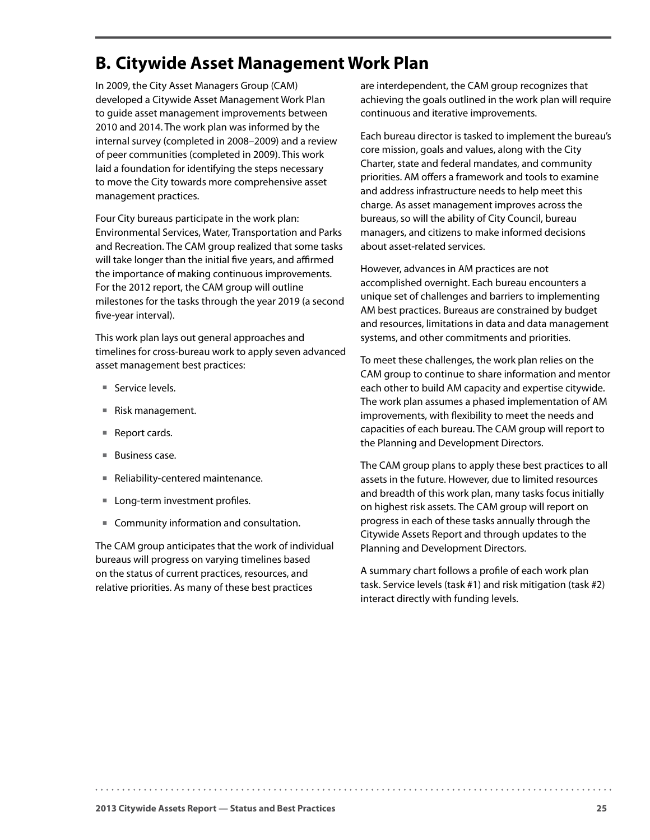## <span id="page-28-0"></span>**B. Citywide Asset Management Work Plan**

In 2009, the City Asset Managers Group (CAM) developed a Citywide Asset Management Work Plan to guide asset management improvements between 2010 and 2014. The work plan was informed by the internal survey (completed in 2008–2009) and a review of peer communities (completed in 2009). This work laid a foundation for identifying the steps necessary to move the City towards more comprehensive asset management practices.

Four City bureaus participate in the work plan: Environmental Services, Water, Transportation and Parks and Recreation. The CAM group realized that some tasks will take longer than the initial five years, and affirmed the importance of making continuous improvements. For the 2012 report, the CAM group will outline milestones for the tasks through the year 2019 (a second five-year interval).

This work plan lays out general approaches and timelines for cross-bureau work to apply seven advanced asset management best practices:

- Service levels.
- Risk management.
- Report cards.
- Business case.
- Reliability-centered maintenance.
- **Long-term investment profiles.**
- Community information and consultation.

The CAM group anticipates that the work of individual bureaus will progress on varying timelines based on the status of current practices, resources, and relative priorities. As many of these best practices

are interdependent, the CAM group recognizes that achieving the goals outlined in the work plan will require continuous and iterative improvements.

Each bureau director is tasked to implement the bureau's core mission, goals and values, along with the City Charter, state and federal mandates, and community priorities. AM offers a framework and tools to examine and address infrastructure needs to help meet this charge. As asset management improves across the bureaus, so will the ability of City Council, bureau managers, and citizens to make informed decisions about asset-related services.

However, advances in AM practices are not accomplished overnight. Each bureau encounters a unique set of challenges and barriers to implementing AM best practices. Bureaus are constrained by budget and resources, limitations in data and data management systems, and other commitments and priorities.

To meet these challenges, the work plan relies on the CAM group to continue to share information and mentor each other to build AM capacity and expertise citywide. The work plan assumes a phased implementation of AM improvements, with flexibility to meet the needs and capacities of each bureau. The CAM group will report to the Planning and Development Directors.

The CAM group plans to apply these best practices to all assets in the future. However, due to limited resources and breadth of this work plan, many tasks focus initially on highest risk assets. The CAM group will report on progress in each of these tasks annually through the Citywide Assets Report and through updates to the Planning and Development Directors.

A summary chart follows a profile of each work plan task. Service levels (task #1) and risk mitigation (task #2) interact directly with funding levels.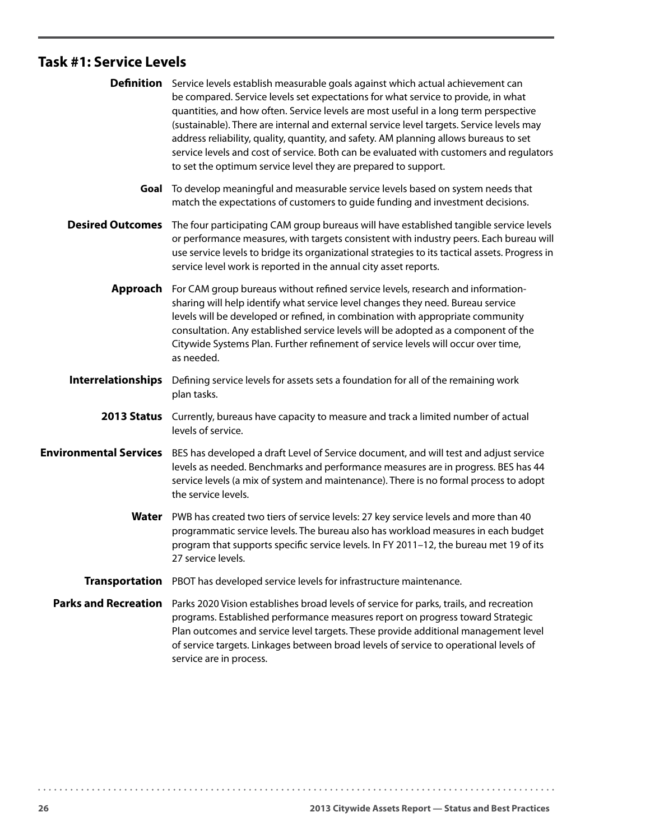### **Task #1: Service Levels**

|                               | <b>Definition</b> Service levels establish measurable goals against which actual achievement can<br>be compared. Service levels set expectations for what service to provide, in what<br>quantities, and how often. Service levels are most useful in a long term perspective<br>(sustainable). There are internal and external service level targets. Service levels may<br>address reliability, quality, quantity, and safety. AM planning allows bureaus to set<br>service levels and cost of service. Both can be evaluated with customers and regulators<br>to set the optimum service level they are prepared to support. |
|-------------------------------|---------------------------------------------------------------------------------------------------------------------------------------------------------------------------------------------------------------------------------------------------------------------------------------------------------------------------------------------------------------------------------------------------------------------------------------------------------------------------------------------------------------------------------------------------------------------------------------------------------------------------------|
| Goal                          | To develop meaningful and measurable service levels based on system needs that<br>match the expectations of customers to guide funding and investment decisions.                                                                                                                                                                                                                                                                                                                                                                                                                                                                |
| <b>Desired Outcomes</b>       | The four participating CAM group bureaus will have established tangible service levels<br>or performance measures, with targets consistent with industry peers. Each bureau will<br>use service levels to bridge its organizational strategies to its tactical assets. Progress in<br>service level work is reported in the annual city asset reports.                                                                                                                                                                                                                                                                          |
| Approach                      | For CAM group bureaus without refined service levels, research and information-<br>sharing will help identify what service level changes they need. Bureau service<br>levels will be developed or refined, in combination with appropriate community<br>consultation. Any established service levels will be adopted as a component of the<br>Citywide Systems Plan. Further refinement of service levels will occur over time,<br>as needed.                                                                                                                                                                                   |
| <b>Interrelationships</b>     | Defining service levels for assets sets a foundation for all of the remaining work<br>plan tasks.                                                                                                                                                                                                                                                                                                                                                                                                                                                                                                                               |
|                               | 2013 Status Currently, bureaus have capacity to measure and track a limited number of actual<br>levels of service.                                                                                                                                                                                                                                                                                                                                                                                                                                                                                                              |
| <b>Environmental Services</b> | BES has developed a draft Level of Service document, and will test and adjust service<br>levels as needed. Benchmarks and performance measures are in progress. BES has 44<br>service levels (a mix of system and maintenance). There is no formal process to adopt<br>the service levels.                                                                                                                                                                                                                                                                                                                                      |
|                               | Water PWB has created two tiers of service levels: 27 key service levels and more than 40<br>programmatic service levels. The bureau also has workload measures in each budget<br>program that supports specific service levels. In FY 2011-12, the bureau met 19 of its<br>27 service levels.                                                                                                                                                                                                                                                                                                                                  |
| <b>Transportation</b>         | PBOT has developed service levels for infrastructure maintenance.                                                                                                                                                                                                                                                                                                                                                                                                                                                                                                                                                               |
| <b>Parks and Recreation</b>   | Parks 2020 Vision establishes broad levels of service for parks, trails, and recreation<br>programs. Established performance measures report on progress toward Strategic<br>Plan outcomes and service level targets. These provide additional management level<br>of service targets. Linkages between broad levels of service to operational levels of<br>service are in process.                                                                                                                                                                                                                                             |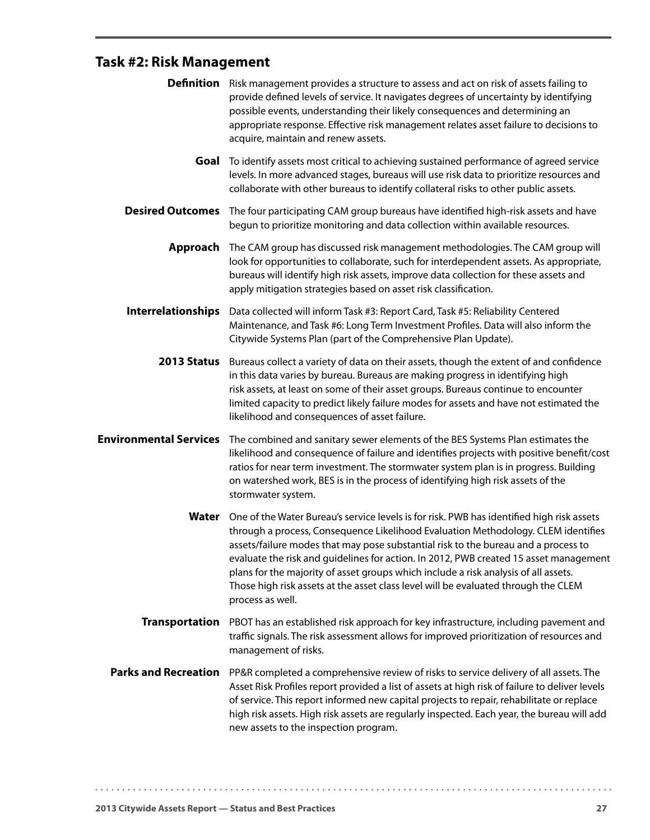# **Task #2: Risk Management**

|                               | <b>Definition</b> Risk management provides a structure to assess and act on risk of assets failing to<br>provide defined levels of service. It navigates degrees of uncertainty by identifying<br>possible events, understanding their likely consequences and determining an<br>appropriate response. Effective risk management relates asset failure to decisions to<br>acquire, maintain and renew assets.                                                                                                                                                               |
|-------------------------------|-----------------------------------------------------------------------------------------------------------------------------------------------------------------------------------------------------------------------------------------------------------------------------------------------------------------------------------------------------------------------------------------------------------------------------------------------------------------------------------------------------------------------------------------------------------------------------|
| Goal                          | To identify assets most critical to achieving sustained performance of agreed service<br>levels. In more advanced stages, bureaus will use risk data to prioritize resources and<br>collaborate with other bureaus to identify collateral risks to other public assets.                                                                                                                                                                                                                                                                                                     |
| <b>Desired Outcomes</b>       | The four participating CAM group bureaus have identified high-risk assets and have<br>begun to prioritize monitoring and data collection within available resources.                                                                                                                                                                                                                                                                                                                                                                                                        |
| Approach                      | The CAM group has discussed risk management methodologies. The CAM group will<br>look for opportunities to collaborate, such for interdependent assets. As appropriate,<br>bureaus will identify high risk assets, improve data collection for these assets and<br>apply mitigation strategies based on asset risk classification.                                                                                                                                                                                                                                          |
| <b>Interrelationships</b>     | Data collected will inform Task #3: Report Card, Task #5: Reliability Centered<br>Maintenance, and Task #6: Long Term Investment Profiles. Data will also inform the<br>Citywide Systems Plan (part of the Comprehensive Plan Update).                                                                                                                                                                                                                                                                                                                                      |
| 2013 Status                   | Bureaus collect a variety of data on their assets, though the extent of and confidence<br>in this data varies by bureau. Bureaus are making progress in identifying high<br>risk assets, at least on some of their asset groups. Bureaus continue to encounter<br>limited capacity to predict likely failure modes for assets and have not estimated the<br>likelihood and consequences of asset failure.                                                                                                                                                                   |
| <b>Environmental Services</b> | The combined and sanitary sewer elements of the BES Systems Plan estimates the<br>likelihood and consequence of failure and identifies projects with positive benefit/cost<br>ratios for near term investment. The stormwater system plan is in progress. Building<br>on watershed work, BES is in the process of identifying high risk assets of the<br>stormwater system.                                                                                                                                                                                                 |
|                               | <b>Water</b> One of the Water Bureau's service levels is for risk. PWB has identified high risk assets<br>through a process, Consequence Likelihood Evaluation Methodology. CLEM identifies<br>assets/failure modes that may pose substantial risk to the bureau and a process to<br>evaluate the risk and guidelines for action. In 2012, PWB created 15 asset management<br>plans for the majority of asset groups which include a risk analysis of all assets.<br>Those high risk assets at the asset class level will be evaluated through the CLEM<br>process as well. |
| <b>Transportation</b>         | PBOT has an established risk approach for key infrastructure, including pavement and<br>traffic signals. The risk assessment allows for improved prioritization of resources and<br>management of risks.                                                                                                                                                                                                                                                                                                                                                                    |
| <b>Parks and Recreation</b>   | PP&R completed a comprehensive review of risks to service delivery of all assets. The<br>Asset Risk Profiles report provided a list of assets at high risk of failure to deliver levels<br>of service. This report informed new capital projects to repair, rehabilitate or replace<br>high risk assets. High risk assets are regularly inspected. Each year, the bureau will add<br>new assets to the inspection program.                                                                                                                                                  |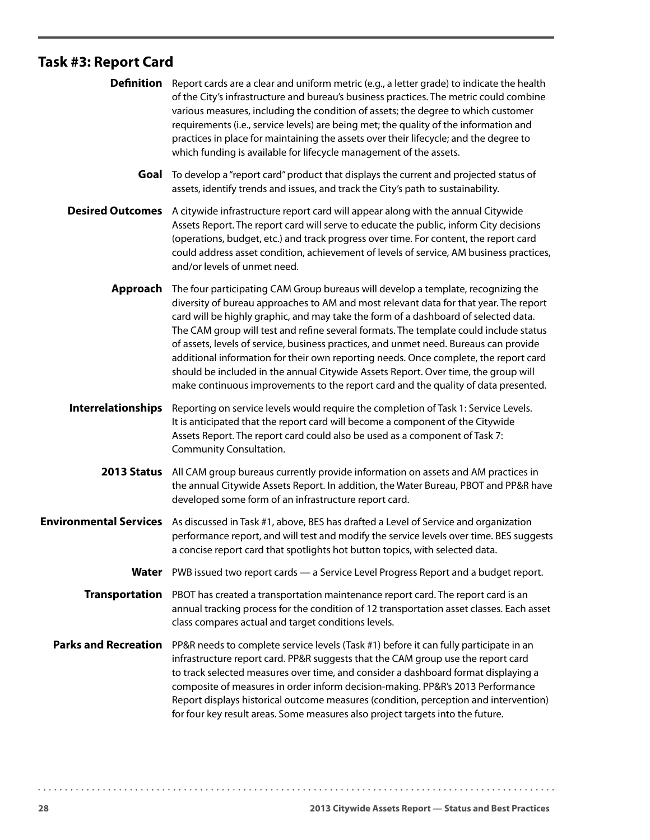# **Task #3: Report Card**

|                               | <b>Definition</b> Report cards are a clear and uniform metric (e.g., a letter grade) to indicate the health<br>of the City's infrastructure and bureau's business practices. The metric could combine<br>various measures, including the condition of assets; the degree to which customer<br>requirements (i.e., service levels) are being met; the quality of the information and<br>practices in place for maintaining the assets over their lifecycle; and the degree to<br>which funding is available for lifecycle management of the assets.                                                                                                                                                                      |
|-------------------------------|-------------------------------------------------------------------------------------------------------------------------------------------------------------------------------------------------------------------------------------------------------------------------------------------------------------------------------------------------------------------------------------------------------------------------------------------------------------------------------------------------------------------------------------------------------------------------------------------------------------------------------------------------------------------------------------------------------------------------|
| Goal                          | To develop a "report card" product that displays the current and projected status of<br>assets, identify trends and issues, and track the City's path to sustainability.                                                                                                                                                                                                                                                                                                                                                                                                                                                                                                                                                |
| <b>Desired Outcomes</b>       | A citywide infrastructure report card will appear along with the annual Citywide<br>Assets Report. The report card will serve to educate the public, inform City decisions<br>(operations, budget, etc.) and track progress over time. For content, the report card<br>could address asset condition, achievement of levels of service, AM business practices,<br>and/or levels of unmet need.                                                                                                                                                                                                                                                                                                                          |
| Approach                      | The four participating CAM Group bureaus will develop a template, recognizing the<br>diversity of bureau approaches to AM and most relevant data for that year. The report<br>card will be highly graphic, and may take the form of a dashboard of selected data.<br>The CAM group will test and refine several formats. The template could include status<br>of assets, levels of service, business practices, and unmet need. Bureaus can provide<br>additional information for their own reporting needs. Once complete, the report card<br>should be included in the annual Citywide Assets Report. Over time, the group will<br>make continuous improvements to the report card and the quality of data presented. |
| Interrelationships            | Reporting on service levels would require the completion of Task 1: Service Levels.<br>It is anticipated that the report card will become a component of the Citywide<br>Assets Report. The report card could also be used as a component of Task 7:<br>Community Consultation.                                                                                                                                                                                                                                                                                                                                                                                                                                         |
| 2013 Status                   | All CAM group bureaus currently provide information on assets and AM practices in<br>the annual Citywide Assets Report. In addition, the Water Bureau, PBOT and PP&R have<br>developed some form of an infrastructure report card.                                                                                                                                                                                                                                                                                                                                                                                                                                                                                      |
| <b>Environmental Services</b> | As discussed in Task #1, above, BES has drafted a Level of Service and organization<br>performance report, and will test and modify the service levels over time. BES suggests<br>a concise report card that spotlights hot button topics, with selected data.                                                                                                                                                                                                                                                                                                                                                                                                                                                          |
| Water                         | PWB issued two report cards — a Service Level Progress Report and a budget report.                                                                                                                                                                                                                                                                                                                                                                                                                                                                                                                                                                                                                                      |
| <b>Transportation</b>         | PBOT has created a transportation maintenance report card. The report card is an<br>annual tracking process for the condition of 12 transportation asset classes. Each asset<br>class compares actual and target conditions levels.                                                                                                                                                                                                                                                                                                                                                                                                                                                                                     |
| <b>Parks and Recreation</b>   | PP&R needs to complete service levels (Task #1) before it can fully participate in an<br>infrastructure report card. PP&R suggests that the CAM group use the report card<br>to track selected measures over time, and consider a dashboard format displaying a<br>composite of measures in order inform decision-making. PP&R's 2013 Performance<br>Report displays historical outcome measures (condition, perception and intervention)<br>for four key result areas. Some measures also project targets into the future.                                                                                                                                                                                             |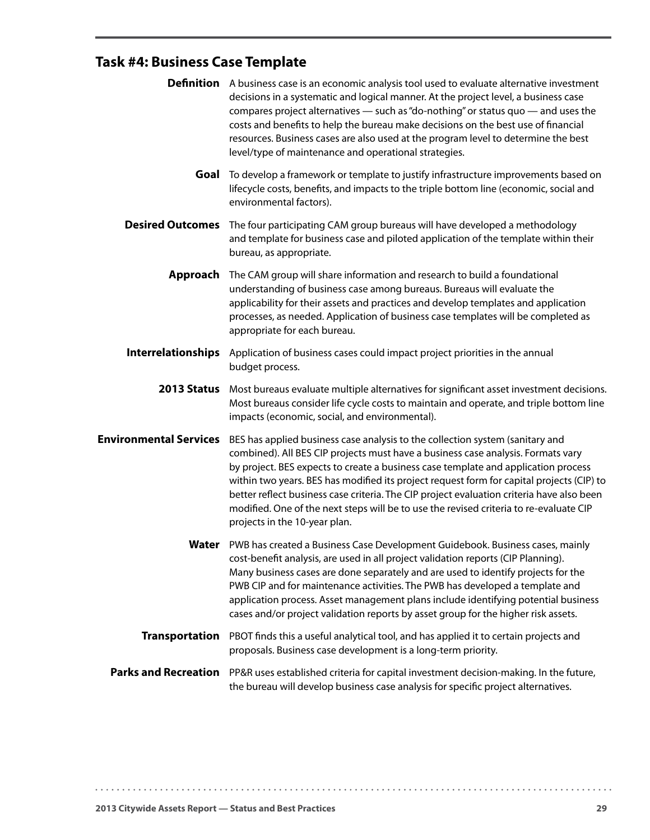# **Task #4: Business Case Template**

|                               | <b>Definition</b> A business case is an economic analysis tool used to evaluate alternative investment<br>decisions in a systematic and logical manner. At the project level, a business case<br>compares project alternatives - such as "do-nothing" or status quo - and uses the<br>costs and benefits to help the bureau make decisions on the best use of financial<br>resources. Business cases are also used at the program level to determine the best<br>level/type of maintenance and operational strategies.                                                       |
|-------------------------------|------------------------------------------------------------------------------------------------------------------------------------------------------------------------------------------------------------------------------------------------------------------------------------------------------------------------------------------------------------------------------------------------------------------------------------------------------------------------------------------------------------------------------------------------------------------------------|
| Goal                          | To develop a framework or template to justify infrastructure improvements based on<br>lifecycle costs, benefits, and impacts to the triple bottom line (economic, social and<br>environmental factors).                                                                                                                                                                                                                                                                                                                                                                      |
| <b>Desired Outcomes</b>       | The four participating CAM group bureaus will have developed a methodology<br>and template for business case and piloted application of the template within their<br>bureau, as appropriate.                                                                                                                                                                                                                                                                                                                                                                                 |
| Approach                      | The CAM group will share information and research to build a foundational<br>understanding of business case among bureaus. Bureaus will evaluate the<br>applicability for their assets and practices and develop templates and application<br>processes, as needed. Application of business case templates will be completed as<br>appropriate for each bureau.                                                                                                                                                                                                              |
| Interrelationships            | Application of business cases could impact project priorities in the annual<br>budget process.                                                                                                                                                                                                                                                                                                                                                                                                                                                                               |
|                               | 2013 Status Most bureaus evaluate multiple alternatives for significant asset investment decisions.<br>Most bureaus consider life cycle costs to maintain and operate, and triple bottom line<br>impacts (economic, social, and environmental).                                                                                                                                                                                                                                                                                                                              |
| <b>Environmental Services</b> | BES has applied business case analysis to the collection system (sanitary and<br>combined). All BES CIP projects must have a business case analysis. Formats vary<br>by project. BES expects to create a business case template and application process<br>within two years. BES has modified its project request form for capital projects (CIP) to<br>better reflect business case criteria. The CIP project evaluation criteria have also been<br>modified. One of the next steps will be to use the revised criteria to re-evaluate CIP<br>projects in the 10-year plan. |
| Water                         | PWB has created a Business Case Development Guidebook. Business cases, mainly<br>cost-benefit analysis, are used in all project validation reports (CIP Planning).<br>Many business cases are done separately and are used to identify projects for the<br>PWB CIP and for maintenance activities. The PWB has developed a template and<br>application process. Asset management plans include identifying potential business<br>cases and/or project validation reports by asset group for the higher risk assets.                                                          |
| <b>Transportation</b>         | PBOT finds this a useful analytical tool, and has applied it to certain projects and<br>proposals. Business case development is a long-term priority.                                                                                                                                                                                                                                                                                                                                                                                                                        |
| <b>Parks and Recreation</b>   | PP&R uses established criteria for capital investment decision-making. In the future,<br>the bureau will develop business case analysis for specific project alternatives.                                                                                                                                                                                                                                                                                                                                                                                                   |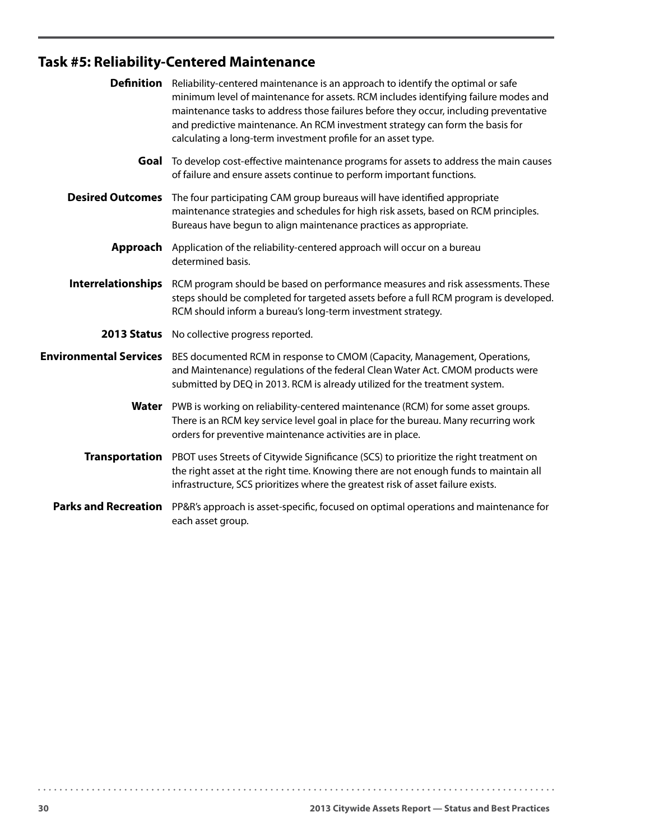# **Task #5: Reliability-Centered Maintenance**

| <b>Definition</b>             | Reliability-centered maintenance is an approach to identify the optimal or safe<br>minimum level of maintenance for assets. RCM includes identifying failure modes and<br>maintenance tasks to address those failures before they occur, including preventative<br>and predictive maintenance. An RCM investment strategy can form the basis for<br>calculating a long-term investment profile for an asset type. |
|-------------------------------|-------------------------------------------------------------------------------------------------------------------------------------------------------------------------------------------------------------------------------------------------------------------------------------------------------------------------------------------------------------------------------------------------------------------|
|                               | Goal To develop cost-effective maintenance programs for assets to address the main causes<br>of failure and ensure assets continue to perform important functions.                                                                                                                                                                                                                                                |
| <b>Desired Outcomes</b>       | The four participating CAM group bureaus will have identified appropriate<br>maintenance strategies and schedules for high risk assets, based on RCM principles.<br>Bureaus have begun to align maintenance practices as appropriate.                                                                                                                                                                             |
| Approach                      | Application of the reliability-centered approach will occur on a bureau<br>determined basis.                                                                                                                                                                                                                                                                                                                      |
| <b>Interrelationships</b>     | RCM program should be based on performance measures and risk assessments. These<br>steps should be completed for targeted assets before a full RCM program is developed.<br>RCM should inform a bureau's long-term investment strategy.                                                                                                                                                                           |
|                               | 2013 Status No collective progress reported.                                                                                                                                                                                                                                                                                                                                                                      |
| <b>Environmental Services</b> | BES documented RCM in response to CMOM (Capacity, Management, Operations,<br>and Maintenance) regulations of the federal Clean Water Act. CMOM products were<br>submitted by DEQ in 2013. RCM is already utilized for the treatment system.                                                                                                                                                                       |
| Water                         | PWB is working on reliability-centered maintenance (RCM) for some asset groups.<br>There is an RCM key service level goal in place for the bureau. Many recurring work<br>orders for preventive maintenance activities are in place.                                                                                                                                                                              |
| <b>Transportation</b>         | PBOT uses Streets of Citywide Significance (SCS) to prioritize the right treatment on<br>the right asset at the right time. Knowing there are not enough funds to maintain all<br>infrastructure, SCS prioritizes where the greatest risk of asset failure exists.                                                                                                                                                |
| <b>Parks and Recreation</b>   | PP&R's approach is asset-specific, focused on optimal operations and maintenance for<br>each asset group.                                                                                                                                                                                                                                                                                                         |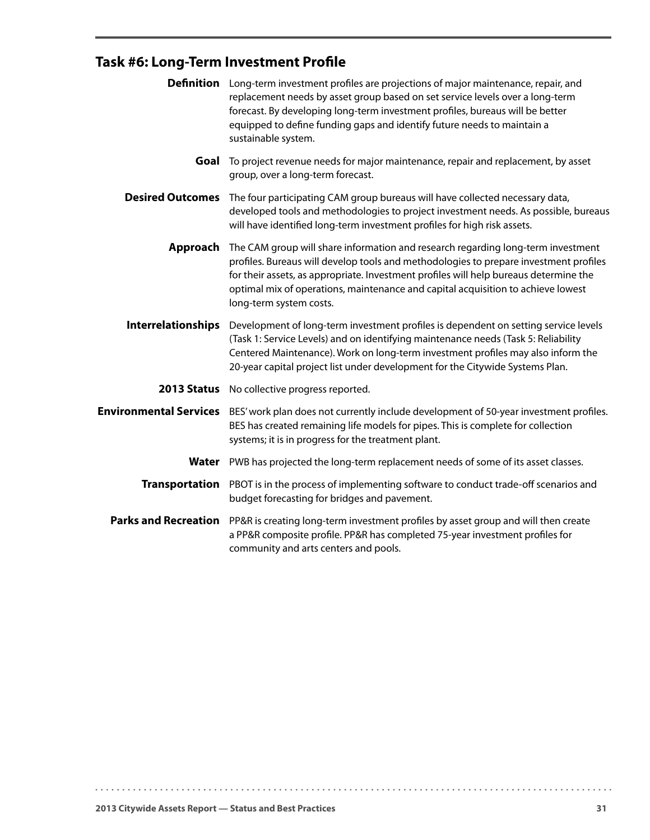# **Task #6: Long-Term Investment Profile**

|                               | <b>Definition</b> Long-term investment profiles are projections of major maintenance, repair, and<br>replacement needs by asset group based on set service levels over a long-term<br>forecast. By developing long-term investment profiles, bureaus will be better<br>equipped to define funding gaps and identify future needs to maintain a<br>sustainable system.             |
|-------------------------------|-----------------------------------------------------------------------------------------------------------------------------------------------------------------------------------------------------------------------------------------------------------------------------------------------------------------------------------------------------------------------------------|
| Goal                          | To project revenue needs for major maintenance, repair and replacement, by asset<br>group, over a long-term forecast.                                                                                                                                                                                                                                                             |
| <b>Desired Outcomes</b>       | The four participating CAM group bureaus will have collected necessary data,<br>developed tools and methodologies to project investment needs. As possible, bureaus<br>will have identified long-term investment profiles for high risk assets.                                                                                                                                   |
| Approach                      | The CAM group will share information and research regarding long-term investment<br>profiles. Bureaus will develop tools and methodologies to prepare investment profiles<br>for their assets, as appropriate. Investment profiles will help bureaus determine the<br>optimal mix of operations, maintenance and capital acquisition to achieve lowest<br>long-term system costs. |
| Interrelationships            | Development of long-term investment profiles is dependent on setting service levels<br>(Task 1: Service Levels) and on identifying maintenance needs (Task 5: Reliability<br>Centered Maintenance). Work on long-term investment profiles may also inform the<br>20-year capital project list under development for the Citywide Systems Plan.                                    |
|                               | 2013 Status No collective progress reported.                                                                                                                                                                                                                                                                                                                                      |
| <b>Environmental Services</b> | BES' work plan does not currently include development of 50-year investment profiles.<br>BES has created remaining life models for pipes. This is complete for collection<br>systems; it is in progress for the treatment plant.                                                                                                                                                  |
| Water                         | PWB has projected the long-term replacement needs of some of its asset classes.                                                                                                                                                                                                                                                                                                   |
|                               | Transportation PBOT is in the process of implementing software to conduct trade-off scenarios and<br>budget forecasting for bridges and pavement.                                                                                                                                                                                                                                 |
| <b>Parks and Recreation</b>   | PP&R is creating long-term investment profiles by asset group and will then create<br>a PP&R composite profile. PP&R has completed 75-year investment profiles for<br>community and arts centers and pools.                                                                                                                                                                       |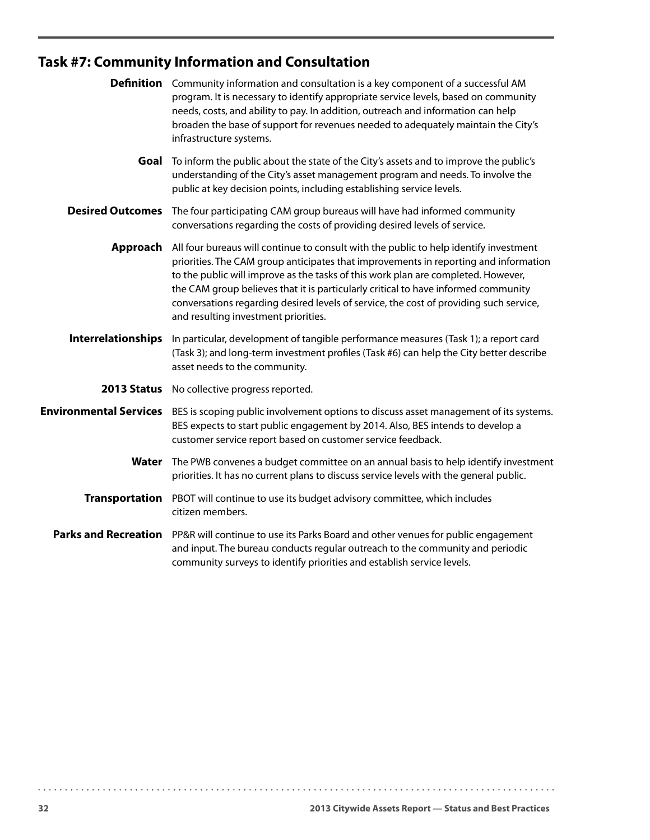# **Task #7: Community Information and Consultation**

|                               | <b>Definition</b> Community information and consultation is a key component of a successful AM<br>program. It is necessary to identify appropriate service levels, based on community<br>needs, costs, and ability to pay. In addition, outreach and information can help<br>broaden the base of support for revenues needed to adequately maintain the City's<br>infrastructure systems.                                                                                                           |
|-------------------------------|-----------------------------------------------------------------------------------------------------------------------------------------------------------------------------------------------------------------------------------------------------------------------------------------------------------------------------------------------------------------------------------------------------------------------------------------------------------------------------------------------------|
| Goal                          | To inform the public about the state of the City's assets and to improve the public's<br>understanding of the City's asset management program and needs. To involve the<br>public at key decision points, including establishing service levels.                                                                                                                                                                                                                                                    |
| <b>Desired Outcomes</b>       | The four participating CAM group bureaus will have had informed community<br>conversations regarding the costs of providing desired levels of service.                                                                                                                                                                                                                                                                                                                                              |
|                               | Approach All four bureaus will continue to consult with the public to help identify investment<br>priorities. The CAM group anticipates that improvements in reporting and information<br>to the public will improve as the tasks of this work plan are completed. However,<br>the CAM group believes that it is particularly critical to have informed community<br>conversations regarding desired levels of service, the cost of providing such service,<br>and resulting investment priorities. |
| <b>Interrelationships</b>     | In particular, development of tangible performance measures (Task 1); a report card<br>(Task 3); and long-term investment profiles (Task #6) can help the City better describe<br>asset needs to the community.                                                                                                                                                                                                                                                                                     |
|                               | 2013 Status No collective progress reported.                                                                                                                                                                                                                                                                                                                                                                                                                                                        |
| <b>Environmental Services</b> | BES is scoping public involvement options to discuss asset management of its systems.<br>BES expects to start public engagement by 2014. Also, BES intends to develop a<br>customer service report based on customer service feedback.                                                                                                                                                                                                                                                              |
| Water                         | The PWB convenes a budget committee on an annual basis to help identify investment<br>priorities. It has no current plans to discuss service levels with the general public.                                                                                                                                                                                                                                                                                                                        |
| <b>Transportation</b>         | PBOT will continue to use its budget advisory committee, which includes<br>citizen members.                                                                                                                                                                                                                                                                                                                                                                                                         |
|                               | Parks and Recreation PP&R will continue to use its Parks Board and other venues for public engagement<br>and input. The bureau conducts regular outreach to the community and periodic<br>community surveys to identify priorities and establish service levels.                                                                                                                                                                                                                                    |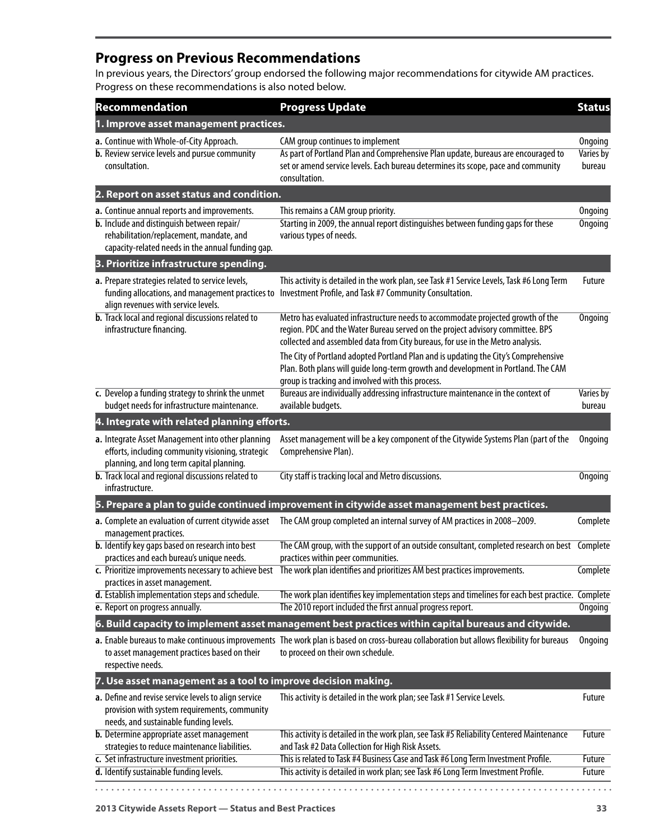### **Progress on Previous Recommendations**

In previous years, the Directors' group endorsed the following major recommendations for citywide AM practices. Progress on these recommendations is also noted below.

| Recommendation                                                                                                                                                                                     | <b>Progress Update</b>                                                                                                                                                                                                                              | <b>Status</b>                         |
|----------------------------------------------------------------------------------------------------------------------------------------------------------------------------------------------------|-----------------------------------------------------------------------------------------------------------------------------------------------------------------------------------------------------------------------------------------------------|---------------------------------------|
| 1. Improve asset management practices.                                                                                                                                                             |                                                                                                                                                                                                                                                     |                                       |
| a. Continue with Whole-of-City Approach.<br><b>b.</b> Review service levels and pursue community<br>consultation.                                                                                  | CAM group continues to implement<br>As part of Portland Plan and Comprehensive Plan update, bureaus are encouraged to<br>set or amend service levels. Each bureau determines its scope, pace and community<br>consultation.                         | Ongoing<br><b>Varies by</b><br>bureau |
| 2. Report on asset status and condition.                                                                                                                                                           |                                                                                                                                                                                                                                                     |                                       |
| a. Continue annual reports and improvements.<br><b>b.</b> Include and distinguish between repair/<br>rehabilitation/replacement, mandate, and<br>capacity-related needs in the annual funding gap. | This remains a CAM group priority.<br>Starting in 2009, the annual report distinguishes between funding gaps for these<br>various types of needs.                                                                                                   | <b>Ongoing</b><br>Ongoing             |
| 3. Prioritize infrastructure spending.                                                                                                                                                             |                                                                                                                                                                                                                                                     |                                       |
| a. Prepare strategies related to service levels,<br>funding allocations, and management practices to<br>align revenues with service levels.                                                        | This activity is detailed in the work plan, see Task #1 Service Levels, Task #6 Long Term<br>Investment Profile, and Task #7 Community Consultation.                                                                                                | <b>Future</b>                         |
| <b>b.</b> Track local and regional discussions related to<br>infrastructure financing.                                                                                                             | Metro has evaluated infrastructure needs to accommodate projected growth of the<br>region. PDC and the Water Bureau served on the project advisory committee. BPS<br>collected and assembled data from City bureaus, for use in the Metro analysis. | <b>Ongoing</b>                        |
|                                                                                                                                                                                                    | The City of Portland adopted Portland Plan and is updating the City's Comprehensive<br>Plan. Both plans will guide long-term growth and development in Portland. The CAM<br>group is tracking and involved with this process.                       |                                       |
| c. Develop a funding strategy to shrink the unmet<br>budget needs for infrastructure maintenance.                                                                                                  | Bureaus are individually addressing infrastructure maintenance in the context of<br>available budgets.                                                                                                                                              | Varies by<br>bureau                   |
| 4. Integrate with related planning efforts.                                                                                                                                                        |                                                                                                                                                                                                                                                     |                                       |
| a. Integrate Asset Management into other planning<br>efforts, including community visioning, strategic<br>planning, and long term capital planning.                                                | Asset management will be a key component of the Citywide Systems Plan (part of the<br>Comprehensive Plan).                                                                                                                                          | Ongoing                               |
| <b>b.</b> Track local and regional discussions related to<br>infrastructure.                                                                                                                       | City staff is tracking local and Metro discussions.                                                                                                                                                                                                 | <b>Ongoing</b>                        |
|                                                                                                                                                                                                    | 5. Prepare a plan to guide continued improvement in citywide asset management best practices.                                                                                                                                                       |                                       |
| a. Complete an evaluation of current citywide asset<br>management practices.                                                                                                                       | The CAM group completed an internal survey of AM practices in 2008-2009.                                                                                                                                                                            | Complete                              |
| <b>b.</b> Identify key gaps based on research into best<br>practices and each bureau's unique needs.                                                                                               | The CAM group, with the support of an outside consultant, completed research on best Complete<br>practices within peer communities.                                                                                                                 |                                       |
| c. Prioritize improvements necessary to achieve best<br>practices in asset management.                                                                                                             | The work plan identifies and prioritizes AM best practices improvements.                                                                                                                                                                            | Complete                              |
| d. Establish implementation steps and schedule.                                                                                                                                                    | The work plan identifies key implementation steps and timelines for each best practice. Complete                                                                                                                                                    |                                       |
| e. Report on progress annually.                                                                                                                                                                    | The 2010 report included the first annual progress report.<br>6. Build capacity to implement asset management best practices within capital bureaus and citywide.                                                                                   | <b>Ongoing</b>                        |
| to asset management practices based on their<br>respective needs.                                                                                                                                  | a. Enable bureaus to make continuous improvements The work plan is based on cross-bureau collaboration but allows flexibility for bureaus<br>to proceed on their own schedule.                                                                      | Ongoing                               |
| 7. Use asset management as a tool to improve decision making.                                                                                                                                      |                                                                                                                                                                                                                                                     |                                       |
| a. Define and revise service levels to align service<br>provision with system requirements, community<br>needs, and sustainable funding levels.                                                    | This activity is detailed in the work plan; see Task #1 Service Levels.                                                                                                                                                                             | Future                                |
| <b>b.</b> Determine appropriate asset management<br>strategies to reduce maintenance liabilities.                                                                                                  | This activity is detailed in the work plan, see Task #5 Reliability Centered Maintenance<br>and Task #2 Data Collection for High Risk Assets.                                                                                                       | Future                                |
| c. Set infrastructure investment priorities.<br>d. Identify sustainable funding levels.                                                                                                            | This is related to Task #4 Business Case and Task #6 Long Term Investment Profile.<br>This activity is detailed in work plan; see Task #6 Long Term Investment Profile.                                                                             | Future<br>Future                      |
|                                                                                                                                                                                                    |                                                                                                                                                                                                                                                     |                                       |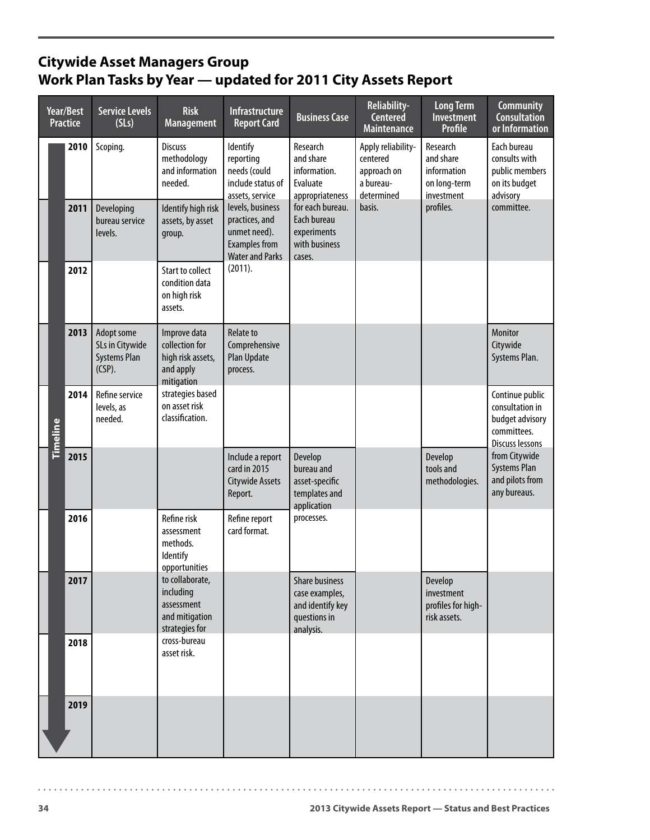## **Citywide Asset Managers Group Work Plan Tasks by Year — updated for 2011 City Assets Report**

| Year/Best<br><b>Practice</b> | <b>Service Levels</b><br>(SLs)                                    | <b>Risk</b><br><b>Management</b>                                               | <b>Infrastructure</b><br><b>Report Card</b>                                                          | <b>Business Case</b>                                                              | Reliability-<br>Centered<br><b>Maintenance</b>                           | <b>Long Term</b><br>Investment<br><b>Profile</b>                   | <b>Community</b><br><b>Consultation</b><br>or Information                               |
|------------------------------|-------------------------------------------------------------------|--------------------------------------------------------------------------------|------------------------------------------------------------------------------------------------------|-----------------------------------------------------------------------------------|--------------------------------------------------------------------------|--------------------------------------------------------------------|-----------------------------------------------------------------------------------------|
| 2010                         | Scoping.                                                          | <b>Discuss</b><br>methodology<br>and information<br>needed.                    | <b>Identify</b><br>reporting<br>needs (could<br>include status of<br>assets, service                 | Research<br>and share<br>information.<br>Evaluate<br>appropriateness              | Apply reliability-<br>centered<br>approach on<br>a bureau-<br>determined | Research<br>and share<br>information<br>on long-term<br>investment | Each bureau<br>consults with<br>public members<br>on its budget<br>advisory             |
| 2011                         | Developing<br>bureau service<br>levels.                           | Identify high risk<br>assets, by asset<br>group.                               | levels, business<br>practices, and<br>unmet need).<br><b>Examples from</b><br><b>Water and Parks</b> | for each bureau.<br>Each bureau<br>experiments<br>with business<br>cases.         | basis.                                                                   | profiles.                                                          | committee.                                                                              |
| 2012                         |                                                                   | <b>Start to collect</b><br>condition data<br>on high risk<br>assets.           | (2011).                                                                                              |                                                                                   |                                                                          |                                                                    |                                                                                         |
| 2013                         | Adopt some<br>SLs in Citywide<br><b>Systems Plan</b><br>$(CSP)$ . | Improve data<br>collection for<br>high risk assets,<br>and apply<br>mitigation | <b>Relate to</b><br>Comprehensive<br><b>Plan Update</b><br>process.                                  |                                                                                   |                                                                          |                                                                    | <b>Monitor</b><br>Citywide<br>Systems Plan.                                             |
| 2014<br>Timeline             | Refine service<br>levels, as<br>needed.                           | strategies based<br>on asset risk<br>classification.                           |                                                                                                      |                                                                                   |                                                                          |                                                                    | Continue public<br>consultation in<br>budget advisory<br>committees.<br>Discuss lessons |
| 2015                         |                                                                   |                                                                                | Include a report<br>card in 2015<br><b>Citywide Assets</b><br>Report.                                | Develop<br>bureau and<br>asset-specific<br>templates and<br>application           |                                                                          | Develop<br>tools and<br>methodologies.                             | from Citywide<br><b>Systems Plan</b><br>and pilots from<br>any bureaus.                 |
| 2016                         |                                                                   | Refine risk<br>assessment<br>methods.<br>Identify<br>opportunities             | Refine report<br>card format.                                                                        | processes.                                                                        |                                                                          |                                                                    |                                                                                         |
| 2017                         |                                                                   | to collaborate,<br>including<br>assessment<br>and mitigation<br>strategies for |                                                                                                      | Share business<br>case examples,<br>and identify key<br>questions in<br>analysis. |                                                                          | Develop<br>investment<br>profiles for high-<br>risk assets.        |                                                                                         |
| 2018                         |                                                                   | cross-bureau<br>asset risk.                                                    |                                                                                                      |                                                                                   |                                                                          |                                                                    |                                                                                         |
| 2019                         |                                                                   |                                                                                |                                                                                                      |                                                                                   |                                                                          |                                                                    |                                                                                         |

 $\cdots \cdots \cdots$ 

 $\sim$   $\sim$   $\sim$   $\sim$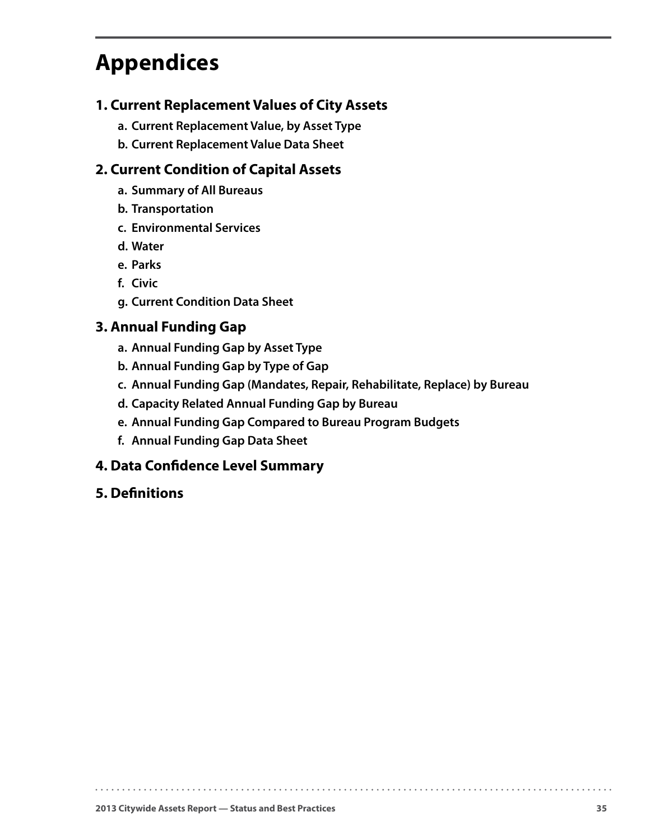# <span id="page-38-0"></span>**Appendices**

#### **1. Current Replacement Values of City Assets**

- **a. Current Replacement Value, by Asset Type**
- **b. Current Replacement Value Data Sheet**

### **2. Current Condition of Capital Assets**

- **a. Summary of All Bureaus**
- **b. Transportation**
- **c. Environmental Services**
- **d. Water**
- **e. Parks**
- **f. Civic**
- **g. Current Condition Data Sheet**

#### **3. Annual Funding Gap**

- **a. Annual Funding Gap by Asset Type**
- **b. Annual Funding Gap by Type of Gap**
- **c. Annual Funding Gap (Mandates, Repair, Rehabilitate, Replace) by Bureau**

. . . . . . . . . . . . . .

- **d. Capacity Related Annual Funding Gap by Bureau**
- **e. Annual Funding Gap Compared to Bureau Program Budgets**
- **f. Annual Funding Gap Data Sheet**

#### **4. Data Confidence Level Summary**

**5. Definitions**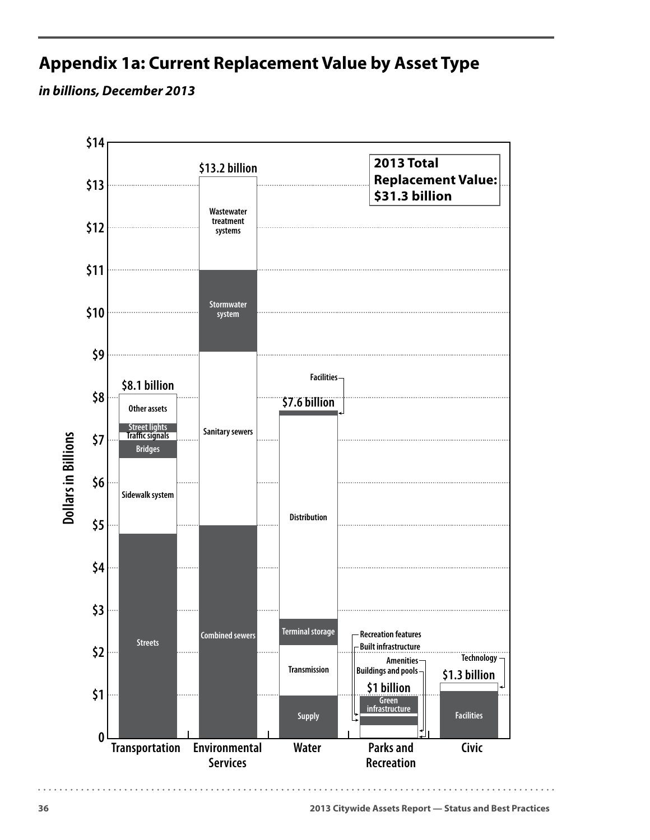# <span id="page-39-0"></span>**Appendix 1a: Current Replacement Value by Asset Type**

*in billions, December 2013* 

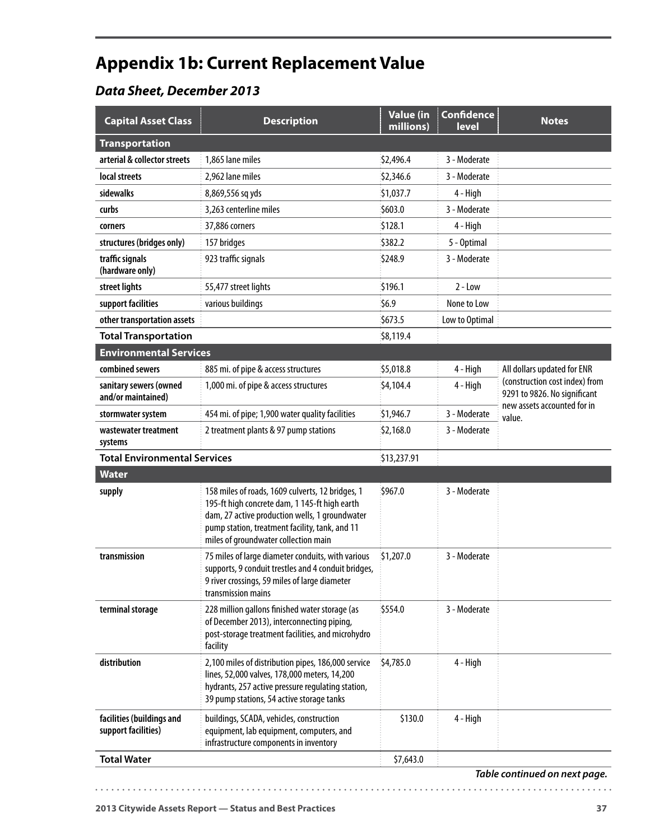# <span id="page-40-0"></span>**Appendix 1b: Current Replacement Value**

## *Data Sheet, December 2013*

| <b>Transportation</b><br>arterial & collector streets<br>1,865 lane miles<br>\$2,496.4<br>3 - Moderate<br>local streets<br>2,962 lane miles<br>\$2,346.6<br>3 - Moderate<br>sidewalks<br>\$1,037.7<br>4 - High<br>8,869,556 sq yds<br>3,263 centerline miles<br>curbs<br>\$603.0<br>3 - Moderate<br>\$128.1<br>37,886 corners<br>4 - High<br>corners<br>structures (bridges only)<br>157 bridges<br>5 - Optimal<br>\$382.2<br>3 - Moderate<br>traffic signals<br>923 traffic signals<br>\$248.9<br>(hardware only)<br>street lights<br>55,477 street lights<br>\$196.1<br>$2 - Low$<br>\$6.9<br>support facilities<br>various buildings<br>None to Low<br>\$673.5<br>other transportation assets<br>Low to Optimal<br><b>Total Transportation</b><br>\$8,119.4<br><b>Environmental Services</b><br>combined sewers<br>\$5,018.8<br>885 mi. of pipe & access structures<br>4 - High<br>All dollars updated for ENR<br>(construction cost index) from<br>sanitary sewers (owned<br>1,000 mi. of pipe & access structures<br>\$4,104.4<br>4 - High<br>9291 to 9826. No significant<br>and/or maintained)<br>new assets accounted for in<br>3 - Moderate<br>454 mi. of pipe; 1,900 water quality facilities<br>\$1,946.7<br>stormwater system<br>value.<br>3 - Moderate<br>2 treatment plants & 97 pump stations<br>\$2,168.0<br>wastewater treatment<br>systems<br><b>Total Environmental Services</b><br>\$13,237.91<br><b>Water</b><br>158 miles of roads, 1609 culverts, 12 bridges, 1<br>\$967.0<br>3 - Moderate<br>supply<br>195-ft high concrete dam, 1 145-ft high earth<br>dam, 27 active production wells, 1 groundwater<br>pump station, treatment facility, tank, and 11<br>miles of groundwater collection main<br>transmission<br>\$1,207.0<br>3 - Moderate<br>75 miles of large diameter conduits, with various<br>supports, 9 conduit trestles and 4 conduit bridges,<br>9 river crossings, 59 miles of large diameter<br>transmission mains<br>228 million gallons finished water storage (as<br>\$554.0<br>3 - Moderate<br>terminal storage<br>of December 2013), interconnecting piping,<br>post-storage treatment facilities, and microhydro<br>facility<br>distribution<br>2,100 miles of distribution pipes, 186,000 service<br>4 - High<br>\$4,785.0<br>lines, 52,000 valves, 178,000 meters, 14,200<br>hydrants, 257 active pressure regulating station,<br>39 pump stations, 54 active storage tanks<br>4 - High<br>facilities (buildings and<br>buildings, SCADA, vehicles, construction<br>\$130.0<br>support facilities)<br>equipment, lab equipment, computers, and<br>infrastructure components in inventory<br><b>Total Water</b><br>\$7,643.0 | <b>Capital Asset Class</b> | <b>Description</b> | <b>Value (in</b><br>millions) | <b>Confidence</b><br>level | <b>Notes</b> |
|---------------------------------------------------------------------------------------------------------------------------------------------------------------------------------------------------------------------------------------------------------------------------------------------------------------------------------------------------------------------------------------------------------------------------------------------------------------------------------------------------------------------------------------------------------------------------------------------------------------------------------------------------------------------------------------------------------------------------------------------------------------------------------------------------------------------------------------------------------------------------------------------------------------------------------------------------------------------------------------------------------------------------------------------------------------------------------------------------------------------------------------------------------------------------------------------------------------------------------------------------------------------------------------------------------------------------------------------------------------------------------------------------------------------------------------------------------------------------------------------------------------------------------------------------------------------------------------------------------------------------------------------------------------------------------------------------------------------------------------------------------------------------------------------------------------------------------------------------------------------------------------------------------------------------------------------------------------------------------------------------------------------------------------------------------------------------------------------------------------------------------------------------------------------------------------------------------------------------------------------------------------------------------------------------------------------------------------------------------------------------------------------------------------------------------------------------------------------------------------------------------------------------------------------------------------------------------------------------------------------------------------------------------------------------|----------------------------|--------------------|-------------------------------|----------------------------|--------------|
|                                                                                                                                                                                                                                                                                                                                                                                                                                                                                                                                                                                                                                                                                                                                                                                                                                                                                                                                                                                                                                                                                                                                                                                                                                                                                                                                                                                                                                                                                                                                                                                                                                                                                                                                                                                                                                                                                                                                                                                                                                                                                                                                                                                                                                                                                                                                                                                                                                                                                                                                                                                                                                                                           |                            |                    |                               |                            |              |
|                                                                                                                                                                                                                                                                                                                                                                                                                                                                                                                                                                                                                                                                                                                                                                                                                                                                                                                                                                                                                                                                                                                                                                                                                                                                                                                                                                                                                                                                                                                                                                                                                                                                                                                                                                                                                                                                                                                                                                                                                                                                                                                                                                                                                                                                                                                                                                                                                                                                                                                                                                                                                                                                           |                            |                    |                               |                            |              |
|                                                                                                                                                                                                                                                                                                                                                                                                                                                                                                                                                                                                                                                                                                                                                                                                                                                                                                                                                                                                                                                                                                                                                                                                                                                                                                                                                                                                                                                                                                                                                                                                                                                                                                                                                                                                                                                                                                                                                                                                                                                                                                                                                                                                                                                                                                                                                                                                                                                                                                                                                                                                                                                                           |                            |                    |                               |                            |              |
|                                                                                                                                                                                                                                                                                                                                                                                                                                                                                                                                                                                                                                                                                                                                                                                                                                                                                                                                                                                                                                                                                                                                                                                                                                                                                                                                                                                                                                                                                                                                                                                                                                                                                                                                                                                                                                                                                                                                                                                                                                                                                                                                                                                                                                                                                                                                                                                                                                                                                                                                                                                                                                                                           |                            |                    |                               |                            |              |
|                                                                                                                                                                                                                                                                                                                                                                                                                                                                                                                                                                                                                                                                                                                                                                                                                                                                                                                                                                                                                                                                                                                                                                                                                                                                                                                                                                                                                                                                                                                                                                                                                                                                                                                                                                                                                                                                                                                                                                                                                                                                                                                                                                                                                                                                                                                                                                                                                                                                                                                                                                                                                                                                           |                            |                    |                               |                            |              |
|                                                                                                                                                                                                                                                                                                                                                                                                                                                                                                                                                                                                                                                                                                                                                                                                                                                                                                                                                                                                                                                                                                                                                                                                                                                                                                                                                                                                                                                                                                                                                                                                                                                                                                                                                                                                                                                                                                                                                                                                                                                                                                                                                                                                                                                                                                                                                                                                                                                                                                                                                                                                                                                                           |                            |                    |                               |                            |              |
|                                                                                                                                                                                                                                                                                                                                                                                                                                                                                                                                                                                                                                                                                                                                                                                                                                                                                                                                                                                                                                                                                                                                                                                                                                                                                                                                                                                                                                                                                                                                                                                                                                                                                                                                                                                                                                                                                                                                                                                                                                                                                                                                                                                                                                                                                                                                                                                                                                                                                                                                                                                                                                                                           |                            |                    |                               |                            |              |
|                                                                                                                                                                                                                                                                                                                                                                                                                                                                                                                                                                                                                                                                                                                                                                                                                                                                                                                                                                                                                                                                                                                                                                                                                                                                                                                                                                                                                                                                                                                                                                                                                                                                                                                                                                                                                                                                                                                                                                                                                                                                                                                                                                                                                                                                                                                                                                                                                                                                                                                                                                                                                                                                           |                            |                    |                               |                            |              |
|                                                                                                                                                                                                                                                                                                                                                                                                                                                                                                                                                                                                                                                                                                                                                                                                                                                                                                                                                                                                                                                                                                                                                                                                                                                                                                                                                                                                                                                                                                                                                                                                                                                                                                                                                                                                                                                                                                                                                                                                                                                                                                                                                                                                                                                                                                                                                                                                                                                                                                                                                                                                                                                                           |                            |                    |                               |                            |              |
|                                                                                                                                                                                                                                                                                                                                                                                                                                                                                                                                                                                                                                                                                                                                                                                                                                                                                                                                                                                                                                                                                                                                                                                                                                                                                                                                                                                                                                                                                                                                                                                                                                                                                                                                                                                                                                                                                                                                                                                                                                                                                                                                                                                                                                                                                                                                                                                                                                                                                                                                                                                                                                                                           |                            |                    |                               |                            |              |
|                                                                                                                                                                                                                                                                                                                                                                                                                                                                                                                                                                                                                                                                                                                                                                                                                                                                                                                                                                                                                                                                                                                                                                                                                                                                                                                                                                                                                                                                                                                                                                                                                                                                                                                                                                                                                                                                                                                                                                                                                                                                                                                                                                                                                                                                                                                                                                                                                                                                                                                                                                                                                                                                           |                            |                    |                               |                            |              |
|                                                                                                                                                                                                                                                                                                                                                                                                                                                                                                                                                                                                                                                                                                                                                                                                                                                                                                                                                                                                                                                                                                                                                                                                                                                                                                                                                                                                                                                                                                                                                                                                                                                                                                                                                                                                                                                                                                                                                                                                                                                                                                                                                                                                                                                                                                                                                                                                                                                                                                                                                                                                                                                                           |                            |                    |                               |                            |              |
|                                                                                                                                                                                                                                                                                                                                                                                                                                                                                                                                                                                                                                                                                                                                                                                                                                                                                                                                                                                                                                                                                                                                                                                                                                                                                                                                                                                                                                                                                                                                                                                                                                                                                                                                                                                                                                                                                                                                                                                                                                                                                                                                                                                                                                                                                                                                                                                                                                                                                                                                                                                                                                                                           |                            |                    |                               |                            |              |
|                                                                                                                                                                                                                                                                                                                                                                                                                                                                                                                                                                                                                                                                                                                                                                                                                                                                                                                                                                                                                                                                                                                                                                                                                                                                                                                                                                                                                                                                                                                                                                                                                                                                                                                                                                                                                                                                                                                                                                                                                                                                                                                                                                                                                                                                                                                                                                                                                                                                                                                                                                                                                                                                           |                            |                    |                               |                            |              |
|                                                                                                                                                                                                                                                                                                                                                                                                                                                                                                                                                                                                                                                                                                                                                                                                                                                                                                                                                                                                                                                                                                                                                                                                                                                                                                                                                                                                                                                                                                                                                                                                                                                                                                                                                                                                                                                                                                                                                                                                                                                                                                                                                                                                                                                                                                                                                                                                                                                                                                                                                                                                                                                                           |                            |                    |                               |                            |              |
|                                                                                                                                                                                                                                                                                                                                                                                                                                                                                                                                                                                                                                                                                                                                                                                                                                                                                                                                                                                                                                                                                                                                                                                                                                                                                                                                                                                                                                                                                                                                                                                                                                                                                                                                                                                                                                                                                                                                                                                                                                                                                                                                                                                                                                                                                                                                                                                                                                                                                                                                                                                                                                                                           |                            |                    |                               |                            |              |
|                                                                                                                                                                                                                                                                                                                                                                                                                                                                                                                                                                                                                                                                                                                                                                                                                                                                                                                                                                                                                                                                                                                                                                                                                                                                                                                                                                                                                                                                                                                                                                                                                                                                                                                                                                                                                                                                                                                                                                                                                                                                                                                                                                                                                                                                                                                                                                                                                                                                                                                                                                                                                                                                           |                            |                    |                               |                            |              |
|                                                                                                                                                                                                                                                                                                                                                                                                                                                                                                                                                                                                                                                                                                                                                                                                                                                                                                                                                                                                                                                                                                                                                                                                                                                                                                                                                                                                                                                                                                                                                                                                                                                                                                                                                                                                                                                                                                                                                                                                                                                                                                                                                                                                                                                                                                                                                                                                                                                                                                                                                                                                                                                                           |                            |                    |                               |                            |              |
|                                                                                                                                                                                                                                                                                                                                                                                                                                                                                                                                                                                                                                                                                                                                                                                                                                                                                                                                                                                                                                                                                                                                                                                                                                                                                                                                                                                                                                                                                                                                                                                                                                                                                                                                                                                                                                                                                                                                                                                                                                                                                                                                                                                                                                                                                                                                                                                                                                                                                                                                                                                                                                                                           |                            |                    |                               |                            |              |
|                                                                                                                                                                                                                                                                                                                                                                                                                                                                                                                                                                                                                                                                                                                                                                                                                                                                                                                                                                                                                                                                                                                                                                                                                                                                                                                                                                                                                                                                                                                                                                                                                                                                                                                                                                                                                                                                                                                                                                                                                                                                                                                                                                                                                                                                                                                                                                                                                                                                                                                                                                                                                                                                           |                            |                    |                               |                            |              |
|                                                                                                                                                                                                                                                                                                                                                                                                                                                                                                                                                                                                                                                                                                                                                                                                                                                                                                                                                                                                                                                                                                                                                                                                                                                                                                                                                                                                                                                                                                                                                                                                                                                                                                                                                                                                                                                                                                                                                                                                                                                                                                                                                                                                                                                                                                                                                                                                                                                                                                                                                                                                                                                                           |                            |                    |                               |                            |              |
|                                                                                                                                                                                                                                                                                                                                                                                                                                                                                                                                                                                                                                                                                                                                                                                                                                                                                                                                                                                                                                                                                                                                                                                                                                                                                                                                                                                                                                                                                                                                                                                                                                                                                                                                                                                                                                                                                                                                                                                                                                                                                                                                                                                                                                                                                                                                                                                                                                                                                                                                                                                                                                                                           |                            |                    |                               |                            |              |
|                                                                                                                                                                                                                                                                                                                                                                                                                                                                                                                                                                                                                                                                                                                                                                                                                                                                                                                                                                                                                                                                                                                                                                                                                                                                                                                                                                                                                                                                                                                                                                                                                                                                                                                                                                                                                                                                                                                                                                                                                                                                                                                                                                                                                                                                                                                                                                                                                                                                                                                                                                                                                                                                           |                            |                    |                               |                            |              |
|                                                                                                                                                                                                                                                                                                                                                                                                                                                                                                                                                                                                                                                                                                                                                                                                                                                                                                                                                                                                                                                                                                                                                                                                                                                                                                                                                                                                                                                                                                                                                                                                                                                                                                                                                                                                                                                                                                                                                                                                                                                                                                                                                                                                                                                                                                                                                                                                                                                                                                                                                                                                                                                                           |                            |                    |                               |                            |              |
|                                                                                                                                                                                                                                                                                                                                                                                                                                                                                                                                                                                                                                                                                                                                                                                                                                                                                                                                                                                                                                                                                                                                                                                                                                                                                                                                                                                                                                                                                                                                                                                                                                                                                                                                                                                                                                                                                                                                                                                                                                                                                                                                                                                                                                                                                                                                                                                                                                                                                                                                                                                                                                                                           |                            |                    |                               |                            |              |

. . . . . . . . . . . .

*Table continued on next page.*

. . . . . . . . . . . .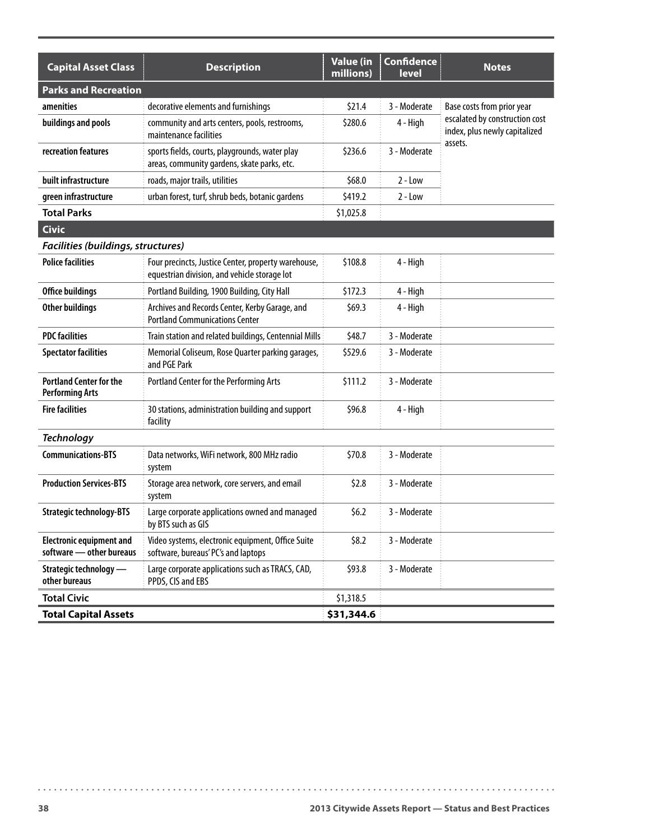| <b>Capital Asset Class</b>                                  | <b>Description</b>                                                                                  | <b>Value (in</b><br>millions) | <b>Confidence</b><br>level | <b>Notes</b>                                                    |
|-------------------------------------------------------------|-----------------------------------------------------------------------------------------------------|-------------------------------|----------------------------|-----------------------------------------------------------------|
| <b>Parks and Recreation</b>                                 |                                                                                                     |                               |                            |                                                                 |
| amenities                                                   | decorative elements and furnishings                                                                 | \$21.4                        | 3 - Moderate               | Base costs from prior year                                      |
| buildings and pools                                         | community and arts centers, pools, restrooms,<br>maintenance facilities                             | \$280.6                       | 4 - High                   | escalated by construction cost<br>index, plus newly capitalized |
| recreation features                                         | sports fields, courts, playgrounds, water play<br>areas, community gardens, skate parks, etc.       | \$236.6                       | 3 - Moderate               | assets.                                                         |
| built infrastructure                                        | roads, major trails, utilities                                                                      | \$68.0                        | $2 - Low$                  |                                                                 |
| green infrastructure                                        | urban forest, turf, shrub beds, botanic gardens                                                     | \$419.2                       | $2 - Low$                  |                                                                 |
| <b>Total Parks</b>                                          |                                                                                                     | \$1,025.8                     |                            |                                                                 |
| <b>Civic</b>                                                |                                                                                                     |                               |                            |                                                                 |
| Facilities (buildings, structures)                          |                                                                                                     |                               |                            |                                                                 |
| <b>Police facilities</b>                                    | Four precincts, Justice Center, property warehouse,<br>equestrian division, and vehicle storage lot | \$108.8                       | 4 - High                   |                                                                 |
| Office buildings                                            | Portland Building, 1900 Building, City Hall                                                         | \$172.3                       | 4 - High                   |                                                                 |
| Other buildings                                             | Archives and Records Center, Kerby Garage, and<br><b>Portland Communications Center</b>             | \$69.3\$                      | 4 - High                   |                                                                 |
| <b>PDC facilities</b>                                       | Train station and related buildings, Centennial Mills                                               | \$48.7                        | 3 - Moderate               |                                                                 |
| <b>Spectator facilities</b>                                 | Memorial Coliseum, Rose Quarter parking garages,<br>and PGE Park                                    | \$529.6                       | 3 - Moderate               |                                                                 |
| <b>Portland Center for the</b><br><b>Performing Arts</b>    | Portland Center for the Performing Arts                                                             | \$111.2                       | 3 - Moderate               |                                                                 |
| <b>Fire facilities</b>                                      | 30 stations, administration building and support<br>facility                                        | \$96.8                        | 4 - High                   |                                                                 |
| <b>Technology</b>                                           |                                                                                                     |                               |                            |                                                                 |
| <b>Communications-BTS</b>                                   | Data networks, WiFi network, 800 MHz radio<br>system                                                | \$70.8                        | 3 - Moderate               |                                                                 |
| <b>Production Services-BTS</b>                              | Storage area network, core servers, and email<br>system                                             | \$2.8                         | 3 - Moderate               |                                                                 |
| <b>Strategic technology-BTS</b>                             | Large corporate applications owned and managed<br>by BTS such as GIS                                | \$6.2\$                       | 3 - Moderate               |                                                                 |
| <b>Electronic equipment and</b><br>software - other bureaus | Video systems, electronic equipment, Office Suite<br>software, bureaus' PC's and laptops            | \$8.2                         | 3 - Moderate               |                                                                 |
| Strategic technology —<br>other bureaus                     | Large corporate applications such as TRACS, CAD,<br>PPDS, CIS and EBS                               | \$93.8                        | 3 - Moderate               |                                                                 |
| <b>Total Civic</b>                                          |                                                                                                     | \$1,318.5                     |                            |                                                                 |
| <b>Total Capital Assets</b>                                 |                                                                                                     | \$31,344.6                    |                            |                                                                 |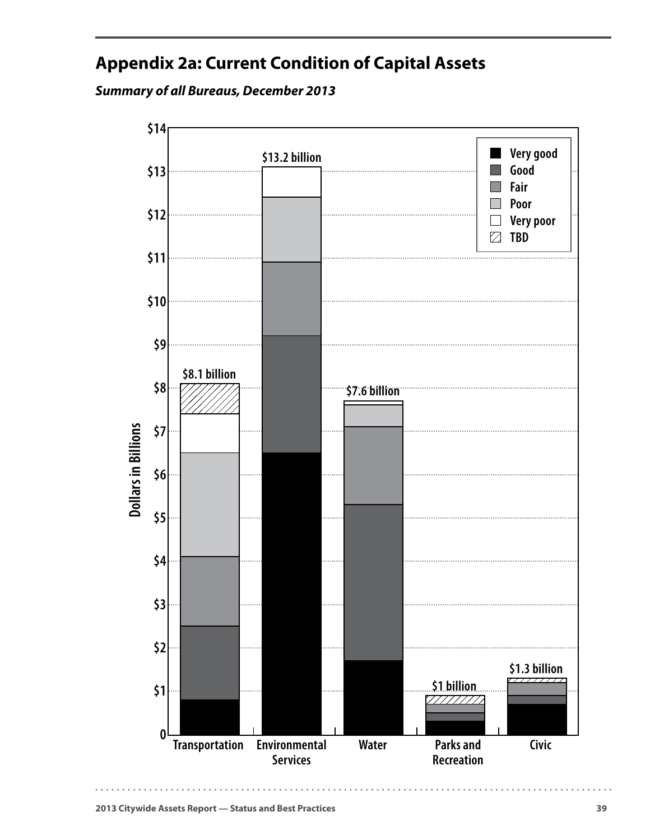# <span id="page-42-0"></span>**Appendix 2a: Current Condition of Capital Assets**

*Summary of all Bureaus, December 2013*

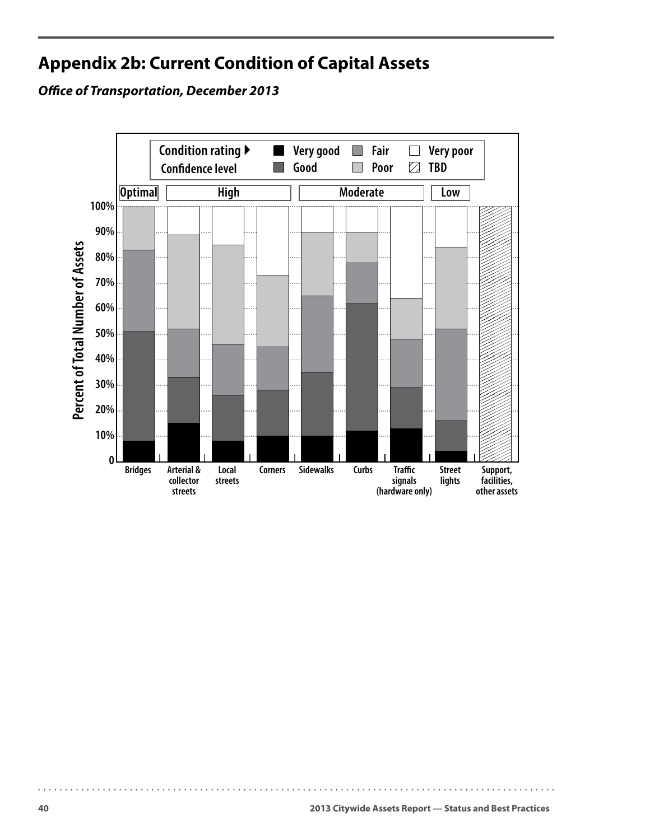# <span id="page-43-0"></span>**Appendix 2b: Current Condition of Capital Assets**

*Office of Transportation, December 2013*

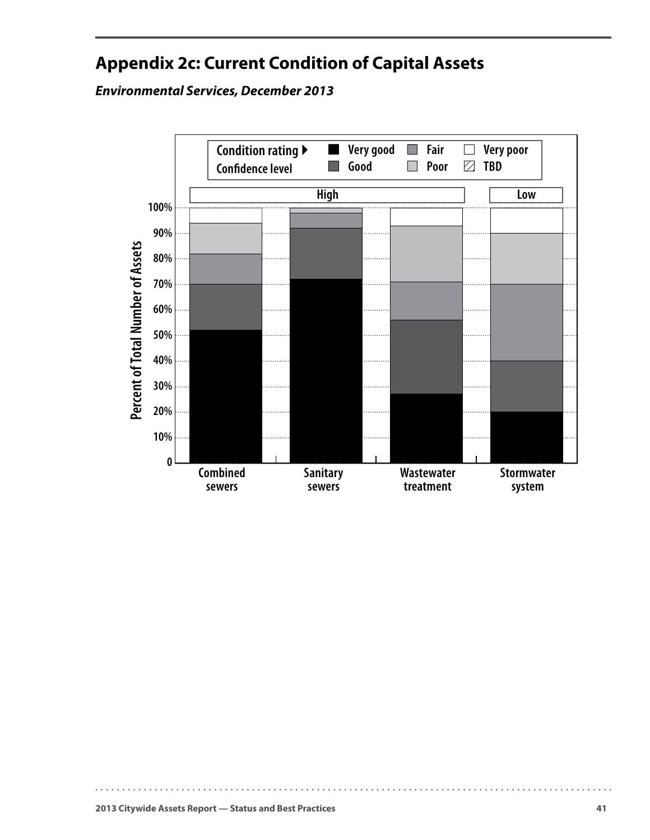# <span id="page-44-0"></span>**Appendix 2c: Current Condition of Capital Assets**

*Environmental Services, December 2013*

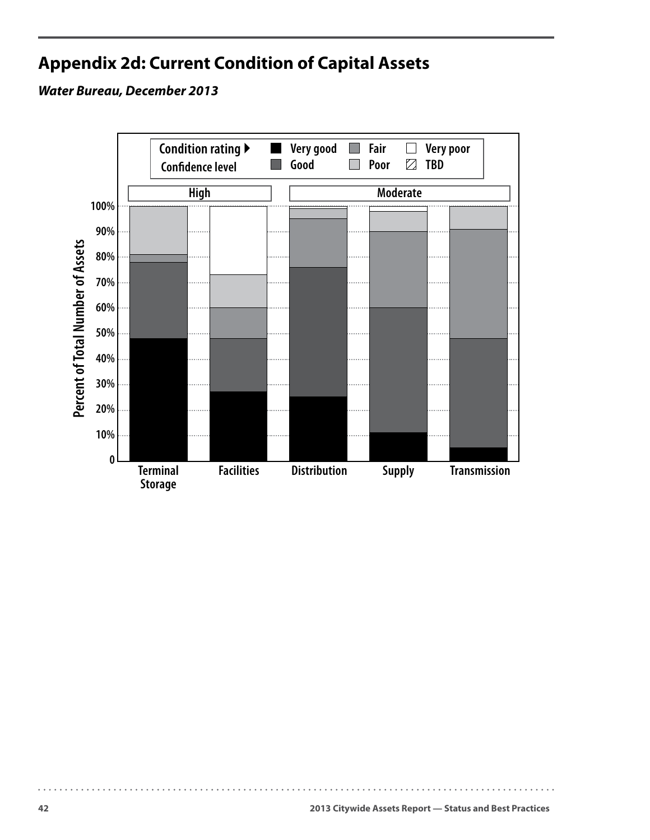# <span id="page-45-0"></span>**Appendix 2d: Current Condition of Capital Assets**

### *Water Bureau, December 2013*

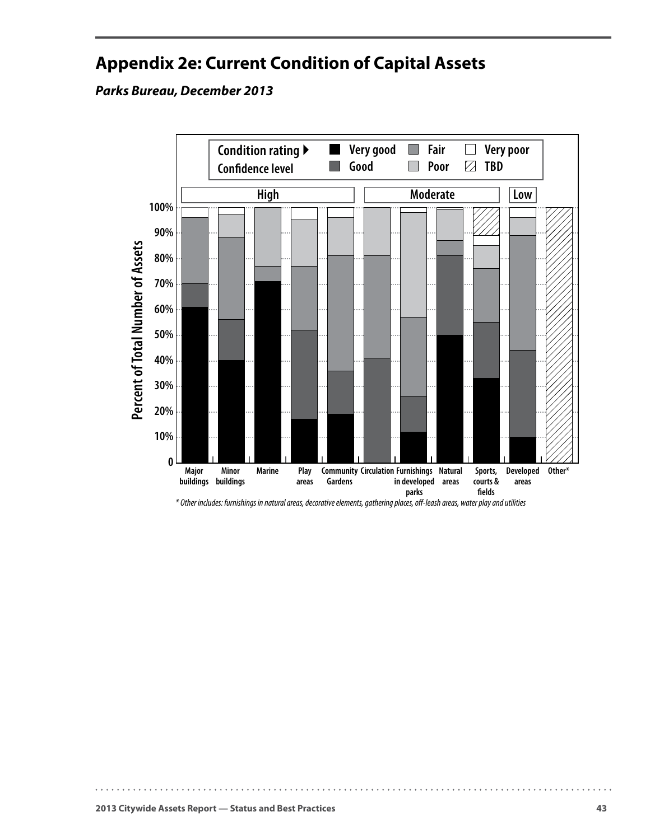# <span id="page-46-0"></span>**Appendix 2e: Current Condition of Capital Assets**

*Parks Bureau, December 2013*



*\* Other includes: furnishings in natural areas, decorative elements, gathering places, o-leash areas, water play and utilities*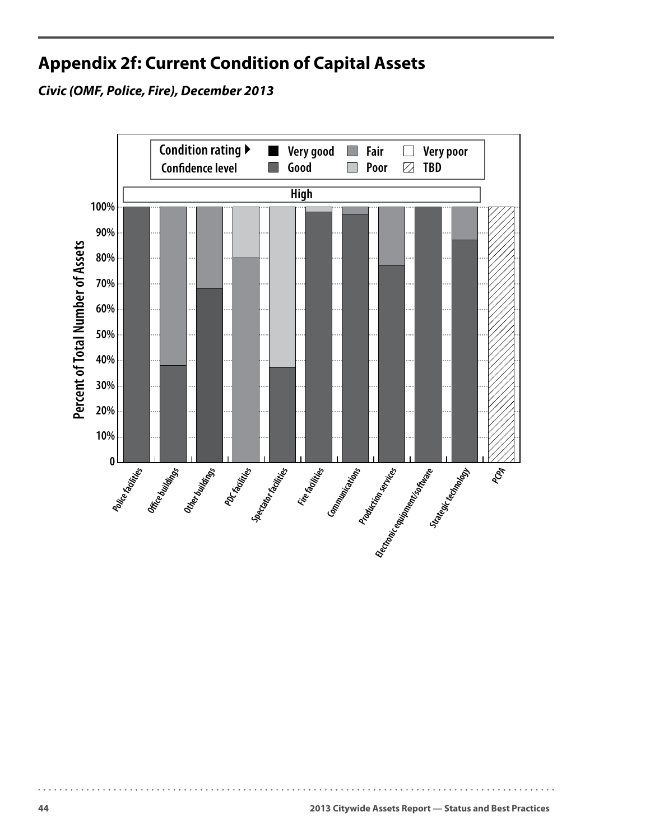# <span id="page-47-0"></span>**Appendix 2f: Current Condition of Capital Assets**

*Civic (OMF, Police, Fire), December 2013*

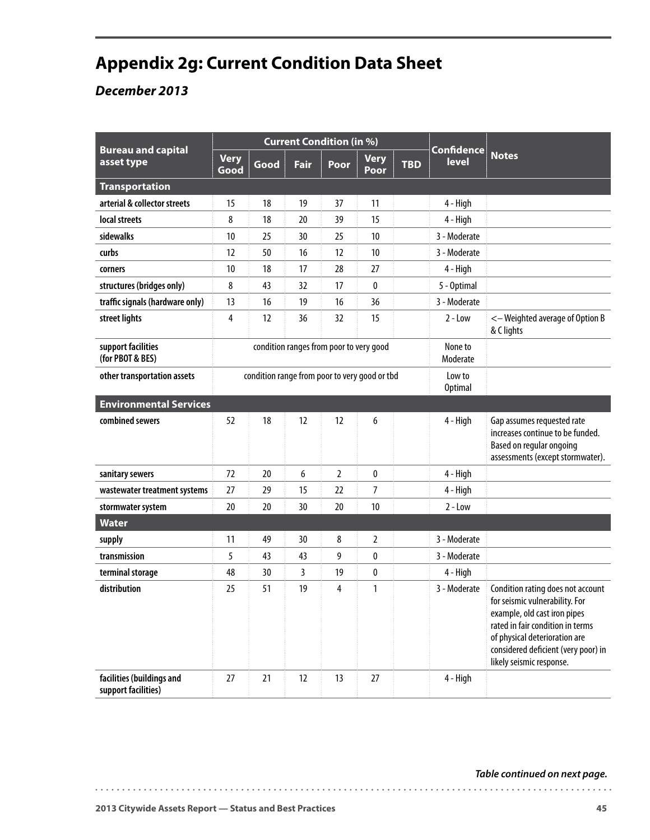# <span id="page-48-0"></span>**Appendix 2g: Current Condition Data Sheet**

## *December 2013*

| <b>Bureau and capital</b>                        | <b>Current Condition (in %)</b> |                                               |      |                                         |                     |            | <b>Confidence</b>   |                                                                                                                                                                                                                                             |
|--------------------------------------------------|---------------------------------|-----------------------------------------------|------|-----------------------------------------|---------------------|------------|---------------------|---------------------------------------------------------------------------------------------------------------------------------------------------------------------------------------------------------------------------------------------|
| asset type                                       | <b>Very</b><br>Good             | Good                                          | Fair | Poor                                    | <b>Very</b><br>Poor | <b>TBD</b> | <b>level</b>        | <b>Notes</b>                                                                                                                                                                                                                                |
| <b>Transportation</b>                            |                                 |                                               |      |                                         |                     |            |                     |                                                                                                                                                                                                                                             |
| arterial & collector streets                     | 15                              | 18                                            | 19   | 37                                      | 11                  |            | 4 - High            |                                                                                                                                                                                                                                             |
| local streets                                    | 8                               | 18                                            | 20   | 39                                      | 15                  |            | 4 - High            |                                                                                                                                                                                                                                             |
| sidewalks                                        | 10                              | 25                                            | 30   | 25                                      | 10                  |            | 3 - Moderate        |                                                                                                                                                                                                                                             |
| curbs                                            | 12                              | 50                                            | 16   | 12                                      | 10                  |            | 3 - Moderate        |                                                                                                                                                                                                                                             |
| corners                                          | 10                              | 18                                            | 17   | 28                                      | 27                  |            | 4 - High            |                                                                                                                                                                                                                                             |
| structures (bridges only)                        | 8                               | 43                                            | 32   | 17                                      | 0                   |            | 5 - Optimal         |                                                                                                                                                                                                                                             |
| traffic signals (hardware only)                  | 13                              | 16                                            | 19   | 16                                      | 36                  |            | 3 - Moderate        |                                                                                                                                                                                                                                             |
| street lights                                    | 4                               | 12                                            | 36   | 32                                      | 15                  |            | $2 - Low$           | <- Weighted average of Option B<br>& C lights                                                                                                                                                                                               |
| support facilities<br>(for PBOT & BES)           |                                 |                                               |      | condition ranges from poor to very good |                     |            | None to<br>Moderate |                                                                                                                                                                                                                                             |
| other transportation assets                      |                                 | condition range from poor to very good or tbd |      |                                         |                     |            |                     |                                                                                                                                                                                                                                             |
| <b>Environmental Services</b>                    |                                 |                                               |      |                                         |                     |            |                     |                                                                                                                                                                                                                                             |
| combined sewers                                  | 52                              | 18                                            | 12   | 12                                      | 6                   |            | 4 - High            | Gap assumes requested rate<br>increases continue to be funded.<br>Based on regular ongoing<br>assessments (except stormwater).                                                                                                              |
| sanitary sewers                                  | 72                              | 20                                            | 6    | $\overline{2}$                          | 0                   |            | 4 - High            |                                                                                                                                                                                                                                             |
| wastewater treatment systems                     | 27                              | 29                                            | 15   | 22                                      | 7                   |            | 4 - High            |                                                                                                                                                                                                                                             |
| stormwater system                                | 20                              | 20                                            | 30   | 20                                      | 10                  |            | $2 - Low$           |                                                                                                                                                                                                                                             |
| <b>Water</b>                                     |                                 |                                               |      |                                         |                     |            |                     |                                                                                                                                                                                                                                             |
| supply                                           | 11                              | 49                                            | 30   | 8                                       | $\overline{2}$      |            | 3 - Moderate        |                                                                                                                                                                                                                                             |
| transmission                                     | 5                               | 43                                            | 43   | 9                                       | 0                   |            | 3 - Moderate        |                                                                                                                                                                                                                                             |
| terminal storage                                 | 48                              | 30                                            | 3    | 19                                      | 0                   |            | 4 - High            |                                                                                                                                                                                                                                             |
| distribution                                     | 25                              | 51                                            | 19   | 4                                       | $\mathbf{1}$        |            | 3 - Moderate        | Condition rating does not account<br>for seismic vulnerability. For<br>example, old cast iron pipes<br>rated in fair condition in terms<br>of physical deterioration are<br>considered deficient (very poor) in<br>likely seismic response. |
| facilities (buildings and<br>support facilities) | 27                              | 21                                            | 12   | 13                                      | 27                  |            | 4 - High            |                                                                                                                                                                                                                                             |

#### *Table continued on next page.*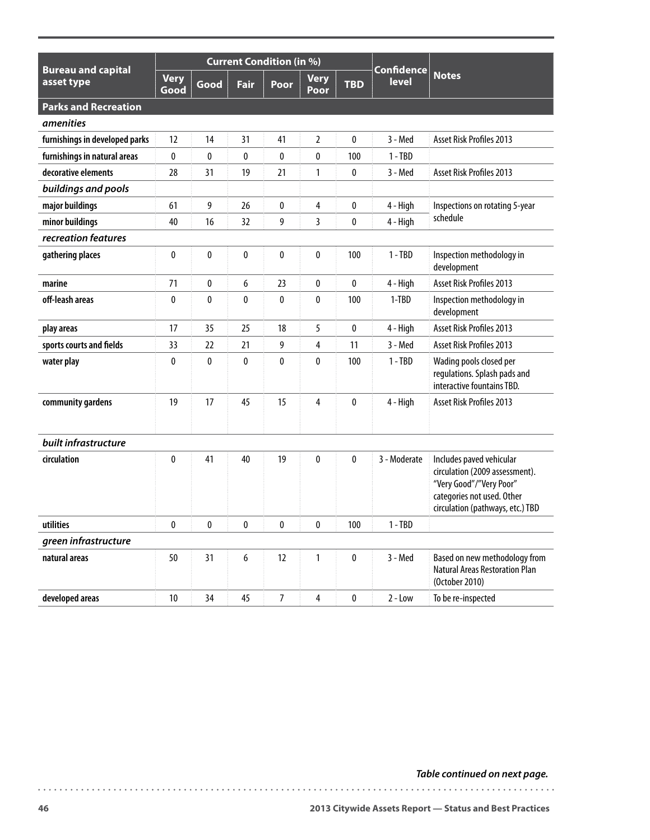|                                         |                     |      |             | <b>Current Condition (in %)</b> |                     |            |                            |                                                                                                                                                         |
|-----------------------------------------|---------------------|------|-------------|---------------------------------|---------------------|------------|----------------------------|---------------------------------------------------------------------------------------------------------------------------------------------------------|
| <b>Bureau and capital</b><br>asset type | <b>Very</b><br>Good | Good | <b>Fair</b> | Poor                            | <b>Very</b><br>Poor | <b>TBD</b> | <b>Confidence</b><br>level | <b>Notes</b>                                                                                                                                            |
| <b>Parks and Recreation</b>             |                     |      |             |                                 |                     |            |                            |                                                                                                                                                         |
| <i>amenities</i>                        |                     |      |             |                                 |                     |            |                            |                                                                                                                                                         |
| furnishings in developed parks          | 12                  | 14   | 31          | 41                              | 2                   | 0          | 3 - Med                    | Asset Risk Profiles 2013                                                                                                                                |
| furnishings in natural areas            | 0                   | 0    | 0           | 0                               | 0                   | 100        | $1 - TBD$                  |                                                                                                                                                         |
| decorative elements                     | 28                  | 31   | 19          | 21                              | 1                   | 0          | 3 - Med                    | Asset Risk Profiles 2013                                                                                                                                |
| buildings and pools                     |                     |      |             |                                 |                     |            |                            |                                                                                                                                                         |
| major buildings                         | 61                  | 9    | 26          | 0                               | 4                   | 0          | 4 - High                   | Inspections on rotating 5-year                                                                                                                          |
| minor buildings                         | 40                  | 16   | 32          | 9                               | 3                   | 0          | 4 - High                   | schedule                                                                                                                                                |
| recreation features                     |                     |      |             |                                 |                     |            |                            |                                                                                                                                                         |
| gathering places                        | 0                   | 0    | 0           | 0                               | 0                   | 100        | $1 - TBD$                  | Inspection methodology in<br>development                                                                                                                |
| marine                                  | 71                  | 0    | 6           | 23                              | 0                   | 0          | 4 - High                   | <b>Asset Risk Profiles 2013</b>                                                                                                                         |
| off-leash areas                         | 0                   | 0    | 0           | 0                               | 0                   | 100        | $1-TBD$                    | Inspection methodology in<br>development                                                                                                                |
| play areas                              | 17                  | 35   | 25          | 18                              | 5                   | 0          | 4 - High                   | Asset Risk Profiles 2013                                                                                                                                |
| sports courts and fields                | 33                  | 22   | 21          | 9                               | 4                   | 11         | 3 - Med                    | Asset Risk Profiles 2013                                                                                                                                |
| water play                              | 0                   | 0    | 0           | 0                               | 0                   | 100        | $1 - TBD$                  | Wading pools closed per<br>regulations. Splash pads and<br>interactive fountains TBD.                                                                   |
| community gardens                       | 19                  | 17   | 45          | 15                              | 4                   | 0          | 4 - High                   | Asset Risk Profiles 2013                                                                                                                                |
| built infrastructure                    |                     |      |             |                                 |                     |            |                            |                                                                                                                                                         |
| circulation                             | 0                   | 41   | 40          | 19                              | $\mathbf{0}$        | 0          | 3 - Moderate               | Includes paved vehicular<br>circulation (2009 assessment).<br>"Very Good"/"Very Poor"<br>categories not used. Other<br>circulation (pathways, etc.) TBD |
| utilities                               | $\pmb{0}$           | 0    | $\pmb{0}$   | 0                               | $\pmb{0}$           | 100        | $1 - TBD$                  |                                                                                                                                                         |
| green infrastructure                    |                     |      |             |                                 |                     |            |                            |                                                                                                                                                         |
| natural areas                           | 50                  | 31   | 6           | 12                              | $\mathbf{1}$        | 0          | 3 - Med                    | Based on new methodology from<br><b>Natural Areas Restoration Plan</b><br>(October 2010)                                                                |
| developed areas                         | $10\,$              | 34   | 45          | $\overline{7}$                  | $\overline{4}$      | $\pmb{0}$  | $2 - Low$                  | To be re-inspected                                                                                                                                      |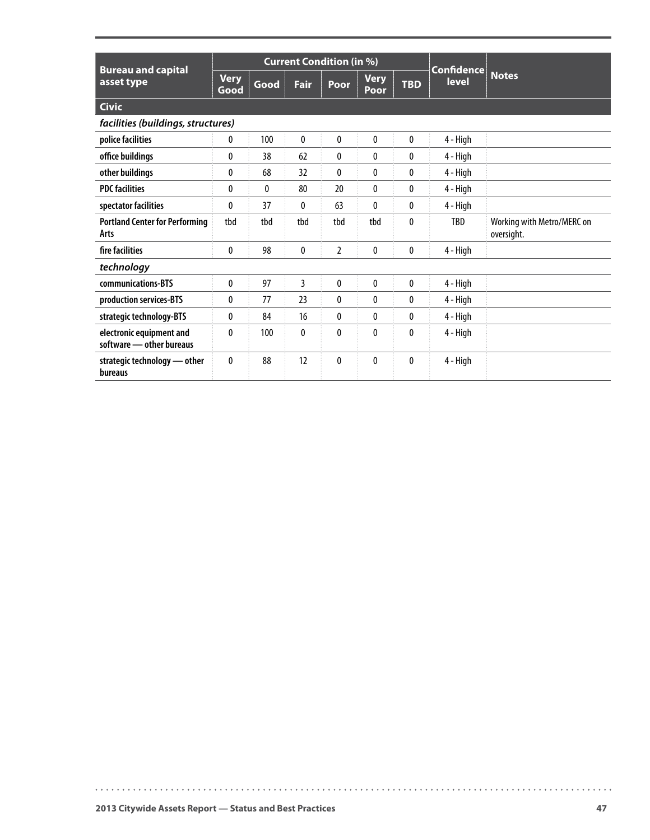| <b>Bureau and capital</b>                            | <b>Current Condition (in %)</b> |              |                |                |                     |              | <b>Confidence</b> |                                          |
|------------------------------------------------------|---------------------------------|--------------|----------------|----------------|---------------------|--------------|-------------------|------------------------------------------|
| asset type                                           | <b>Very</b><br>Good             | Good         | <b>Fair</b>    | Poor           | <b>Very</b><br>Poor | <b>TBD</b>   | <b>level</b>      | <b>Notes</b>                             |
| <b>Civic</b>                                         |                                 |              |                |                |                     |              |                   |                                          |
| facilities (buildings, structures)                   |                                 |              |                |                |                     |              |                   |                                          |
| police facilities                                    | 0                               | 100          | 0              | $\mathbf{0}$   | 0                   | $\mathbf{0}$ | 4 - High          |                                          |
| office buildings                                     | $\mathbf 0$                     | 38           | 62             | 0              | 0                   | $\mathbf{0}$ | 4 - High          |                                          |
| other buildings                                      | 0                               | 68           | 32             | $\mathbf{0}$   | 0                   | $\mathbf{0}$ | 4 - High          |                                          |
| <b>PDC facilities</b>                                | $\mathbf{0}$                    | $\mathbf{0}$ | 80             | 20             | 0                   | $\mathbf{0}$ | 4 - High          |                                          |
| spectator facilities                                 | $\mathbf 0$                     | 37           | 0              | 63             | 0                   | $\mathbf{0}$ | 4 - High          |                                          |
| <b>Portland Center for Performing</b><br>Arts        | tbd                             | tbd          | tbd            | tbd            | tbd                 | $\mathbf{0}$ | TBD               | Working with Metro/MERC on<br>oversight. |
| fire facilities                                      | 0                               | 98           | 0              | $\overline{2}$ | 0                   | $\mathbf{0}$ | 4 - High          |                                          |
| technology                                           |                                 |              |                |                |                     |              |                   |                                          |
| communications-BTS                                   | 0                               | 97           | $\overline{3}$ | $\mathbf{0}$   | $\mathbf{0}$        | $\pmb{0}$    | 4 - High          |                                          |
| production services-BTS                              | $\mathbf{0}$                    | 77           | 23             | $\mathbf{0}$   | 0                   | $\mathbf{0}$ | 4 - High          |                                          |
| strategic technology-BTS                             | $\mathbf{0}$                    | 84           | 16             | $\mathbf{0}$   | 0                   | $\mathbf{0}$ | 4 - High          |                                          |
| electronic equipment and<br>software - other bureaus | $\mathbf{0}$                    | 100          | 0              | $\mathbf{0}$   | $\mathbf{0}$        | $\mathbf{0}$ | 4 - High          |                                          |
| strategic technology - other<br>bureaus              | $\mathbf{0}$                    | 88           | 12             | $\mathbf{0}$   | 0                   | $\mathbf{0}$ | 4 - High          |                                          |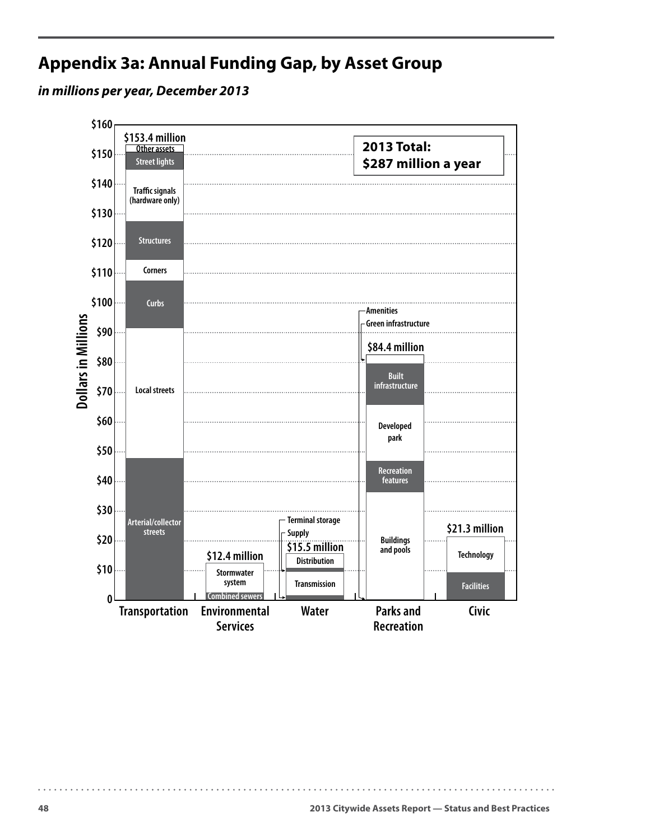# <span id="page-51-0"></span>**Appendix 3a: Annual Funding Gap, by Asset Group**

*in millions per year, December 2013*

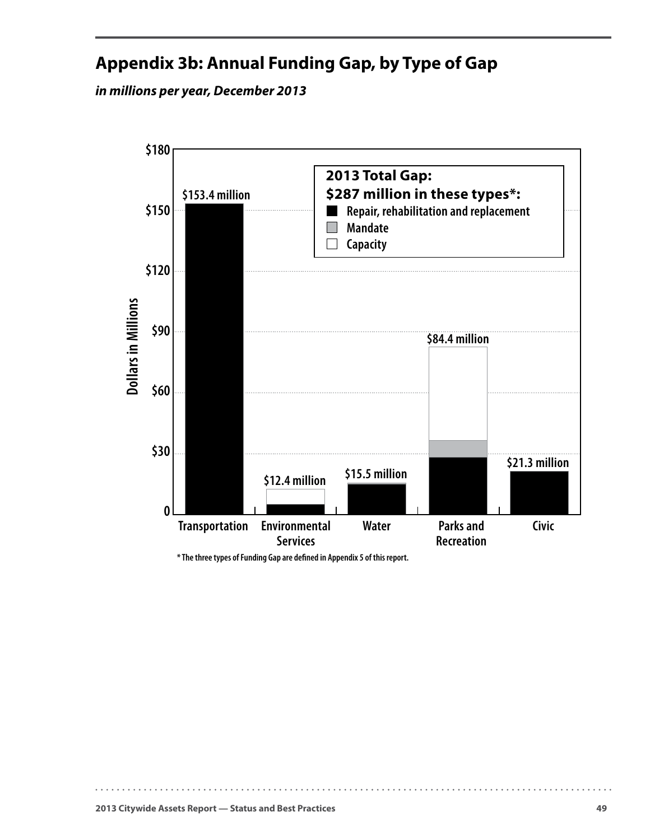# <span id="page-52-0"></span>**Appendix 3b: Annual Funding Gap, by Type of Gap**

*in millions per year, December 2013*



**\* The three types of Funding Gap are dened in Appendix 5 of this report.**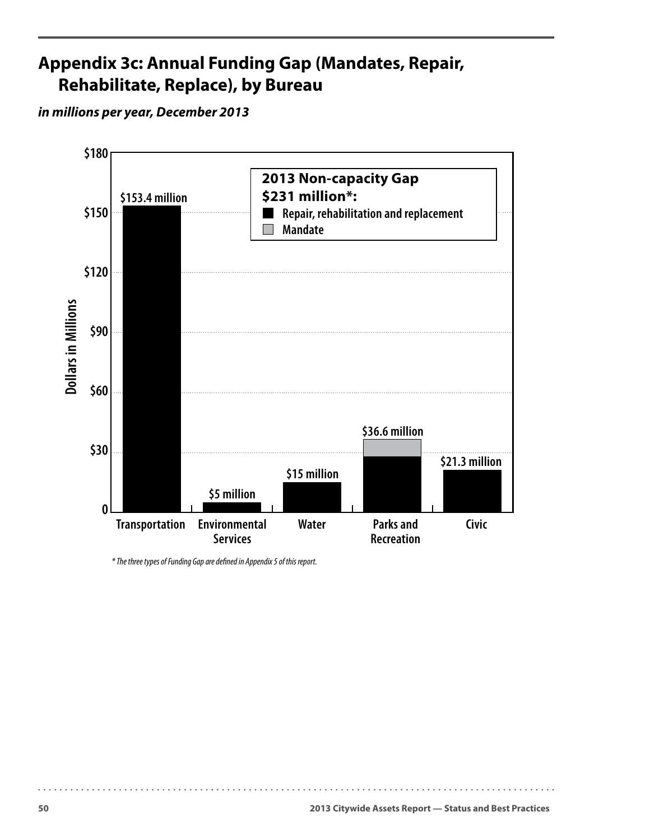# <span id="page-53-0"></span>**Appendix 3c: Annual Funding Gap (Mandates, Repair, Rehabilitate, Replace), by Bureau**

#### *in millions per year, December 2013*



*\* The three types of Funding Gap are dened in Appendix 5 of this report.*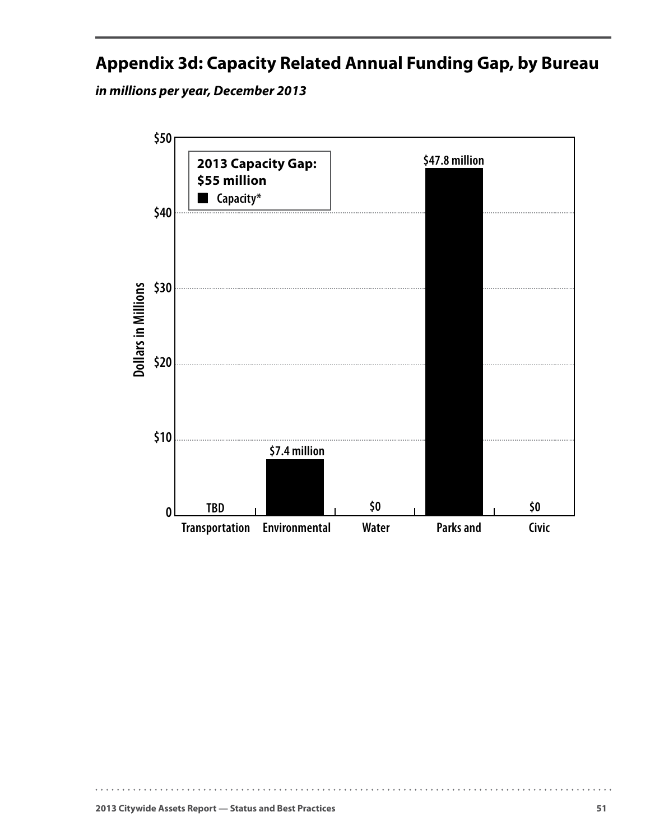# <span id="page-54-0"></span>**Appendix 3d: Capacity Related Annual Funding Gap, by Bureau**

*in millions per year, December 2013*

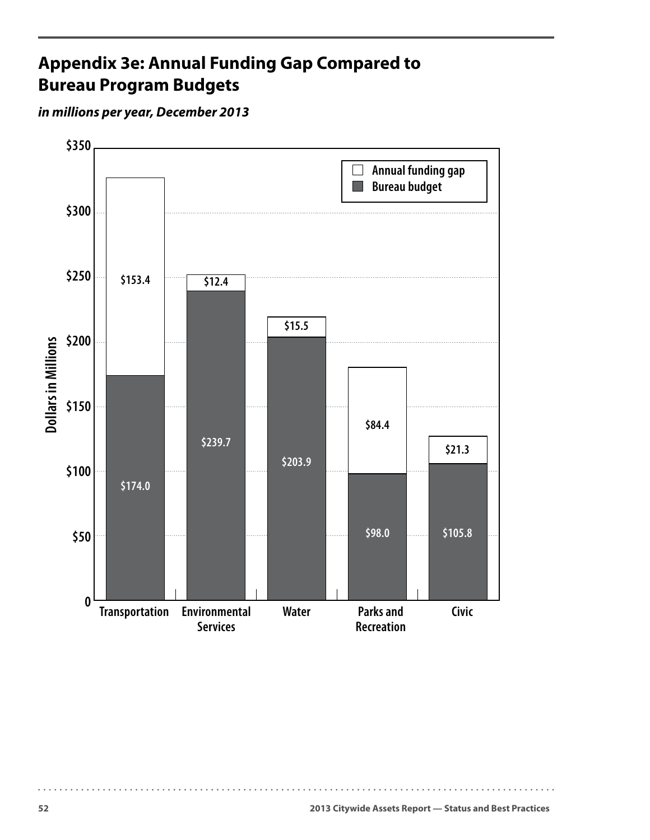# <span id="page-55-0"></span>**Appendix 3e: Annual Funding Gap Compared to Bureau Program Budgets**

#### *in millions per year, December 2013*

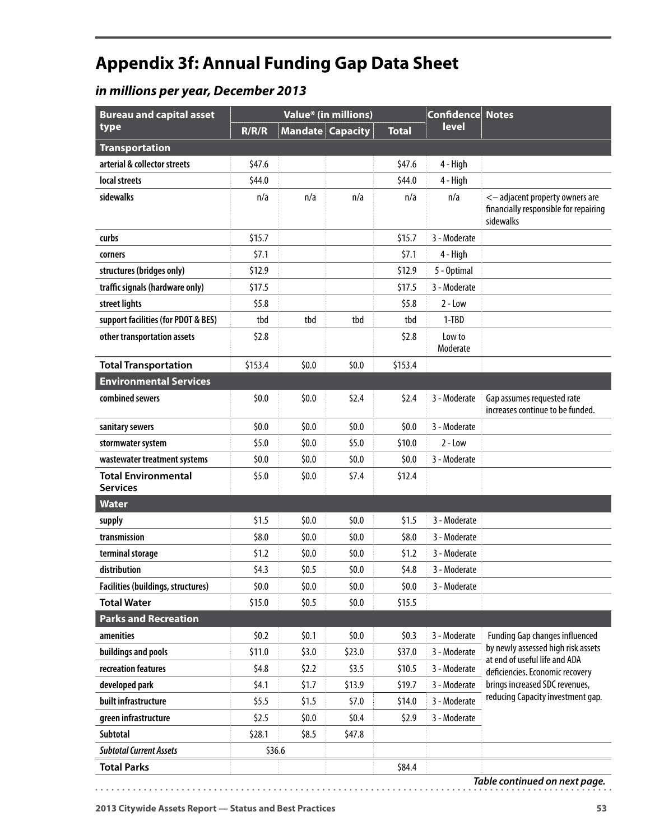# <span id="page-56-0"></span>**Appendix 3f: Annual Funding Gap Data Sheet**

## *in millions per year, December 2013*

| <b>Bureau and capital asset</b>               |         |                         | Value* (in millions) |              | <b>Confidence</b>  | <b>Notes</b>                                                                          |
|-----------------------------------------------|---------|-------------------------|----------------------|--------------|--------------------|---------------------------------------------------------------------------------------|
| type                                          | R/R/R   | <b>Mandate Capacity</b> |                      | <b>Total</b> | level              |                                                                                       |
| <b>Transportation</b>                         |         |                         |                      |              |                    |                                                                                       |
| arterial & collector streets                  | \$47.6  |                         |                      | \$47.6       | 4 - High           |                                                                                       |
| local streets                                 | \$44.0  |                         |                      | \$44.0       | 4 - High           |                                                                                       |
| sidewalks                                     | n/a     | n/a                     | n/a                  | n/a          | n/a                | <- adjacent property owners are<br>financially responsible for repairing<br>sidewalks |
| curbs                                         | \$15.7  |                         |                      | \$15.7       | 3 - Moderate       |                                                                                       |
| corners                                       | \$7.1   |                         |                      | \$7.1        | 4 - High           |                                                                                       |
| structures (bridges only)                     | \$12.9  |                         |                      | \$12.9       | 5 - Optimal        |                                                                                       |
| traffic signals (hardware only)               | \$17.5  |                         |                      | \$17.5       | 3 - Moderate       |                                                                                       |
| street lights                                 | \$5.8   |                         |                      | \$5.8        | $2 - Low$          |                                                                                       |
| support facilities (for PDOT & BES)           | tbd     | tbd                     | tbd                  | tbd          | $1-TBD$            |                                                                                       |
| other transportation assets                   | \$2.8   |                         |                      | \$2.8        | Low to<br>Moderate |                                                                                       |
| <b>Total Transportation</b>                   | \$153.4 | \$0.0                   | \$0.0                | \$153.4      |                    |                                                                                       |
| <b>Environmental Services</b>                 |         |                         |                      |              |                    |                                                                                       |
| combined sewers                               | \$0.0   | \$0.0                   | \$2.4                | \$2.4        | 3 - Moderate       | Gap assumes requested rate<br>increases continue to be funded.                        |
| sanitary sewers                               | \$0.0   | \$0.0                   | \$0.0                | \$0.0        | 3 - Moderate       |                                                                                       |
| stormwater system                             | \$5.0   | \$0.0\$                 | \$5.0                | \$10.0       | $2 - Low$          |                                                                                       |
| wastewater treatment systems                  | \$0.0   | \$0.0                   | \$0.0                | \$0.0        | 3 - Moderate       |                                                                                       |
| <b>Total Environmental</b><br><b>Services</b> | \$5.0   | \$0.0                   | \$7.4                | \$12.4       |                    |                                                                                       |
| <b>Water</b>                                  |         |                         |                      |              |                    |                                                                                       |
| supply                                        | \$1.5   | \$0.0                   | \$0.0                | \$1.5        | 3 - Moderate       |                                                                                       |
| transmission                                  | \$8.0   | \$0.0                   | \$0.0                | \$8.0        | 3 - Moderate       |                                                                                       |
| terminal storage                              | \$1.2   | \$0.0                   | \$0.0                | \$1.2        | 3 - Moderate       |                                                                                       |
| distribution                                  | \$4.3   | \$0.5                   | \$0.0                | \$4.8        | 3 - Moderate       |                                                                                       |
| <b>Facilities (buildings, structures)</b>     | \$0.0   | \$0.0\$                 | \$0.0                | \$0.0        | 3 - Moderate       |                                                                                       |
| <b>Total Water</b>                            | \$15.0  | \$0.5                   | \$0.0                | \$15.5       |                    |                                                                                       |
| <b>Parks and Recreation</b>                   |         |                         |                      |              |                    |                                                                                       |
| amenities                                     | \$0.2\$ | \$0.1                   | \$0.0\$              | \$0.3\$      | 3 - Moderate       | <b>Funding Gap changes influenced</b>                                                 |
| buildings and pools                           | \$11.0  | \$3.0                   | \$23.0               | \$37.0       | 3 - Moderate       | by newly assessed high risk assets<br>at end of useful life and ADA                   |
| recreation features                           | \$4.8   | \$2.2\$                 | \$3.5                | \$10.5       | 3 - Moderate       | deficiencies. Economic recovery                                                       |
| developed park                                | \$4.1   | \$1.7                   | \$13.9               | \$19.7       | 3 - Moderate       | brings increased SDC revenues,                                                        |
| built infrastructure                          | \$5.5   | \$1.5                   | \$7.0                | \$14.0       | 3 - Moderate       | reducing Capacity investment gap.                                                     |
| green infrastructure                          | \$2.5   | \$0.0                   | \$0.4\$              | \$2.9        | 3 - Moderate       |                                                                                       |
| Subtotal                                      | \$28.1  | \$8.5                   | \$47.8               |              |                    |                                                                                       |
| <b>Subtotal Current Assets</b>                |         | \$36.6                  |                      |              |                    |                                                                                       |
| <b>Total Parks</b>                            |         |                         |                      | \$84.4       |                    |                                                                                       |

*Table continued on next page.*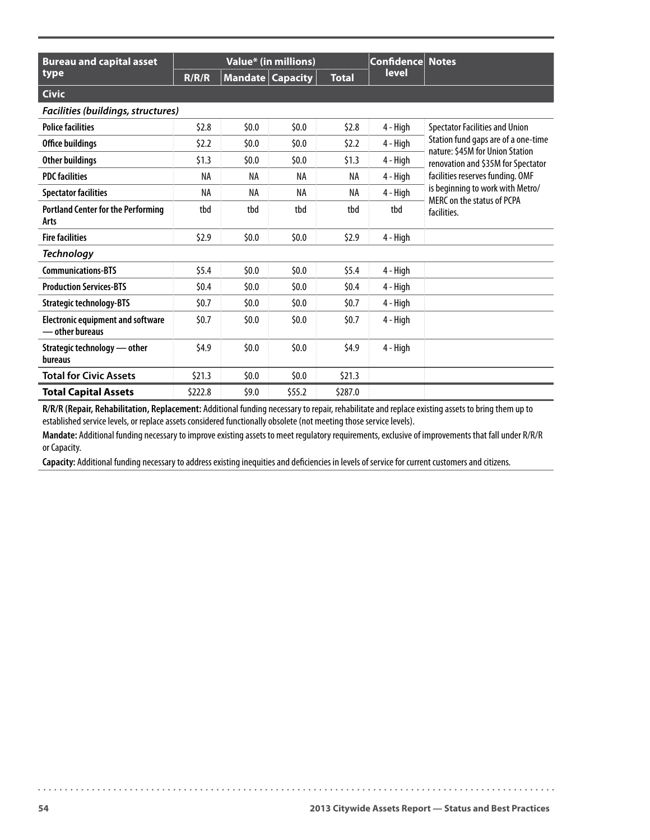| <b>Bureau and capital asset</b>                             | Value* (in millions) |                         |        |              | <b>Confidence Notes</b> |                                                                        |
|-------------------------------------------------------------|----------------------|-------------------------|--------|--------------|-------------------------|------------------------------------------------------------------------|
| type                                                        | R/R/R                | <b>Mandate Capacity</b> |        | <b>Total</b> | <b>level</b>            |                                                                        |
| <b>Civic</b>                                                |                      |                         |        |              |                         |                                                                        |
| Facilities (buildings, structures)                          |                      |                         |        |              |                         |                                                                        |
| <b>Police facilities</b>                                    | \$2.8                | \$0.0                   | \$0.0  | \$2.8\$      | 4 - High                | <b>Spectator Facilities and Union</b>                                  |
| Office buildings                                            | \$2.2                | \$0.0                   | \$0.0  | \$2.2        | 4 - High                | Station fund gaps are of a one-time<br>nature: \$45M for Union Station |
| Other buildings                                             | \$1.3                | \$0.0                   | \$0.0  | \$1.3        | 4 - High                | renovation and \$35M for Spectator                                     |
| <b>PDC facilities</b>                                       | NA                   | NA                      | NA     | NA           | 4 - High                | facilities reserves funding. OMF                                       |
| <b>Spectator facilities</b>                                 | NA                   | NA                      | NA     | NA           | 4 - High                | is beginning to work with Metro/<br>MFRC on the status of PCPA         |
| <b>Portland Center for the Performing</b><br>Arts           | tbd                  | tbd                     | tbd    | tbd          | tbd                     | facilities.                                                            |
| <b>Fire facilities</b>                                      | \$2.9                | \$0.0                   | \$0.0  | \$2.9        | 4 - High                |                                                                        |
| <b>Technology</b>                                           |                      |                         |        |              |                         |                                                                        |
| <b>Communications-BTS</b>                                   | \$5.4                | \$0.0                   | 50.0   | \$5.4\$      | 4 - High                |                                                                        |
| <b>Production Services-BTS</b>                              | 50.4                 | \$0.0                   | \$0.0  | 50.4         | 4 - High                |                                                                        |
| <b>Strategic technology-BTS</b>                             | 50.7                 | \$0.0                   | \$0.0  | 50.7         | 4 - High                |                                                                        |
| <b>Electronic equipment and software</b><br>— other bureaus | 50.7                 | \$0.0                   | \$0.0  | \$0.7        | 4 - High                |                                                                        |
| Strategic technology - other<br>bureaus                     | \$4.9                | \$0.0                   | \$0.0  | \$4.9        | 4 - High                |                                                                        |
| <b>Total for Civic Assets</b>                               | \$21.3               | \$0.0                   | \$0.0  | \$21.3       |                         |                                                                        |
| <b>Total Capital Assets</b>                                 | \$222.8              | \$9.0                   | \$55.2 | \$287.0      |                         |                                                                        |

**R/R/R (Repair, Rehabilitation, Replacement:** Additional funding necessary to repair, rehabilitate and replace existing assets to bring them up to established service levels, or replace assets considered functionally obsolete (not meeting those service levels).

**Mandate:** Additional funding necessary to improve existing assets to meet regulatory requirements, exclusive of improvements that fall under R/R/R or Capacity.

**Capacity:** Additional funding necessary to address existing inequities and deficiencies in levels of service for current customers and citizens.

 $\ddot{\phantom{a}}$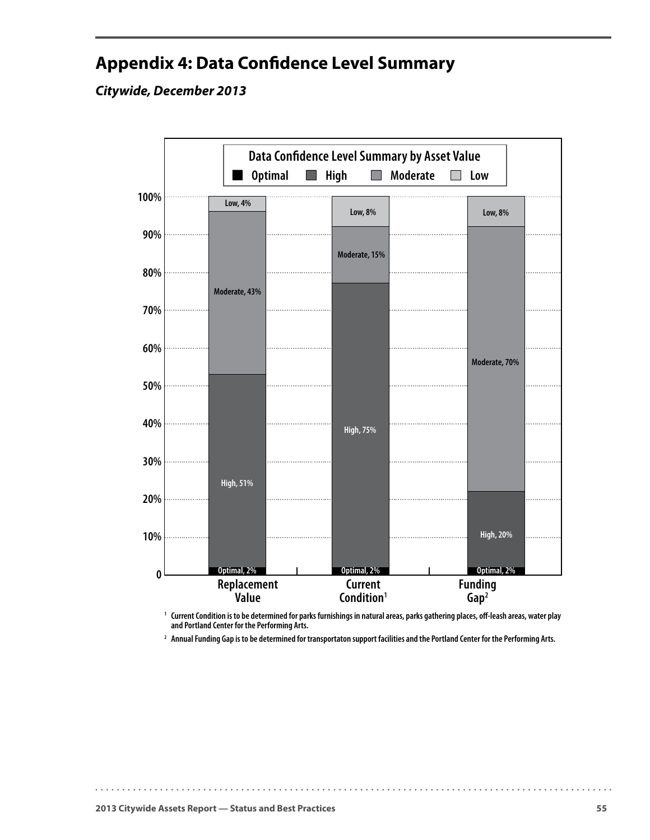# <span id="page-58-0"></span>**Appendix 4: Data Confidence Level Summary**

#### *Citywide, December 2013*



<sup>1</sup> Current Condition is to be determined for parks furnishings in natural areas, parks gathering places, off-leash areas, water play  **and Portland Center for the Performing Arts.**

**2 Annual Funding Gap is to be determined for transportaton support facilities and the Portland Center for the Performing Arts.**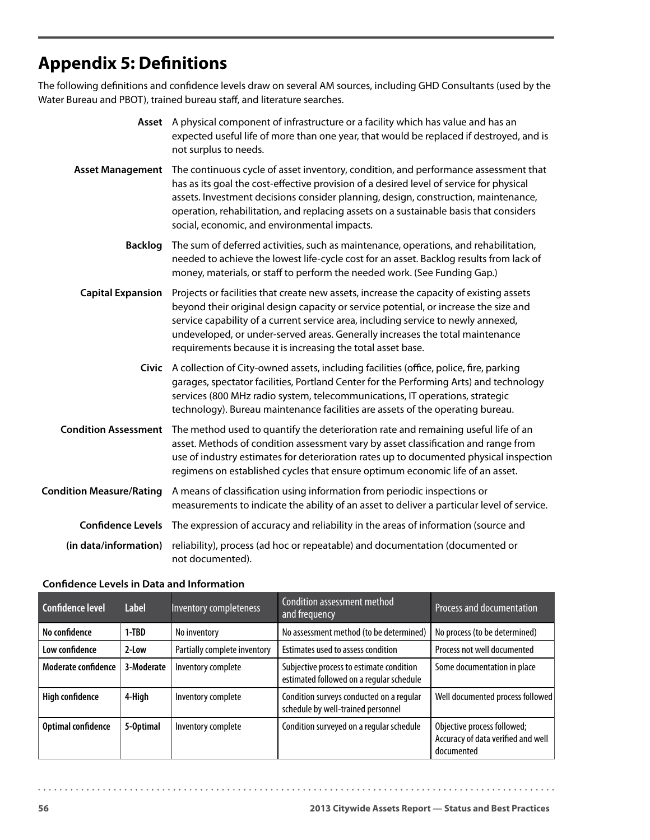# <span id="page-59-0"></span>**Appendix 5: Definitions**

The following definitions and confidence levels draw on several AM sources, including GHD Consultants (used by the Water Bureau and PBOT), trained bureau staff, and literature searches.

|                                 | Asset A physical component of infrastructure or a facility which has value and has an<br>expected useful life of more than one year, that would be replaced if destroyed, and is<br>not surplus to needs.                                                                                                                                                                                                            |
|---------------------------------|----------------------------------------------------------------------------------------------------------------------------------------------------------------------------------------------------------------------------------------------------------------------------------------------------------------------------------------------------------------------------------------------------------------------|
| <b>Asset Management</b>         | The continuous cycle of asset inventory, condition, and performance assessment that<br>has as its goal the cost-effective provision of a desired level of service for physical<br>assets. Investment decisions consider planning, design, construction, maintenance,<br>operation, rehabilitation, and replacing assets on a sustainable basis that considers<br>social, economic, and environmental impacts.        |
| <b>Backlog</b>                  | The sum of deferred activities, such as maintenance, operations, and rehabilitation,<br>needed to achieve the lowest life-cycle cost for an asset. Backlog results from lack of<br>money, materials, or staff to perform the needed work. (See Funding Gap.)                                                                                                                                                         |
| <b>Capital Expansion</b>        | Projects or facilities that create new assets, increase the capacity of existing assets<br>beyond their original design capacity or service potential, or increase the size and<br>service capability of a current service area, including service to newly annexed,<br>undeveloped, or under-served areas. Generally increases the total maintenance<br>requirements because it is increasing the total asset base. |
|                                 | Civic A collection of City-owned assets, including facilities (office, police, fire, parking<br>garages, spectator facilities, Portland Center for the Performing Arts) and technology<br>services (800 MHz radio system, telecommunications, IT operations, strategic<br>technology). Bureau maintenance facilities are assets of the operating bureau.                                                             |
| <b>Condition Assessment</b>     | The method used to quantify the deterioration rate and remaining useful life of an<br>asset. Methods of condition assessment vary by asset classification and range from<br>use of industry estimates for deterioration rates up to documented physical inspection<br>regimens on established cycles that ensure optimum economic life of an asset.                                                                  |
| <b>Condition Measure/Rating</b> | A means of classification using information from periodic inspections or<br>measurements to indicate the ability of an asset to deliver a particular level of service.                                                                                                                                                                                                                                               |
| <b>Confidence Levels</b>        | The expression of accuracy and reliability in the areas of information (source and                                                                                                                                                                                                                                                                                                                                   |
| (in data/information)           | reliability), process (ad hoc or repeatable) and documentation (documented or<br>not documented).                                                                                                                                                                                                                                                                                                                    |

#### **Confidence Levels in Data and Information**

| Confidence level       | <b>Label</b> | Inventory completeness       | Condition assessment method<br>and frequency                                         | Process and documentation                                                       |
|------------------------|--------------|------------------------------|--------------------------------------------------------------------------------------|---------------------------------------------------------------------------------|
| No confidence          | 1-TBD        | No inventory                 | No assessment method (to be determined)                                              | No process (to be determined)                                                   |
| Low confidence         | 2-Low        | Partially complete inventory | Estimates used to assess condition                                                   | Process not well documented                                                     |
| Moderate confidence    | 3-Moderate   | Inventory complete           | Subjective process to estimate condition<br>estimated followed on a regular schedule | Some documentation in place                                                     |
| <b>High confidence</b> | 4-High       | Inventory complete           | Condition surveys conducted on a regular<br>schedule by well-trained personnel       | Well documented process followed                                                |
| Optimal confidence     | 5-Optimal    | Inventory complete           | Condition surveyed on a regular schedule                                             | Objective process followed;<br>Accuracy of data verified and well<br>documented |

. . . . . . .

. . . . . . . . . . . . . . . . . .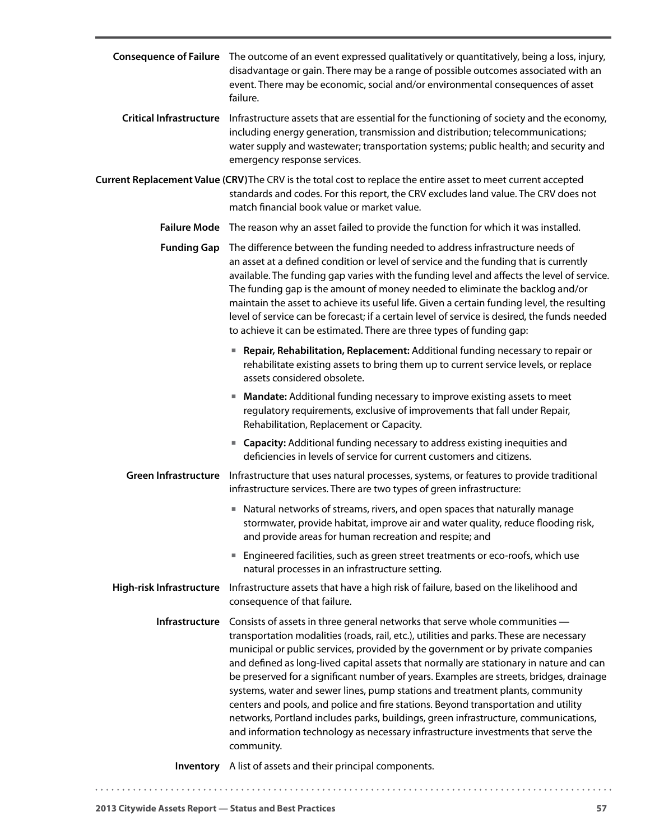|                             | Consequence of Failure The outcome of an event expressed qualitatively or quantitatively, being a loss, injury,<br>disadvantage or gain. There may be a range of possible outcomes associated with an<br>event. There may be economic, social and/or environmental consequences of asset<br>failure.                                                                                                                                                                                                                                                                                                                                                                                                                                                                                                              |
|-----------------------------|-------------------------------------------------------------------------------------------------------------------------------------------------------------------------------------------------------------------------------------------------------------------------------------------------------------------------------------------------------------------------------------------------------------------------------------------------------------------------------------------------------------------------------------------------------------------------------------------------------------------------------------------------------------------------------------------------------------------------------------------------------------------------------------------------------------------|
|                             | Critical Infrastructure Infrastructure assets that are essential for the functioning of society and the economy,<br>including energy generation, transmission and distribution; telecommunications;<br>water supply and wastewater; transportation systems; public health; and security and<br>emergency response services.                                                                                                                                                                                                                                                                                                                                                                                                                                                                                       |
|                             | Current Replacement Value (CRV)The CRV is the total cost to replace the entire asset to meet current accepted<br>standards and codes. For this report, the CRV excludes land value. The CRV does not<br>match financial book value or market value.                                                                                                                                                                                                                                                                                                                                                                                                                                                                                                                                                               |
|                             | Failure Mode The reason why an asset failed to provide the function for which it was installed.                                                                                                                                                                                                                                                                                                                                                                                                                                                                                                                                                                                                                                                                                                                   |
| <b>Funding Gap</b>          | The difference between the funding needed to address infrastructure needs of<br>an asset at a defined condition or level of service and the funding that is currently<br>available. The funding gap varies with the funding level and affects the level of service.<br>The funding gap is the amount of money needed to eliminate the backlog and/or<br>maintain the asset to achieve its useful life. Given a certain funding level, the resulting<br>level of service can be forecast; if a certain level of service is desired, the funds needed<br>to achieve it can be estimated. There are three types of funding gap:                                                                                                                                                                                      |
|                             | Repair, Rehabilitation, Replacement: Additional funding necessary to repair or<br>ш<br>rehabilitate existing assets to bring them up to current service levels, or replace<br>assets considered obsolete.                                                                                                                                                                                                                                                                                                                                                                                                                                                                                                                                                                                                         |
|                             | Mandate: Additional funding necessary to improve existing assets to meet<br>regulatory requirements, exclusive of improvements that fall under Repair,<br>Rehabilitation, Replacement or Capacity.                                                                                                                                                                                                                                                                                                                                                                                                                                                                                                                                                                                                                |
|                             | <b>E</b> Capacity: Additional funding necessary to address existing inequities and<br>deficiencies in levels of service for current customers and citizens.                                                                                                                                                                                                                                                                                                                                                                                                                                                                                                                                                                                                                                                       |
| <b>Green Infrastructure</b> | Infrastructure that uses natural processes, systems, or features to provide traditional<br>infrastructure services. There are two types of green infrastructure:                                                                                                                                                                                                                                                                                                                                                                                                                                                                                                                                                                                                                                                  |
|                             | Natural networks of streams, rivers, and open spaces that naturally manage<br>stormwater, provide habitat, improve air and water quality, reduce flooding risk,<br>and provide areas for human recreation and respite; and                                                                                                                                                                                                                                                                                                                                                                                                                                                                                                                                                                                        |
|                             | Engineered facilities, such as green street treatments or eco-roofs, which use<br>natural processes in an infrastructure setting.                                                                                                                                                                                                                                                                                                                                                                                                                                                                                                                                                                                                                                                                                 |
| High-risk Infrastructure    | Infrastructure assets that have a high risk of failure, based on the likelihood and<br>consequence of that failure.                                                                                                                                                                                                                                                                                                                                                                                                                                                                                                                                                                                                                                                                                               |
| Infrastructure              | Consists of assets in three general networks that serve whole communities -<br>transportation modalities (roads, rail, etc.), utilities and parks. These are necessary<br>municipal or public services, provided by the government or by private companies<br>and defined as long-lived capital assets that normally are stationary in nature and can<br>be preserved for a significant number of years. Examples are streets, bridges, drainage<br>systems, water and sewer lines, pump stations and treatment plants, community<br>centers and pools, and police and fire stations. Beyond transportation and utility<br>networks, Portland includes parks, buildings, green infrastructure, communications,<br>and information technology as necessary infrastructure investments that serve the<br>community. |
|                             | Inventory A list of assets and their principal components.                                                                                                                                                                                                                                                                                                                                                                                                                                                                                                                                                                                                                                                                                                                                                        |